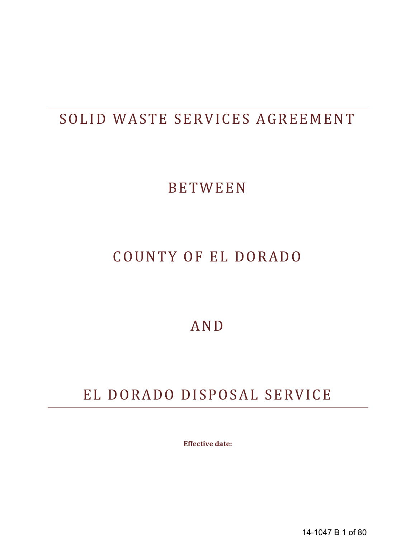# SOLID WASTE SERVICES AGREEMENT

# BETWEEN

# COUNTY OF EL DORADO

# AND

# EL DORADO DISPOSAL SERVICE

**Effective date:**

14-1047 B 1 of 80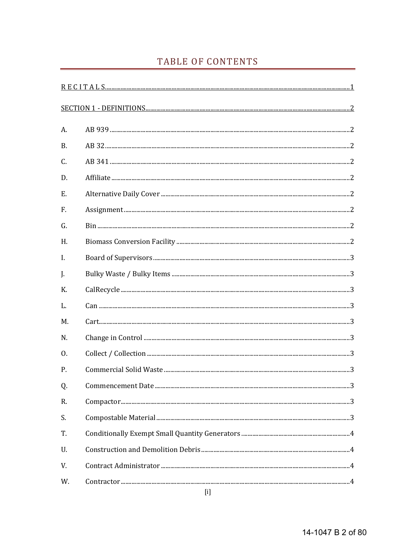# TABLE OF CONTENTS

| А.             |  |
|----------------|--|
| <b>B.</b>      |  |
| C.             |  |
| D.             |  |
| E.             |  |
| F.             |  |
| G.             |  |
| H.             |  |
| $\mathbf{I}$ . |  |
| J.             |  |
| K.             |  |
| L.             |  |
| M.             |  |
| N.             |  |
| 0.             |  |
| $P_{.}$        |  |
| Q.             |  |
| R.             |  |
| S.             |  |
| T.             |  |
| U.             |  |
| V.             |  |
| W.             |  |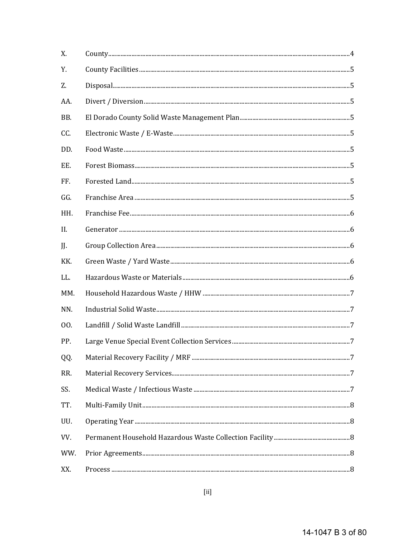| X.  |  |
|-----|--|
| Υ.  |  |
| Z.  |  |
| AA. |  |
| BB. |  |
| CC. |  |
| DD. |  |
| EE. |  |
| FF. |  |
| GG. |  |
| HH. |  |
| II. |  |
| JJ. |  |
| KK. |  |
| LL. |  |
| MM. |  |
| NN. |  |
| 00. |  |
| PP. |  |
| QQ. |  |
| RR. |  |
| SS. |  |
| TT. |  |
| UU. |  |
| VV. |  |
| WW. |  |
| XX. |  |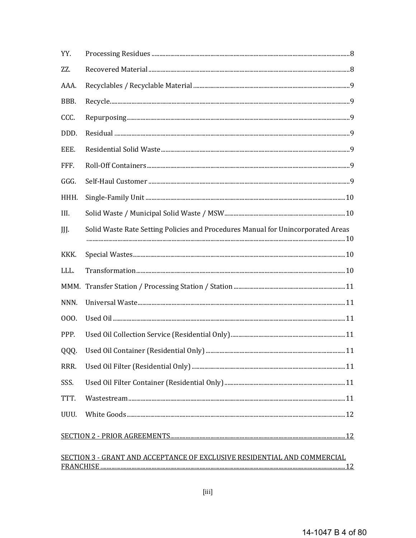| YY.  |                                                                                  |
|------|----------------------------------------------------------------------------------|
| ZZ.  |                                                                                  |
| AAA. |                                                                                  |
| BBB. |                                                                                  |
| CCC. |                                                                                  |
| DDD. |                                                                                  |
| EEE. |                                                                                  |
| FFF. |                                                                                  |
| GGG. |                                                                                  |
| HHH. |                                                                                  |
| III. |                                                                                  |
| JJJ. | Solid Waste Rate Setting Policies and Procedures Manual for Unincorporated Areas |
| KKK. |                                                                                  |
|      |                                                                                  |
| LLL. |                                                                                  |
| MMM. |                                                                                  |
| NNN. |                                                                                  |
| 000. |                                                                                  |
| PPP. |                                                                                  |
| QQQ. |                                                                                  |
| RRR. |                                                                                  |
| SSS. |                                                                                  |
| TTT. |                                                                                  |
| UUU. |                                                                                  |
|      |                                                                                  |

# SECTION 3 - GRANT AND ACCEPTANCE OF EXCLUSIVE RESIDENTIAL AND COMMERCIAL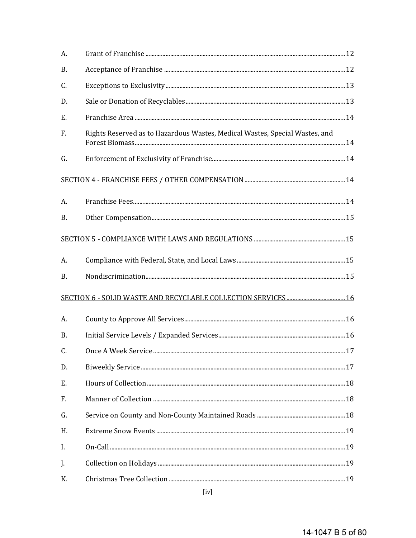| Rights Reserved as to Hazardous Wastes, Medical Wastes, Special Wastes, and |  |
|-----------------------------------------------------------------------------|--|
|                                                                             |  |
|                                                                             |  |
|                                                                             |  |
|                                                                             |  |
|                                                                             |  |
|                                                                             |  |
|                                                                             |  |
|                                                                             |  |
|                                                                             |  |
|                                                                             |  |
|                                                                             |  |
|                                                                             |  |
|                                                                             |  |
|                                                                             |  |
|                                                                             |  |
|                                                                             |  |
|                                                                             |  |
|                                                                             |  |
|                                                                             |  |
|                                                                             |  |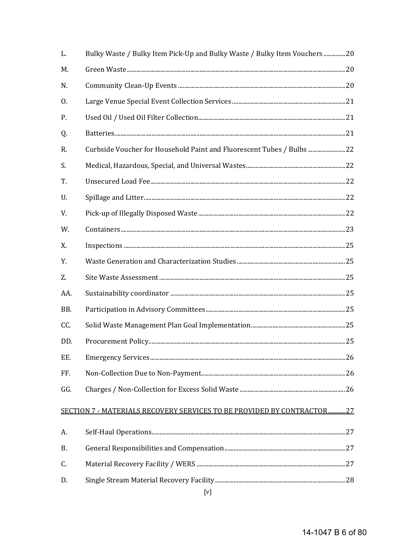| L.        | Bulky Waste / Bulky Item Pick-Up and Bulky Waste / Bulky Item Vouchers 20 |  |
|-----------|---------------------------------------------------------------------------|--|
| M.        |                                                                           |  |
| N.        |                                                                           |  |
| 0.        |                                                                           |  |
| P.        |                                                                           |  |
| Q.        |                                                                           |  |
| R.        | Curbside Voucher for Household Paint and Fluorescent Tubes / Bulbs  22    |  |
| S.        |                                                                           |  |
| T.        |                                                                           |  |
| U.        |                                                                           |  |
| V.        |                                                                           |  |
| W.        |                                                                           |  |
| X.        |                                                                           |  |
| Y.        |                                                                           |  |
| Z.        |                                                                           |  |
| AA.       |                                                                           |  |
| BB.       |                                                                           |  |
| CC.       |                                                                           |  |
| DD.       |                                                                           |  |
| EE.       |                                                                           |  |
| FF.       |                                                                           |  |
| GG.       |                                                                           |  |
|           | SECTION 7 - MATERIALS RECOVERY SERVICES TO BE PROVIDED BY CONTRACTOR27    |  |
| A.        |                                                                           |  |
| <b>B.</b> |                                                                           |  |
| C.        |                                                                           |  |
| D.        |                                                                           |  |
|           | [v]                                                                       |  |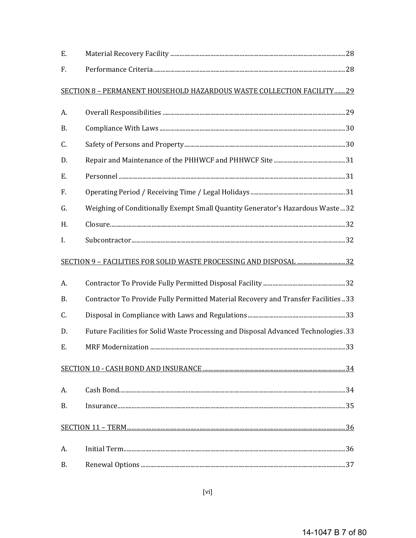| Ε.        |                                                                                    |  |
|-----------|------------------------------------------------------------------------------------|--|
| F.        |                                                                                    |  |
|           | SECTION 8 - PERMANENT HOUSEHOLD HAZARDOUS WASTE COLLECTION FACILITY29              |  |
| A.        |                                                                                    |  |
| <b>B.</b> |                                                                                    |  |
| C.        |                                                                                    |  |
| D.        |                                                                                    |  |
| Ε.        |                                                                                    |  |
| F.        |                                                                                    |  |
| G.        | Weighing of Conditionally Exempt Small Quantity Generator's Hazardous Waste  32    |  |
| Н.        |                                                                                    |  |
| I.        |                                                                                    |  |
|           | SECTION 9 - FACILITIES FOR SOLID WASTE PROCESSING AND DISPOSAL 32                  |  |
| A.        |                                                                                    |  |
| <b>B.</b> | Contractor To Provide Fully Permitted Material Recovery and Transfer Facilities 33 |  |
| C.        |                                                                                    |  |
| D.        | Future Facilities for Solid Waste Processing and Disposal Advanced Technologies.33 |  |
| Ε.        |                                                                                    |  |
|           |                                                                                    |  |
| A.        |                                                                                    |  |
| <b>B.</b> |                                                                                    |  |
|           |                                                                                    |  |
| А.        |                                                                                    |  |
| В.        |                                                                                    |  |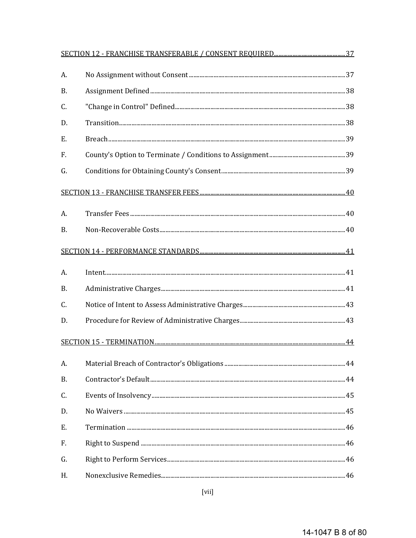| A.        |                                |  |
|-----------|--------------------------------|--|
| <b>B.</b> |                                |  |
| C.        |                                |  |
| D.        |                                |  |
| Ε.        |                                |  |
| F.        |                                |  |
| G.        |                                |  |
|           |                                |  |
| A.        |                                |  |
| B.        |                                |  |
|           |                                |  |
| A.        | $\label{eq:inter} In tent. 41$ |  |
| <b>B.</b> |                                |  |
| C.        |                                |  |
| D.        |                                |  |
|           |                                |  |
| А.        |                                |  |
| <b>B.</b> |                                |  |
| C.        |                                |  |
| D.        |                                |  |
| E.        |                                |  |
| F.        |                                |  |
| G.        |                                |  |
| Η.        |                                |  |

 $[\mbox{vii}]$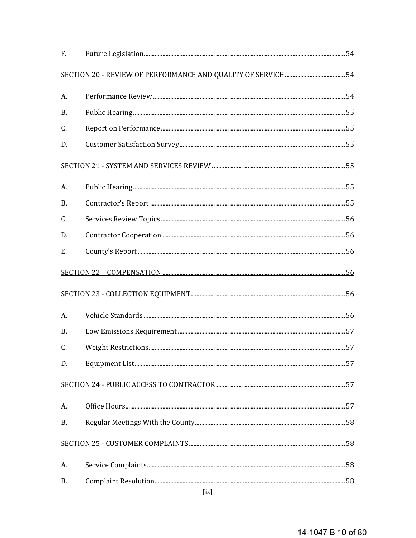| F. |      |  |
|----|------|--|
|    |      |  |
| А. |      |  |
| В. |      |  |
| C. |      |  |
| D. |      |  |
|    |      |  |
| A. |      |  |
| Β. |      |  |
| C. |      |  |
| D. |      |  |
| Ε. |      |  |
|    |      |  |
|    |      |  |
| A. |      |  |
| В. |      |  |
| C. |      |  |
| D. |      |  |
|    |      |  |
| A. |      |  |
| Β. |      |  |
|    |      |  |
| A. |      |  |
| Β. |      |  |
|    | [ix] |  |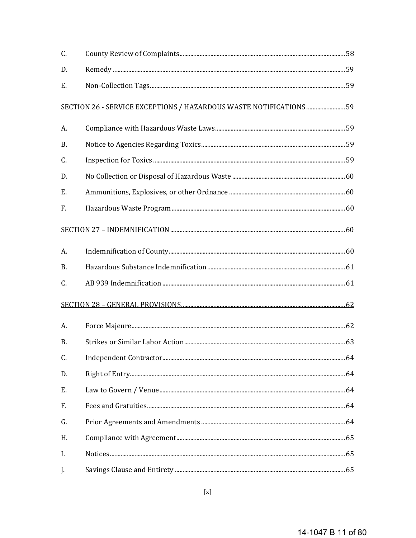| C.        |                                                                     |  |
|-----------|---------------------------------------------------------------------|--|
| D.        |                                                                     |  |
| Ε.        |                                                                     |  |
|           | SECTION 26 - SERVICE EXCEPTIONS / HAZARDOUS WASTE NOTIFICATIONS  59 |  |
| А.        |                                                                     |  |
| <b>B.</b> |                                                                     |  |
| C.        |                                                                     |  |
| D.        |                                                                     |  |
| Ε.        |                                                                     |  |
| F.        |                                                                     |  |
|           |                                                                     |  |
| A.        |                                                                     |  |
| <b>B.</b> |                                                                     |  |
| C.        |                                                                     |  |
|           |                                                                     |  |
| A.        |                                                                     |  |
| <b>B.</b> |                                                                     |  |
| C.        |                                                                     |  |
| D.        |                                                                     |  |
| Ε.        |                                                                     |  |
| F.        |                                                                     |  |
| G.        |                                                                     |  |
| H.        |                                                                     |  |
| I.        |                                                                     |  |
| J.        |                                                                     |  |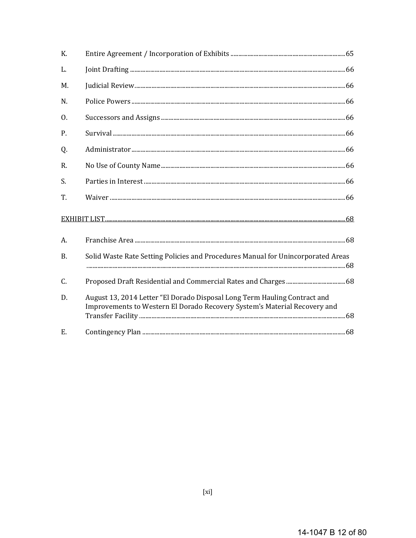| K.               |                                                                                                                                                        |  |
|------------------|--------------------------------------------------------------------------------------------------------------------------------------------------------|--|
| L.               |                                                                                                                                                        |  |
| M.               |                                                                                                                                                        |  |
| N.               |                                                                                                                                                        |  |
| $\overline{0}$ . |                                                                                                                                                        |  |
| P.               |                                                                                                                                                        |  |
| Q.               |                                                                                                                                                        |  |
| R.               |                                                                                                                                                        |  |
| S.               |                                                                                                                                                        |  |
| T.               |                                                                                                                                                        |  |
|                  |                                                                                                                                                        |  |
| A.               |                                                                                                                                                        |  |
| <b>B.</b>        | Solid Waste Rate Setting Policies and Procedures Manual for Unincorporated Areas                                                                       |  |
| C.               |                                                                                                                                                        |  |
| D.               | August 13, 2014 Letter "El Dorado Disposal Long Term Hauling Contract and<br>Improvements to Western El Dorado Recovery System's Material Recovery and |  |
| $E_{\cdot}$      |                                                                                                                                                        |  |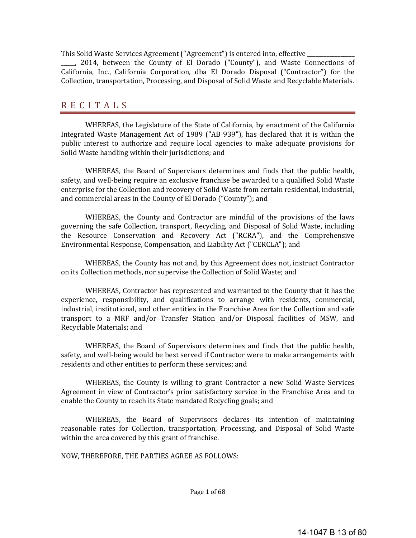This Solid Waste Services Agreement ("Agreement") is entered into, effective

\_\_\_\_, 2014, between the County of El Dorado ("County"), and Waste Connections of California, Inc., California Corporation, dba El Dorado Disposal ("Contractor") for the Collection, transportation, Processing, and Disposal of Solid Waste and Recyclable Materials.

# **RECITALS**

WHEREAS, the Legislature of the State of California, by enactment of the California Integrated Waste Management Act of 1989 ("AB 939"), has declared that it is within the public interest to authorize and require local agencies to make adequate provisions for Solid Waste handling within their jurisdictions; and

WHEREAS, the Board of Supervisors determines and finds that the public health, safety, and well-being require an exclusive franchise be awarded to a qualified Solid Waste enterprise for the Collection and recovery of Solid Waste from certain residential, industrial, and commercial areas in the County of El Dorado ("County"); and

WHEREAS, the County and Contractor are mindful of the provisions of the laws governing the safe Collection, transport, Recycling, and Disposal of Solid Waste, including the Resource Conservation and Recovery Act ("RCRA"), and the Comprehensive Environmental Response, Compensation, and Liability Act ("CERCLA"); and

WHEREAS, the County has not and, by this Agreement does not, instruct Contractor on its Collection methods, nor supervise the Collection of Solid Waste; and

WHEREAS, Contractor has represented and warranted to the County that it has the experience, responsibility, and qualifications to arrange with residents, commercial, industrial, institutional, and other entities in the Franchise Area for the Collection and safe transport to a MRF and/or Transfer Station and/or Disposal facilities of MSW, and Recyclable Materials; and

WHEREAS, the Board of Supervisors determines and finds that the public health, safety, and well-being would be best served if Contractor were to make arrangements with residents and other entities to perform these services; and

WHEREAS, the County is willing to grant Contractor a new Solid Waste Services Agreement in view of Contractor's prior satisfactory service in the Franchise Area and to enable the County to reach its State mandated Recycling goals; and

WHEREAS, the Board of Supervisors declares its intention of maintaining reasonable rates for Collection, transportation, Processing, and Disposal of Solid Waste within the area covered by this grant of franchise.

NOW, THEREFORE, THE PARTIES AGREE AS FOLLOWS: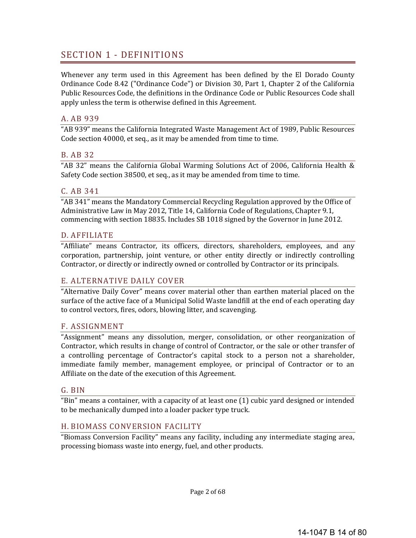# SECTION 1 - DEFINITIONS

Whenever any term used in this Agreement has been defined by the El Dorado County Ordinance Code 8.42 ("Ordinance Code") or Division 30, Part 1, Chapter 2 of the California Public Resources Code, the definitions in the Ordinance Code or Public Resources Code shall apply unless the term is otherwise defined in this Agreement.

#### A. AB 939

"AB 939" means the California Integrated Waste Management Act of 1989, Public Resources Code section 40000, et seq., as it may be amended from time to time.

#### B. AB 32

"AB 32" means the California Global Warming Solutions Act of 2006, California Health & Safety Code section 38500, et seq., as it may be amended from time to time.

#### C. AB 341

"AB 341" means the Mandatory Commercial Recycling Regulation approved by the Office of Administrative Law in May 2012, Title 14, California Code of Regulations, Chapter 9.1, commencing with section 18835. Includes SB 1018 signed by the Governor in June 2012.

#### D. AFFILIATE

"Affiliate" means Contractor, its officers, directors, shareholders, employees, and any corporation, partnership, joint venture, or other entity directly or indirectly controlling Contractor, or directly or indirectly owned or controlled by Contractor or its principals.

#### E. ALTERNATIVE DAILY COVER

"Alternative Daily Cover" means cover material other than earthen material placed on the surface of the active face of a Municipal Solid Waste landfill at the end of each operating day to control vectors, fires, odors, blowing litter, and scavenging.

#### F. ASSIGNMENT

"Assignment" means any dissolution, merger, consolidation, or other reorganization of Contractor, which results in change of control of Contractor, or the sale or other transfer of a controlling percentage of Contractor's capital stock to a person not a shareholder, immediate family member, management employee, or principal of Contractor or to an Affiliate on the date of the execution of this Agreement.

#### G. BIN

"Bin" means a container, with a capacity of at least one  $(1)$  cubic vard designed or intended to be mechanically dumped into a loader packer type truck.

#### H. BIOMASS CONVERSION FACILITY

"Biomass Conversion Facility" means any facility, including any intermediate staging area, processing biomass waste into energy, fuel, and other products.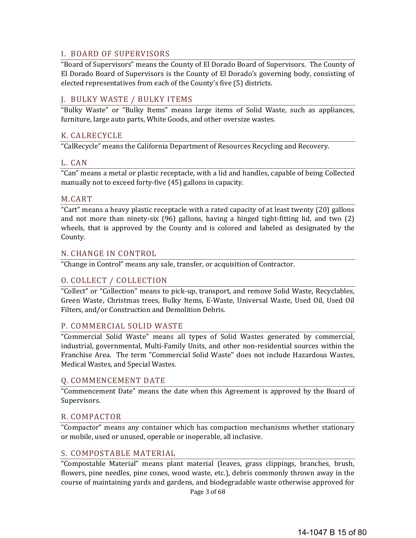#### I. BOARD OF SUPERVISORS

"Board of Supervisors" means the County of El Dorado Board of Supervisors. The County of El Dorado Board of Supervisors is the County of El Dorado's governing body, consisting of elected representatives from each of the County's five (5) districts.

### J. BULKY WASTE / BULKY ITEMS

"Bulky Waste" or "Bulky Items" means large items of Solid Waste, such as appliances, furniture, large auto parts, White Goods, and other oversize wastes.

#### K. CALRECYCLE

"CalRecycle" means the California Department of Resources Recycling and Recovery.

#### L. CAN

"Can" means a metal or plastic receptacle, with a lid and handles, capable of being Collected manually not to exceed forty-five (45) gallons in capacity.

#### M.CART

"Cart" means a heavy plastic receptacle with a rated capacity of at least twenty (20) gallons and not more than ninety-six  $(96)$  gallons, having a hinged tight-fitting lid, and two  $(2)$ wheels, that is approved by the County and is colored and labeled as designated by the County. 

#### N. CHANGE IN CONTROL

"Change in Control" means any sale, transfer, or acquisition of Contractor.

# O. COLLECT / COLLECTION

"Collect" or "Collection" means to pick-up, transport, and remove Solid Waste, Recyclables, Green Waste, Christmas trees, Bulky Items, E-Waste, Universal Waste, Used Oil, Used Oil Filters, and/or Construction and Demolition Debris.

#### P. COMMERCIAL SOLID WASTE

"Commercial Solid Waste" means all types of Solid Wastes generated by commercial, industrial, governmental, Multi-Family Units, and other non-residential sources within the Franchise Area. The term "Commercial Solid Waste" does not include Hazardous Wastes, Medical Wastes, and Special Wastes.

#### Q. COMMENCEMENT DATE

"Commencement Date" means the date when this Agreement is approved by the Board of Supervisors. 

#### R. COMPACTOR

"Compactor" means any container which has compaction mechanisms whether stationary or mobile, used or unused, operable or inoperable, all inclusive.

#### S. COMPOSTABLE MATERIAL

"Compostable Material" means plant material (leaves, grass clippings, branches, brush, flowers, pine needles, pine cones, wood waste, etc.), debris commonly thrown away in the course of maintaining yards and gardens, and biodegradable waste otherwise approved for

Page 3 of 68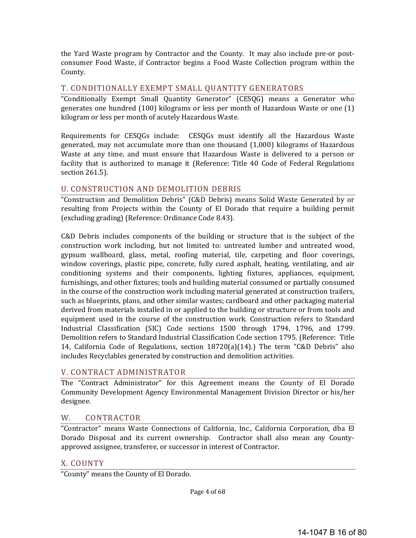the Yard Waste program by Contractor and the County. It may also include pre-or postconsumer Food Waste, if Contractor begins a Food Waste Collection program within the County. 

#### T. CONDITIONALLY EXEMPT SMALL QUANTITY GENERATORS

"Conditionally Exempt Small Quantity Generator" (CESQG) means a Generator who generates one hundred  $(100)$  kilograms or less per month of Hazardous Waste or one  $(1)$ kilogram or less per month of acutely Hazardous Waste.

Requirements for CESOGs include: CESOGs must identify all the Hazardous Waste generated, may not accumulate more than one thousand  $(1,000)$  kilograms of Hazardous Waste at any time, and must ensure that Hazardous Waste is delivered to a person or facility that is authorized to manage it (Reference: Title 40 Code of Federal Regulations section 261.5).

#### U. CONSTRUCTION AND DEMOLITION DEBRIS

"Construction and Demolition Debris" (C&D Debris) means Solid Waste Generated by or resulting from Projects within the County of El Dorado that require a building permit (excluding grading) (Reference: Ordinance Code 8.43).

 $C&D$  Debris includes components of the building or structure that is the subject of the construction work including, but not limited to: untreated lumber and untreated wood, gypsum wallboard, glass, metal, roofing material, tile, carpeting and floor coverings, window coverings, plastic pipe, concrete, fully cured asphalt, heating, ventilating, and air conditioning systems and their components, lighting fixtures, appliances, equipment, furnishings, and other fixtures; tools and building material consumed or partially consumed in the course of the construction work including material generated at construction trailers, such as blueprints, plans, and other similar wastes; cardboard and other packaging material derived from materials installed in or applied to the building or structure or from tools and equipment used in the course of the construction work. Construction refers to Standard Industrial Classification (SIC) Code sections 1500 through 1794, 1796, and 1799. Demolition refers to Standard Industrial Classification Code section 1795. (Reference: Title 14, California Code of Regulations, section  $18720(a)(14)$ .) The term "C&D Debris" also includes Recyclables generated by construction and demolition activities.

# V. CONTRACT ADMINISTRATOR

The "Contract Administrator" for this Agreement means the County of El Dorado Community Development Agency Environmental Management Division Director or his/her designee. 

# W. CONTRACTOR

"Contractor" means Waste Connections of California, Inc., California Corporation, dba El Dorado Disposal and its current ownership. Contractor shall also mean any Countyapproved assignee, transferee, or successor in interest of Contractor.

#### X. COUNTY

"County" means the County of El Dorado.

Page 4 of 68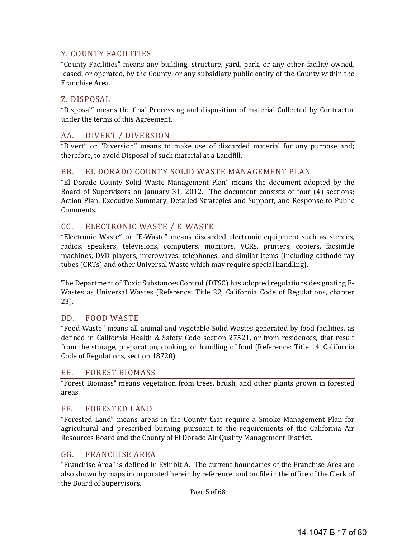# Y. COUNTY FACILITIES

"County Facilities" means any building, structure, yard, park, or any other facility owned, leased, or operated, by the County, or any subsidiary public entity of the County within the Franchise Area.

#### Z. DISPOSAL

"Disposal" means the final Processing and disposition of material Collected by Contractor under the terms of this Agreement.

# AA. DIVERT / DIVERSION

"Divert" or "Diversion" means to make use of discarded material for any purpose and; therefore, to avoid Disposal of such material at a Landfill.

#### BB. EL DORADO COUNTY SOLID WASTE MANAGEMENT PLAN

"El Dorado County Solid Waste Management Plan" means the document adopted by the Board of Supervisors on January 31, 2012. The document consists of four  $(4)$  sections: Action Plan, Executive Summary, Detailed Strategies and Support, and Response to Public Comments. 

# CC. ELECTRONIC WASTE / E-WASTE

"Electronic Waste" or "E-Waste" means discarded electronic equipment such as stereos, radios, speakers, televisions, computers, monitors, VCRs, printers, copiers, facsimile machines, DVD players, microwayes, telephones, and similar items (including cathode ray tubes (CRTs) and other Universal Waste which may require special handling).

The Department of Toxic Substances Control (DTSC) has adopted regulations designating E-Wastes as Universal Wastes (Reference: Title 22, California Code of Regulations, chapter 23). 

#### DD. FOOD WASTE

"Food Waste" means all animal and vegetable Solid Wastes generated by food facilities, as defined in California Health & Safety Code section 27521, or from residences, that result from the storage, preparation, cooking, or handling of food (Reference: Title 14, California Code of Regulations, section 18720).

#### EE. FOREST BIOMASS

"Forest Biomass" means vegetation from trees, brush, and other plants grown in forested areas. 

# FF. FORESTED LAND

"Forested Land" means areas in the County that require a Smoke Management Plan for agricultural and prescribed burning pursuant to the requirements of the California Air Resources Board and the County of El Dorado Air Quality Management District.

# GG. FRANCHISE AREA

"Franchise Area" is defined in Exhibit A. The current boundaries of the Franchise Area are also shown by maps incorporated herein by reference, and on file in the office of the Clerk of the Board of Supervisors.

Page 5 of 68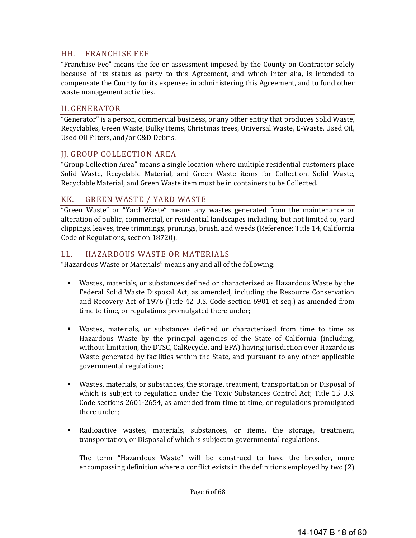#### HH. FRANCHISE FEE

"Franchise Fee" means the fee or assessment imposed by the County on Contractor solely because of its status as party to this Agreement, and which inter alia, is intended to compensate the County for its expenses in administering this Agreement, and to fund other waste management activities.

#### II. GENERATOR

"Generator" is a person, commercial business, or any other entity that produces Solid Waste, Recyclables, Green Waste, Bulky Items, Christmas trees, Universal Waste, E-Waste, Used Oil, Used Oil Filters, and/or C&D Debris.

#### JJ. GROUP COLLECTION AREA

"Group Collection Area" means a single location where multiple residential customers place Solid Waste, Recyclable Material, and Green Waste items for Collection. Solid Waste, Recyclable Material, and Green Waste item must be in containers to be Collected.

#### KK. GREEN WASTE / YARD WASTE

"Green Waste" or "Yard Waste" means any wastes generated from the maintenance or alteration of public, commercial, or residential landscapes including, but not limited to, yard clippings, leaves, tree trimmings, prunings, brush, and weeds (Reference: Title 14, California Code of Regulations, section 18720).

#### LL. HAZARDOUS WASTE OR MATERIALS

"Hazardous Waste or Materials" means any and all of the following:

- Wastes, materials, or substances defined or characterized as Hazardous Waste by the Federal Solid Waste Disposal Act, as amended, including the Resource Conservation and Recovery Act of 1976 (Title 42 U.S. Code section 6901 et seq.) as amended from time to time, or regulations promulgated there under;
- Wastes, materials, or substances defined or characterized from time to time as Hazardous Waste by the principal agencies of the State of California (including, without limitation, the DTSC, CalRecycle, and EPA) having jurisdiction over Hazardous Waste generated by facilities within the State, and pursuant to any other applicable governmental regulations;
- **Wastes, materials, or substances, the storage, treatment, transportation or Disposal of** which is subject to regulation under the Toxic Substances Control Act; Title 15 U.S. Code sections 2601-2654, as amended from time to time, or regulations promulgated there under;
- **Radioactive wastes, materials, substances, or items, the storage, treatment,** transportation, or Disposal of which is subject to governmental regulations.

The term "Hazardous Waste" will be construed to have the broader, more encompassing definition where a conflict exists in the definitions employed by two  $(2)$ 

Page 6 of 68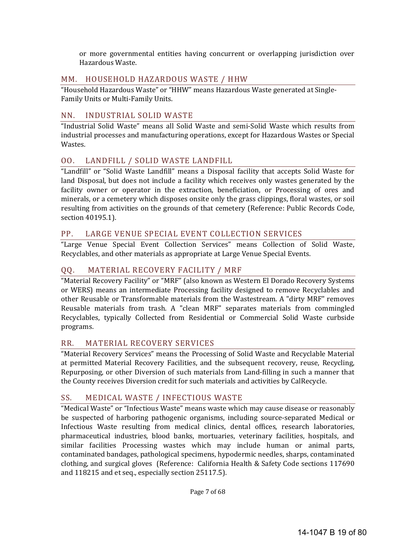or more governmental entities having concurrent or overlapping jurisdiction over Hazardous Waste. 

### MM. HOUSEHOLD HAZARDOUS WASTE / HHW

"Household Hazardous Waste" or "HHW" means Hazardous Waste generated at Single-Family Units or Multi-Family Units.

### NN. INDUSTRIAL SOLID WASTE

"Industrial Solid Waste" means all Solid Waste and semi-Solid Waste which results from industrial processes and manufacturing operations, except for Hazardous Wastes or Special Wastes. 

# OO. LANDFILL / SOLID WASTE LANDFILL

"Landfill" or "Solid Waste Landfill" means a Disposal facility that accepts Solid Waste for land Disposal, but does not include a facility which receives only wastes generated by the facility owner or operator in the extraction, beneficiation, or Processing of ores and minerals, or a cemetery which disposes onsite only the grass clippings, floral wastes, or soil resulting from activities on the grounds of that cemetery (Reference: Public Records Code, section 40195.1).

# PP. LARGE VENUE SPECIAL EVENT COLLECTION SERVICES

"Large Venue Special Event Collection Services" means Collection of Solid Waste, Recyclables, and other materials as appropriate at Large Venue Special Events.

# QQ. MATERIAL RECOVERY FACILITY / MRF

"Material Recovery Facility" or "MRF" (also known as Western El Dorado Recovery Systems or WERS) means an intermediate Processing facility designed to remove Recyclables and other Reusable or Transformable materials from the Wastestream. A "dirty MRF" removes Reusable materials from trash. A "clean MRF" separates materials from commingled Recyclables, typically Collected from Residential or Commercial Solid Waste curbside programs. 

# RR. MATERIAL RECOVERY SERVICES

"Material Recovery Services" means the Processing of Solid Waste and Recyclable Material at permitted Material Recovery Facilities, and the subsequent recovery, reuse, Recycling, Repurposing, or other Diversion of such materials from Land-filling in such a manner that the County receives Diversion credit for such materials and activities by CalRecycle.

# SS. MEDICAL WASTE / INFECTIOUS WASTE

"Medical Waste" or "Infectious Waste" means waste which may cause disease or reasonably be suspected of harboring pathogenic organisms, including source-separated Medical or Infectious Waste resulting from medical clinics, dental offices, research laboratories, pharmaceutical industries, blood banks, mortuaries, veterinary facilities, hospitals, and similar facilities Processing wastes which may include human or animal parts, contaminated bandages, pathological specimens, hypodermic needles, sharps, contaminated clothing, and surgical gloves (Reference: California Health & Safety Code sections  $117690$ and 118215 and et seq., especially section 25117.5).

Page 7 of 68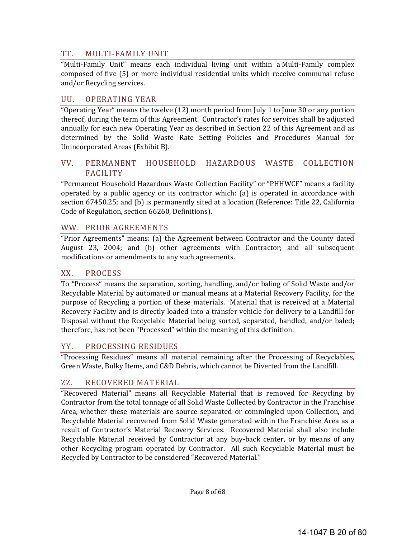### TT. MULTI‐FAMILY UNIT

"Multi-Family Unit" means each individual living unit within a Multi-Family complex composed of five (5) or more individual residential units which receive communal refuse and/or Recycling services.

#### UU. OPERATING YEAR

"Operating Year" means the twelve (12) month period from July 1 to June 30 or any portion thereof, during the term of this Agreement. Contractor's rates for services shall be adjusted annually for each new Operating Year as described in Section 22 of this Agreement and as determined by the Solid Waste Rate Setting Policies and Procedures Manual for Unincorporated Areas (Exhibit B).

#### VV. PERMANENT HOUSEHOLD HAZARDOUS WASTE COLLECTION FACILITY

"Permanent Household Hazardous Waste Collection Facility" or "PHHWCF" means a facility operated by a public agency or its contractor which: (a) is operated in accordance with section 67450.25; and (b) is permanently sited at a location (Reference: Title 22, California Code of Regulation, section 66260, Definitions).

#### WW. PRIOR AGREEMENTS

"Prior Agreements" means: (a) the Agreement between Contractor and the County dated August 23, 2004; and (b) other agreements with Contractor; and all subsequent modifications or amendments to any such agreements.

#### XX. PROCESS

To "Process" means the separation, sorting, handling, and/or baling of Solid Waste and/or Recyclable Material by automated or manual means at a Material Recovery Facility, for the purpose of Recycling a portion of these materials. Material that is received at a Material Recovery Facility and is directly loaded into a transfer vehicle for delivery to a Landfill for Disposal without the Recyclable Material being sorted, separated, handled, and/or baled; therefore, has not been "Processed" within the meaning of this definition.

#### YY. PROCESSING RESIDUES

"Processing Residues" means all material remaining after the Processing of Recyclables, Green Waste, Bulky Items, and C&D Debris, which cannot be Diverted from the Landfill.

#### ZZ. RECOVERED MATERIAL

"Recovered Material" means all Recyclable Material that is removed for Recycling by Contractor from the total tonnage of all Solid Waste Collected by Contractor in the Franchise Area, whether these materials are source separated or commingled upon Collection, and Recyclable Material recovered from Solid Waste generated within the Franchise Area as a result of Contractor's Material Recovery Services. Recovered Material shall also include Recyclable Material received by Contractor at any buy-back center, or by means of any other Recycling program operated by Contractor. All such Recyclable Material must be Recycled by Contractor to be considered "Recovered Material."

Page 8 of 68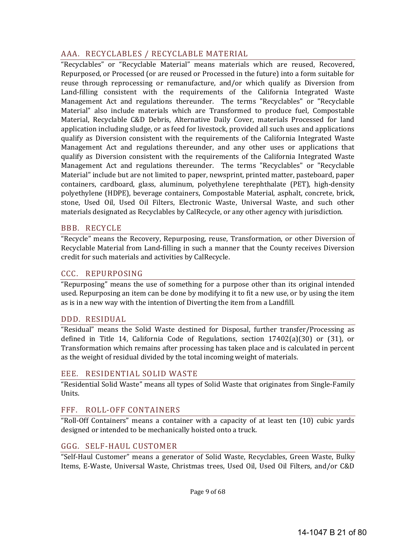# AAA. RECYCLABLES / RECYCLABLE MATERIAL

"Recyclables" or "Recyclable Material" means materials which are reused, Recovered, Repurposed, or Processed (or are reused or Processed in the future) into a form suitable for reuse through reprocessing or remanufacture, and/or which qualify as Diversion from Land-filling consistent with the requirements of the California Integrated Waste Management Act and regulations thereunder. The terms "Recyclables" or "Recyclable Material" also include materials which are Transformed to produce fuel, Compostable Material, Recyclable C&D Debris, Alternative Daily Cover, materials Processed for land application including sludge, or as feed for livestock, provided all such uses and applications qualify as Diversion consistent with the requirements of the California Integrated Waste Management Act and regulations thereunder, and any other uses or applications that qualify as Diversion consistent with the requirements of the California Integrated Waste Management Act and regulations thereunder. The terms "Recyclables" or "Recyclable Material" include but are not limited to paper, newsprint, printed matter, pasteboard, paper containers, cardboard, glass, aluminum, polyethylene terephthalate (PET), high-density polyethylene (HDPE), beverage containers, Compostable Material, asphalt, concrete, brick, stone, Used Oil, Used Oil Filters, Electronic Waste, Universal Waste, and such other materials designated as Recyclables by CalRecycle, or any other agency with jurisdiction.

# BBB. RECYCLE

"Recycle" means the Recovery, Repurposing, reuse, Transformation, or other Diversion of Recyclable Material from Land-filling in such a manner that the County receives Diversion credit for such materials and activities by CalRecycle.

### CCC. REPURPOSING

"Repurposing" means the use of something for a purpose other than its original intended used. Repurposing an item can be done by modifying it to fit a new use, or by using the item as is in a new way with the intention of Diverting the item from a Landfill.

#### DDD. RESIDUAL

"Residual" means the Solid Waste destined for Disposal, further transfer/Processing as defined in Title 14, California Code of Regulations, section  $17402(a)(30)$  or  $(31)$ , or Transformation which remains after processing has taken place and is calculated in percent as the weight of residual divided by the total incoming weight of materials.

#### EEE. RESIDENTIAL SOLID WASTE

"Residential Solid Waste" means all types of Solid Waste that originates from Single-Family Units. 

# FFF. ROLL-OFF CONTAINERS

"Roll-Off Containers" means a container with a capacity of at least ten (10) cubic yards designed or intended to be mechanically hoisted onto a truck.

#### GGG. SELF‐HAUL CUSTOMER

"Self-Haul Customer" means a generator of Solid Waste, Recyclables, Green Waste, Bulky Items, E-Waste, Universal Waste, Christmas trees, Used Oil, Used Oil Filters, and/or C&D

Page 9 of 68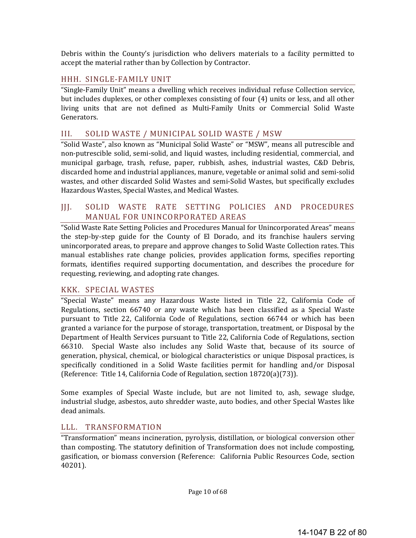Debris within the County's jurisdiction who delivers materials to a facility permitted to accept the material rather than by Collection by Contractor.

### HHH. SINGLE-FAMILY UNIT

"Single-Family Unit" means a dwelling which receives individual refuse Collection service, but includes duplexes, or other complexes consisting of four (4) units or less, and all other living units that are not defined as Multi-Family Units or Commercial Solid Waste Generators. 

#### III. SOLID WASTE / MUNICIPAL SOLID WASTE / MSW

"Solid Waste", also known as "Municipal Solid Waste" or "MSW", means all putrescible and non-putrescible solid, semi-solid, and liquid wastes, including residential, commercial, and municipal garbage, trash, refuse, paper, rubbish, ashes, industrial wastes, C&D Debris, discarded home and industrial appliances, manure, vegetable or animal solid and semi-solid wastes, and other discarded Solid Wastes and semi-Solid Wastes, but specifically excludes Hazardous Wastes, Special Wastes, and Medical Wastes.

### JJJ. SOLID WASTE RATE SETTING POLICIES AND PROCEDURES MANUAL FOR UNINCORPORATED AREAS

"Solid Waste Rate Setting Policies and Procedures Manual for Unincorporated Areas" means the step-by-step guide for the County of El Dorado, and its franchise haulers serving unincorporated areas, to prepare and approve changes to Solid Waste Collection rates. This manual establishes rate change policies, provides application forms, specifies reporting formats, identifies required supporting documentation, and describes the procedure for requesting, reviewing, and adopting rate changes.

# KKK. SPECIAL WASTES

"Special Waste" means any Hazardous Waste listed in Title 22, California Code of Regulations, section 66740 or any waste which has been classified as a Special Waste pursuant to Title 22, California Code of Regulations, section 66744 or which has been granted a variance for the purpose of storage, transportation, treatment, or Disposal by the Department of Health Services pursuant to Title 22, California Code of Regulations, section 66310. Special Waste also includes any Solid Waste that, because of its source of generation, physical, chemical, or biological characteristics or unique Disposal practices, is specifically conditioned in a Solid Waste facilities permit for handling and/or Disposal (Reference: Title 14, California Code of Regulation, section  $18720(a)(73)$ ).

Some examples of Special Waste include, but are not limited to, ash, sewage sludge, industrial sludge, asbestos, auto shredder waste, auto bodies, and other Special Wastes like dead animals.

#### LLL. TRANSFORMATION

"Transformation" means incineration, pyrolysis, distillation, or biological conversion other than composting. The statutory definition of Transformation does not include composting, gasification, or biomass conversion (Reference: California Public Resources Code, section 40201).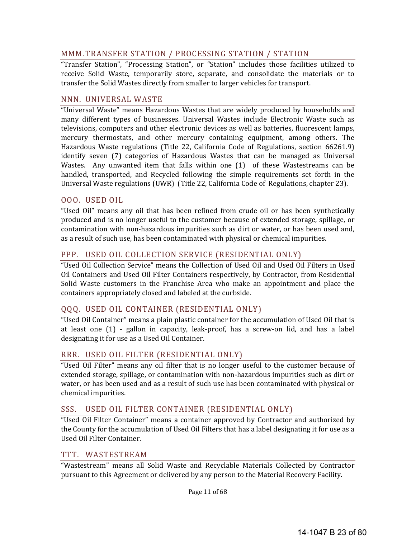# MMM. TRANSFER STATION / PROCESSING STATION / STATION

"Transfer Station", "Processing Station", or "Station" includes those facilities utilized to receive Solid Waste, temporarily store, separate, and consolidate the materials or to transfer the Solid Wastes directly from smaller to larger vehicles for transport.

#### NNN. UNIVERSAL WASTE

"Universal Waste" means Hazardous Wastes that are widely produced by households and many different types of businesses. Universal Wastes include Electronic Waste such as televisions, computers and other electronic devices as well as batteries, fluorescent lamps, mercury thermostats, and other mercury containing equipment, among others. The Hazardous Waste regulations (Title 22, California Code of Regulations, section 66261.9) identify seven (7) categories of Hazardous Wastes that can be managed as Universal Wastes. Any unwanted item that falls within one  $(1)$  of these Wastestreams can be handled, transported, and Recycled following the simple requirements set forth in the Universal Waste regulations (UWR) (Title 22, California Code of Regulations, chapter 23).

#### OOO. USED OIL

"Used Oil" means any oil that has been refined from crude oil or has been synthetically produced and is no longer useful to the customer because of extended storage, spillage, or contamination with non-hazardous impurities such as dirt or water, or has been used and, as a result of such use, has been contaminated with physical or chemical impurities.

# PPP. USED OIL COLLECTION SERVICE (RESIDENTIAL ONLY)

"Used Oil Collection Service" means the Collection of Used Oil and Used Oil Filters in Used Oil Containers and Used Oil Filter Containers respectively, by Contractor, from Residential Solid Waste customers in the Franchise Area who make an appointment and place the containers appropriately closed and labeled at the curbside.

# QQQ. USED OIL CONTAINER (RESIDENTIAL ONLY)

"Used Oil Container" means a plain plastic container for the accumulation of Used Oil that is at least one  $(1)$  - gallon in capacity, leak-proof, has a screw-on lid, and has a label designating it for use as a Used Oil Container.

# RRR. USED OIL FILTER (RESIDENTIAL ONLY)

"Used Oil Filter" means any oil filter that is no longer useful to the customer because of extended storage, spillage, or contamination with non-hazardous impurities such as dirt or water, or has been used and as a result of such use has been contaminated with physical or chemical impurities.

# SSS. USED OIL FILTER CONTAINER (RESIDENTIAL ONLY)

"Used Oil Filter Container" means a container approved by Contractor and authorized by the County for the accumulation of Used Oil Filters that has a label designating it for use as a Used Oil Filter Container. 

#### TTT. WASTESTREAM

"Wastestream" means all Solid Waste and Recyclable Materials Collected by Contractor pursuant to this Agreement or delivered by any person to the Material Recovery Facility.

Page 11 of 68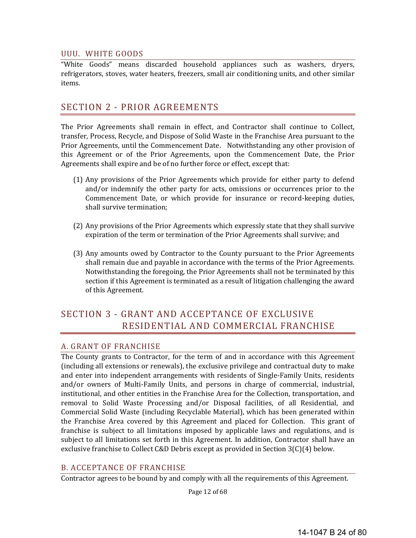#### UUU. WHITE GOODS

"White Goods" means discarded household appliances such as washers, dryers, refrigerators, stoves, water heaters, freezers, small air conditioning units, and other similar items. 

# SECTION 2 - PRIOR AGREEMENTS

The Prior Agreements shall remain in effect, and Contractor shall continue to Collect, transfer, Process, Recycle, and Dispose of Solid Waste in the Franchise Area pursuant to the Prior Agreements, until the Commencement Date. Notwithstanding any other provision of this Agreement or of the Prior Agreements, upon the Commencement Date, the Prior Agreements shall expire and be of no further force or effect, except that:

- (1) Any provisions of the Prior Agreements which provide for either party to defend and/or indemnify the other party for acts, omissions or occurrences prior to the Commencement Date, or which provide for insurance or record-keeping duties, shall survive termination;
- (2) Any provisions of the Prior Agreements which expressly state that they shall survive expiration of the term or termination of the Prior Agreements shall survive; and
- (3) Any amounts owed by Contractor to the County pursuant to the Prior Agreements shall remain due and payable in accordance with the terms of the Prior Agreements. Notwithstanding the foregoing, the Prior Agreements shall not be terminated by this section if this Agreement is terminated as a result of litigation challenging the award of this Agreement.

# SECTION 3 - GRANT AND ACCEPTANCE OF EXCLUSIVE RESIDENTIAL AND COMMERCIAL FRANCHISE

#### A. GRANT OF FRANCHISE

The County grants to Contractor, for the term of and in accordance with this Agreement (including all extensions or renewals), the exclusive privilege and contractual duty to make and enter into independent arrangements with residents of Single-Family Units, residents and/or owners of Multi-Family Units, and persons in charge of commercial, industrial, institutional, and other entities in the Franchise Area for the Collection, transportation, and removal to Solid Waste Processing and/or Disposal facilities, of all Residential, and Commercial Solid Waste (including Recyclable Material), which has been generated within the Franchise Area covered by this Agreement and placed for Collection. This grant of franchise is subject to all limitations imposed by applicable laws and regulations, and is subject to all limitations set forth in this Agreement. In addition, Contractor shall have an exclusive franchise to Collect C&D Debris except as provided in Section  $3(C)(4)$  below.

# **B. ACCEPTANCE OF FRANCHISE**

Contractor agrees to be bound by and comply with all the requirements of this Agreement.

Page 12 of 68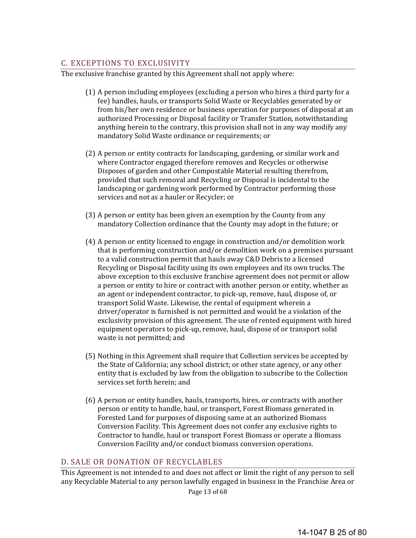# C. EXCEPTIONS TO EXCLUSIVITY

The exclusive franchise granted by this Agreement shall not apply where:

- (1) A person including employees (excluding a person who hires a third party for a fee) handles, hauls, or transports Solid Waste or Recyclables generated by or from his/her own residence or business operation for purposes of disposal at an authorized Processing or Disposal facility or Transfer Station, notwithstanding anything herein to the contrary, this provision shall not in any way modify any mandatory Solid Waste ordinance or requirements; or
- (2) A person or entity contracts for landscaping, gardening, or similar work and where Contractor engaged therefore removes and Recycles or otherwise Disposes of garden and other Compostable Material resulting therefrom, provided that such removal and Recycling or Disposal is incidental to the landscaping or gardening work performed by Contractor performing those services and not as a hauler or Recycler; or
- (3) A person or entity has been given an exemption by the County from any mandatory Collection ordinance that the County may adopt in the future; or
- $(4)$  A person or entity licensed to engage in construction and/or demolition work that is performing construction and/or demolition work on a premises pursuant to a valid construction permit that hauls away C&D Debris to a licensed Recycling or Disposal facility using its own employees and its own trucks. The above exception to this exclusive franchise agreement does not permit or allow a person or entity to hire or contract with another person or entity, whether as an agent or independent contractor, to pick-up, remove, haul, dispose of, or transport Solid Waste. Likewise, the rental of equipment wherein a driver/operator is furnished is not permitted and would be a violation of the exclusivity provision of this agreement. The use of rented equipment with hired equipment operators to pick-up, remove, haul, dispose of or transport solid waste is not permitted; and
- (5) Nothing in this Agreement shall require that Collection services be accepted by the State of California; any school district; or other state agency, or any other entity that is excluded by law from the obligation to subscribe to the Collection services set forth herein; and
- (6) A person or entity handles, hauls, transports, hires, or contracts with another person or entity to handle, haul, or transport, Forest Biomass generated in Forested Land for purposes of disposing same at an authorized Biomass Conversion Facility. This Agreement does not confer any exclusive rights to Contractor to handle, haul or transport Forest Biomass or operate a Biomass Conversion Facility and/or conduct biomass conversion operations.

#### D. SALE OR DONATION OF RECYCLABLES

This Agreement is not intended to and does not affect or limit the right of any person to sell any Recyclable Material to any person lawfully engaged in business in the Franchise Area or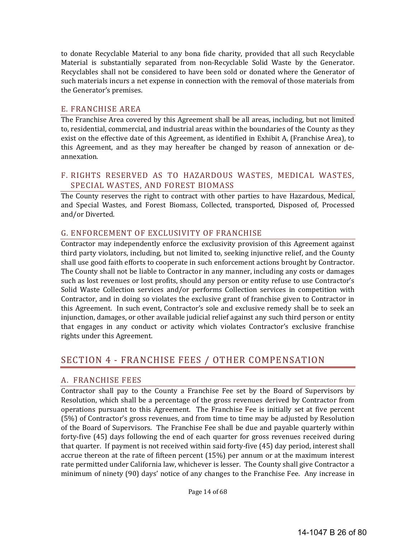to donate Recyclable Material to any bona fide charity, provided that all such Recyclable Material is substantially separated from non-Recyclable Solid Waste by the Generator. Recyclables shall not be considered to have been sold or donated where the Generator of such materials incurs a net expense in connection with the removal of those materials from the Generator's premises.

#### E. FRANCHISE AREA

The Franchise Area covered by this Agreement shall be all areas, including, but not limited to, residential, commercial, and industrial areas within the boundaries of the County as they exist on the effective date of this Agreement, as identified in Exhibit A, (Franchise Area), to this Agreement, and as they may hereafter be changed by reason of annexation or deannexation. 

# F. RIGHTS RESERVED AS TO HAZARDOUS WASTES, MEDICAL WASTES, SPECIAL WASTES, AND FOREST BIOMASS

The County reserves the right to contract with other parties to have Hazardous, Medical, and Special Wastes, and Forest Biomass, Collected, transported, Disposed of, Processed and/or Diverted.

#### G. ENFORCEMENT OF EXCLUSIVITY OF FRANCHISE

Contractor may independently enforce the exclusivity provision of this Agreement against third party violators, including, but not limited to, seeking injunctive relief, and the County shall use good faith efforts to cooperate in such enforcement actions brought by Contractor. The County shall not be liable to Contractor in any manner, including any costs or damages such as lost revenues or lost profits, should any person or entity refuse to use Contractor's Solid Waste Collection services and/or performs Collection services in competition with Contractor, and in doing so violates the exclusive grant of franchise given to Contractor in this Agreement. In such event, Contractor's sole and exclusive remedy shall be to seek an injunction, damages, or other available judicial relief against any such third person or entity that engages in any conduct or activity which violates Contractor's exclusive franchise rights under this Agreement.

# SECTION 4 - FRANCHISE FEES / OTHER COMPENSATION

# A. FRANCHISE FEES

Contractor shall pay to the County a Franchise Fee set by the Board of Supervisors by Resolution, which shall be a percentage of the gross revenues derived by Contractor from operations pursuant to this Agreement. The Franchise Fee is initially set at five percent (5%) of Contractor's gross revenues, and from time to time may be adjusted by Resolution of the Board of Supervisors. The Franchise Fee shall be due and payable quarterly within forty-five (45) days following the end of each quarter for gross revenues received during that quarter. If payment is not received within said forty-five (45) day period, interest shall accrue thereon at the rate of fifteen percent  $(15%)$  per annum or at the maximum interest rate permitted under California law, whichever is lesser. The County shall give Contractor a minimum of ninety (90) days' notice of any changes to the Franchise Fee. Any increase in

Page 14 of 68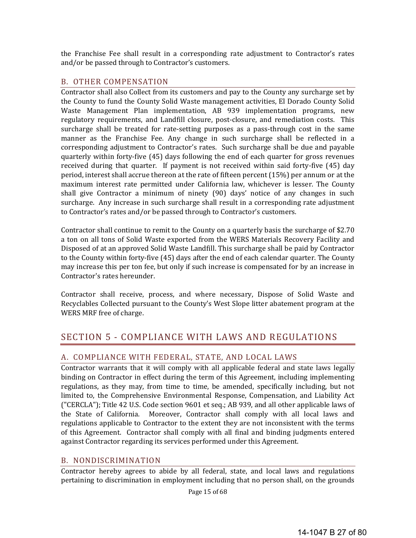the Franchise Fee shall result in a corresponding rate adjustment to Contractor's rates and/or be passed through to Contractor's customers.

#### B. OTHER COMPENSATION

Contractor shall also Collect from its customers and pay to the County any surcharge set by the County to fund the County Solid Waste management activities, El Dorado County Solid Waste Management Plan implementation, AB 939 implementation programs, new regulatory requirements, and Landfill closure, post-closure, and remediation costs. This surcharge shall be treated for rate-setting purposes as a pass-through cost in the same manner as the Franchise Fee. Any change in such surcharge shall be reflected in a corresponding adjustment to Contractor's rates. Such surcharge shall be due and payable quarterly within forty-five (45) days following the end of each quarter for gross revenues received during that quarter. If payment is not received within said forty-five  $(45)$  day period, interest shall accrue thereon at the rate of fifteen percent  $(15%)$  per annum or at the maximum interest rate permitted under California law, whichever is lesser. The County shall give Contractor a minimum of ninety  $(90)$  days' notice of any changes in such surcharge. Any increase in such surcharge shall result in a corresponding rate adjustment to Contractor's rates and/or be passed through to Contractor's customers.

Contractor shall continue to remit to the County on a quarterly basis the surcharge of \$2.70 a ton on all tons of Solid Waste exported from the WERS Materials Recovery Facility and Disposed of at an approved Solid Waste Landfill. This surcharge shall be paid by Contractor to the County within forty-five (45) days after the end of each calendar quarter. The County may increase this per ton fee, but only if such increase is compensated for by an increase in Contractor's rates hereunder.

Contractor shall receive, process, and where necessary, Dispose of Solid Waste and Recyclables Collected pursuant to the County's West Slope litter abatement program at the WERS MRF free of charge.

# SECTION 5 - COMPLIANCE WITH LAWS AND REGULATIONS

# A. COMPLIANCE WITH FEDERAL, STATE, AND LOCAL LAWS

Contractor warrants that it will comply with all applicable federal and state laws legally binding on Contractor in effect during the term of this Agreement, including implementing regulations, as they may, from time to time, be amended, specifically including, but not limited to, the Comprehensive Environmental Response, Compensation, and Liability Act ("CERCLA"); Title 42 U.S. Code section  $9601$  et seq.; AB 939, and all other applicable laws of the State of California. Moreover, Contractor shall comply with all local laws and regulations applicable to Contractor to the extent they are not inconsistent with the terms of this Agreement. Contractor shall comply with all final and binding judgments entered against Contractor regarding its services performed under this Agreement.

# B. NONDISCRIMINATION

Contractor hereby agrees to abide by all federal, state, and local laws and regulations pertaining to discrimination in employment including that no person shall, on the grounds

Page 15 of 68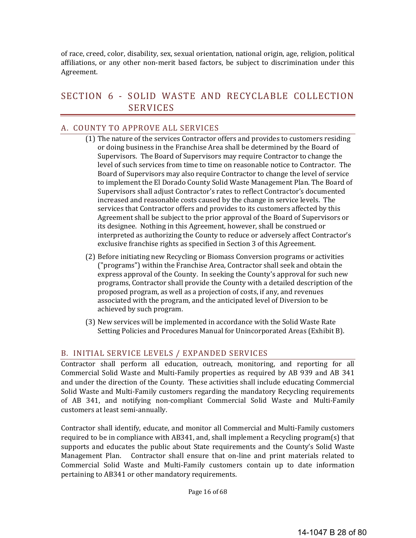of race, creed, color, disability, sex, sexual orientation, national origin, age, religion, political affiliations, or any other non-merit based factors, be subject to discrimination under this Agreement. 

# SECTION 6 - SOLID WASTE AND RECYCLABLE COLLECTION SERVICES

### A. COUNTY TO APPROVE ALL SERVICES

- (1) The nature of the services Contractor offers and provides to customers residing or doing business in the Franchise Area shall be determined by the Board of Supervisors. The Board of Supervisors may require Contractor to change the level of such services from time to time on reasonable notice to Contractor. The Board of Supervisors may also require Contractor to change the level of service to implement the El Dorado County Solid Waste Management Plan. The Board of Supervisors shall adjust Contractor's rates to reflect Contractor's documented increased and reasonable costs caused by the change in service levels. The services that Contractor offers and provides to its customers affected by this Agreement shall be subject to the prior approval of the Board of Supervisors or its designee. Nothing in this Agreement, however, shall be construed or interpreted as authorizing the County to reduce or adversely affect Contractor's exclusive franchise rights as specified in Section 3 of this Agreement.
- (2) Before initiating new Recycling or Biomass Conversion programs or activities ("programs") within the Franchise Area, Contractor shall seek and obtain the express approval of the County. In seeking the County's approval for such new programs, Contractor shall provide the County with a detailed description of the proposed program, as well as a projection of costs, if any, and revenues associated with the program, and the anticipated level of Diversion to be achieved by such program.
- (3) New services will be implemented in accordance with the Solid Waste Rate Setting Policies and Procedures Manual for Unincorporated Areas (Exhibit B).

# B. INITIAL SERVICE LEVELS / EXPANDED SERVICES

Contractor shall perform all education, outreach, monitoring, and reporting for all Commercial Solid Waste and Multi-Family properties as required by AB 939 and AB 341 and under the direction of the County. These activities shall include educating Commercial Solid Waste and Multi-Family customers regarding the mandatory Recycling requirements of AB 341, and notifying non-compliant Commercial Solid Waste and Multi-Family customers at least semi-annually.

Contractor shall identify, educate, and monitor all Commercial and Multi-Family customers required to be in compliance with AB341, and, shall implement a Recycling program(s) that supports and educates the public about State requirements and the County's Solid Waste Management Plan. Contractor shall ensure that on-line and print materials related to Commercial Solid Waste and Multi-Family customers contain up to date information pertaining to AB341 or other mandatory requirements.

Page 16 of 68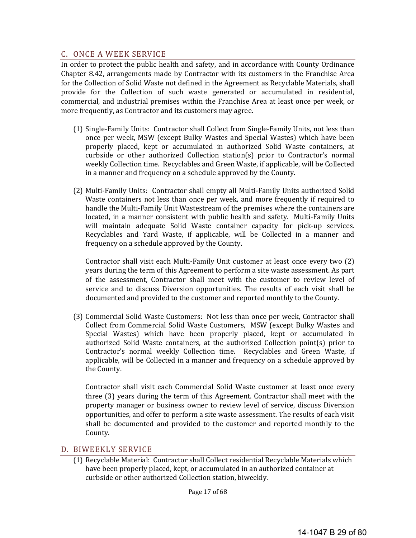### C. ONCE A WEEK SERVICE

In order to protect the public health and safety, and in accordance with County Ordinance Chapter 8.42, arrangements made by Contractor with its customers in the Franchise Area for the Collection of Solid Waste not defined in the Agreement as Recyclable Materials, shall provide for the Collection of such waste generated or accumulated in residential, commercial, and industrial premises within the Franchise Area at least once per week, or more frequently, as Contractor and its customers may agree.

- (1) Single-Family Units: Contractor shall Collect from Single-Family Units, not less than once per week, MSW (except Bulky Wastes and Special Wastes) which have been properly placed, kept or accumulated in authorized Solid Waste containers, at curbside or other authorized Collection station(s) prior to Contractor's normal weekly Collection time. Recyclables and Green Waste, if applicable, will be Collected in a manner and frequency on a schedule approved by the County.
- (2) Multi-Family Units: Contractor shall empty all Multi-Family Units authorized Solid Waste containers not less than once per week, and more frequently if required to handle the Multi-Family Unit Wastestream of the premises where the containers are located, in a manner consistent with public health and safety. Multi-Family Units will maintain adequate Solid Waste container capacity for pick-up services. Recyclables and Yard Waste, if applicable, will be Collected in a manner and frequency on a schedule approved by the County.

Contractor shall visit each Multi-Family Unit customer at least once every two  $(2)$ years during the term of this Agreement to perform a site waste assessment. As part of the assessment, Contractor shall meet with the customer to review level of service and to discuss Diversion opportunities. The results of each visit shall be documented and provided to the customer and reported monthly to the County.

(3) Commercial Solid Waste Customers: Not less than once per week, Contractor shall Collect from Commercial Solid Waste Customers, MSW (except Bulky Wastes and Special Wastes) which have been properly placed, kept or accumulated in authorized Solid Waste containers, at the authorized Collection point(s) prior to Contractor's normal weekly Collection time. Recyclables and Green Waste, if applicable, will be Collected in a manner and frequency on a schedule approved by the County.

Contractor shall visit each Commercial Solid Waste customer at least once every three  $(3)$  years during the term of this Agreement. Contractor shall meet with the property manager or business owner to review level of service, discuss Diversion opportunities, and offer to perform a site waste assessment. The results of each visit shall be documented and provided to the customer and reported monthly to the County. 

#### D. BIWEEKLY SERVICE

(1) Recyclable Material: Contractor shall Collect residential Recyclable Materials which have been properly placed, kept, or accumulated in an authorized container at curbside or other authorized Collection station, biweekly.

Page 17 of 68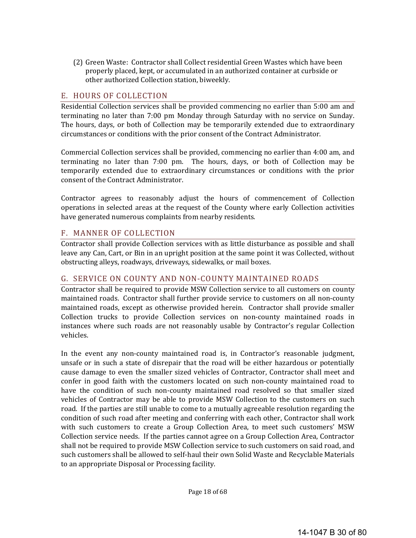(2) Green Waste: Contractor shall Collect residential Green Wastes which have been properly placed, kept, or accumulated in an authorized container at curbside or other authorized Collection station, biweekly.

# E. HOURS OF COLLECTION

Residential Collection services shall be provided commencing no earlier than 5:00 am and terminating no later than 7:00 pm Monday through Saturday with no service on Sunday. The hours, days, or both of Collection may be temporarily extended due to extraordinary circumstances or conditions with the prior consent of the Contract Administrator. 

Commercial Collection services shall be provided, commencing no earlier than 4:00 am, and terminating no later than  $7:00$  pm. The hours, days, or both of Collection may be temporarily extended due to extraordinary circumstances or conditions with the prior consent of the Contract Administrator.

Contractor agrees to reasonably adjust the hours of commencement of Collection operations in selected areas at the request of the County where early Collection activities have generated numerous complaints from nearby residents.

#### F. MANNER OF COLLECTION

Contractor shall provide Collection services with as little disturbance as possible and shall leave any Can, Cart, or Bin in an upright position at the same point it was Collected, without obstructing alleys, roadways, driveways, sidewalks, or mail boxes.

#### G. SERVICE ON COUNTY AND NON-COUNTY MAINTAINED ROADS

Contractor shall be required to provide MSW Collection service to all customers on county maintained roads. Contractor shall further provide service to customers on all non-county maintained roads, except as otherwise provided herein. Contractor shall provide smaller Collection trucks to provide Collection services on non-county maintained roads in instances where such roads are not reasonably usable by Contractor's regular Collection vehicles. 

In the event any non-county maintained road is, in Contractor's reasonable judgment, unsafe or in such a state of disrepair that the road will be either hazardous or potentially cause damage to even the smaller sized vehicles of Contractor, Contractor shall meet and confer in good faith with the customers located on such non-county maintained road to have the condition of such non-county maintained road resolved so that smaller sized vehicles of Contractor may be able to provide MSW Collection to the customers on such road. If the parties are still unable to come to a mutually agreeable resolution regarding the condition of such road after meeting and conferring with each other, Contractor shall work with such customers to create a Group Collection Area, to meet such customers' MSW Collection service needs. If the parties cannot agree on a Group Collection Area, Contractor shall not be required to provide MSW Collection service to such customers on said road, and such customers shall be allowed to self-haul their own Solid Waste and Recyclable Materials to an appropriate Disposal or Processing facility.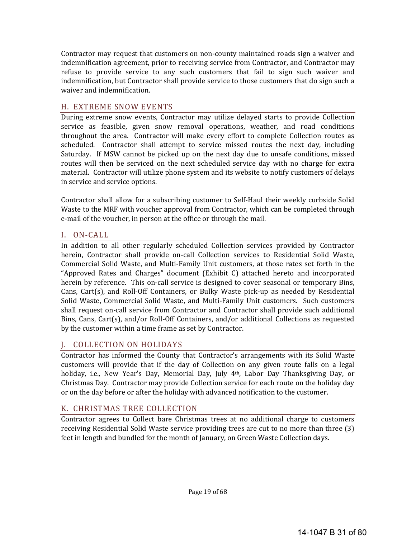Contractor may request that customers on non-county maintained roads sign a waiver and indemnification agreement, prior to receiving service from Contractor, and Contractor may refuse to provide service to any such customers that fail to sign such waiver and indemnification, but Contractor shall provide service to those customers that do sign such a waiver and indemnification.

# H. EXTREME SNOW EVENTS

During extreme snow events, Contractor may utilize delayed starts to provide Collection service as feasible, given snow removal operations, weather, and road conditions throughout the area. Contractor will make every effort to complete Collection routes as scheduled. Contractor shall attempt to service missed routes the next day, including Saturday. If MSW cannot be picked up on the next day due to unsafe conditions, missed routes will then be serviced on the next scheduled service day with no charge for extra material. Contractor will utilize phone system and its website to notify customers of delays in service and service options.

Contractor shall allow for a subscribing customer to Self-Haul their weekly curbside Solid Waste to the MRF with voucher approval from Contractor, which can be completed through e-mail of the voucher, in person at the office or through the mail.

# I. ON‐CALL

In addition to all other regularly scheduled Collection services provided by Contractor herein, Contractor shall provide on-call Collection services to Residential Solid Waste, Commercial Solid Waste, and Multi-Family Unit customers, at those rates set forth in the "Approved Rates and Charges" document  $(Exhibit C)$  attached hereto and incorporated herein by reference. This on-call service is designed to cover seasonal or temporary Bins, Cans, Cart(s), and Roll-Off Containers, or Bulky Waste pick-up as needed by Residential Solid Waste, Commercial Solid Waste, and Multi-Family Unit customers. Such customers shall request on-call service from Contractor and Contractor shall provide such additional Bins, Cans, Cart(s), and/or Roll-Off Containers, and/or additional Collections as requested by the customer within a time frame as set by Contractor.

# J. COLLECTION ON HOLIDAYS

Contractor has informed the County that Contractor's arrangements with its Solid Waste customers will provide that if the day of Collection on any given route falls on a legal holiday, i.e., New Year's Day, Memorial Day, July 4<sup>th</sup>, Labor Day Thanksgiving Day, or Christmas Day. Contractor may provide Collection service for each route on the holiday day or on the day before or after the holiday with advanced notification to the customer.

# K. CHRISTMAS TREE COLLECTION

Contractor agrees to Collect bare Christmas trees at no additional charge to customers receiving Residential Solid Waste service providing trees are cut to no more than three (3) feet in length and bundled for the month of January, on Green Waste Collection days.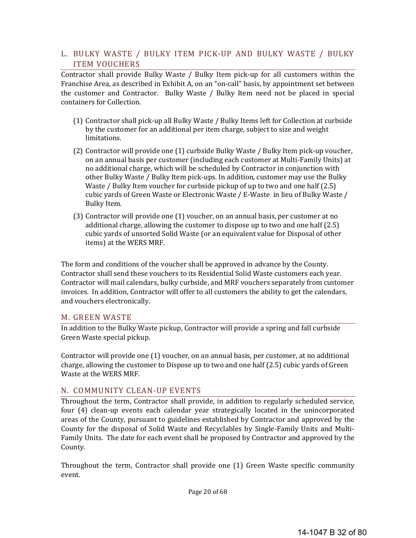### L. BULKY WASTE / BULKY ITEM PICK-UP AND BULKY WASTE / BULKY ITEM VOUCHERS

Contractor shall provide Bulky Waste / Bulky Item pick-up for all customers within the Franchise Area, as described in Exhibit A, on an "on-call" basis, by appointment set between the customer and Contractor. Bulky Waste / Bulky Item need not be placed in special containers for Collection.

- (1) Contractor shall pick-up all Bulky Waste / Bulky Items left for Collection at curbside by the customer for an additional per item charge, subject to size and weight limitations.
- (2) Contractor will provide one (1) curbside Bulky Waste / Bulky Item pick-up voucher, on an annual basis per customer (including each customer at Multi-Family Units) at no additional charge, which will be scheduled by Contractor in conjunction with other Bulky Waste / Bulky Item pick-ups. In addition, customer may use the Bulky Waste / Bulky Item voucher for curbside pickup of up to two and one half  $(2.5)$ cubic yards of Green Waste or Electronic Waste / E-Waste in lieu of Bulky Waste / Bulky Item.
- $(3)$  Contractor will provide one  $(1)$  voucher, on an annual basis, per customer at no additional charge, allowing the customer to dispose up to two and one half  $(2.5)$ cubic yards of unsorted Solid Waste (or an equivalent value for Disposal of other items) at the WERS MRF.

The form and conditions of the voucher shall be approved in advance by the County. Contractor shall send these vouchers to its Residential Solid Waste customers each year. Contractor will mail calendars, bulky curbside, and MRF vouchers separately from customer invoices. In addition, Contractor will offer to all customers the ability to get the calendars, and vouchers electronically.

#### M. GREEN WASTE

In addition to the Bulky Waste pickup, Contractor will provide a spring and fall curbside Green Waste special pickup.

Contractor will provide one  $(1)$  voucher, on an annual basis, per customer, at no additional charge, allowing the customer to Dispose up to two and one half (2.5) cubic yards of Green Waste at the WERS MRF.

#### N. COMMUNITY CLEAN-UP EVENTS

Throughout the term, Contractor shall provide, in addition to regularly scheduled service, four (4) clean-up events each calendar year strategically located in the unincorporated areas of the County, pursuant to guidelines established by Contractor and approved by the County for the disposal of Solid Waste and Recyclables by Single-Family Units and Multi-Family Units. The date for each event shall be proposed by Contractor and approved by the County. 

Throughout the term, Contractor shall provide one  $(1)$  Green Waste specific community event. 

Page 20 of 68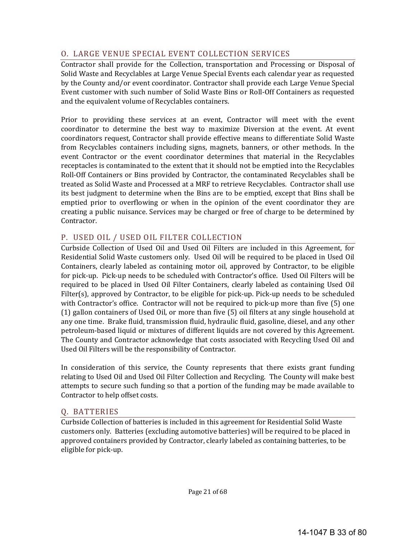# O. LARGE VENUE SPECIAL EVENT COLLECTION SERVICES

Contractor shall provide for the Collection, transportation and Processing or Disposal of Solid Waste and Recyclables at Large Venue Special Events each calendar year as requested by the County and/or event coordinator. Contractor shall provide each Large Venue Special Event customer with such number of Solid Waste Bins or Roll-Off Containers as requested and the equivalent volume of Recyclables containers.

Prior to providing these services at an event, Contractor will meet with the event coordinator to determine the best way to maximize Diversion at the event. At event coordinators request, Contractor shall provide effective means to differentiate Solid Waste from Recyclables containers including signs, magnets, banners, or other methods. In the event Contractor or the event coordinator determines that material in the Recyclables receptacles is contaminated to the extent that it should not be emptied into the Recyclables Roll-Off Containers or Bins provided by Contractor, the contaminated Recyclables shall be treated as Solid Waste and Processed at a MRF to retrieve Recyclables. Contractor shall use its best judgment to determine when the Bins are to be emptied, except that Bins shall be emptied prior to overflowing or when in the opinion of the event coordinator they are creating a public nuisance. Services may be charged or free of charge to be determined by Contractor. 

# P. USED OIL / USED OIL FILTER COLLECTION

Curbside Collection of Used Oil and Used Oil Filters are included in this Agreement, for Residential Solid Waste customers only. Used Oil will be required to be placed in Used Oil Containers, clearly labeled as containing motor oil, approved by Contractor, to be eligible for pick-up. Pick-up needs to be scheduled with Contractor's office. Used Oil Filters will be required to be placed in Used Oil Filter Containers, clearly labeled as containing Used Oil Filter(s), approved by Contractor, to be eligible for pick-up. Pick-up needs to be scheduled with Contractor's office. Contractor will not be required to pick-up more than five  $(5)$  one  $(1)$  gallon containers of Used Oil, or more than five  $(5)$  oil filters at any single household at any one time. Brake fluid, transmission fluid, hydraulic fluid, gasoline, diesel, and any other petroleum-based liquid or mixtures of different liquids are not covered by this Agreement. The County and Contractor acknowledge that costs associated with Recycling Used Oil and Used Oil Filters will be the responsibility of Contractor.

In consideration of this service, the County represents that there exists grant funding relating to Used Oil and Used Oil Filter Collection and Recycling. The County will make best attempts to secure such funding so that a portion of the funding may be made available to Contractor to help offset costs.

# Q. BATTERIES

Curbside Collection of batteries is included in this agreement for Residential Solid Waste customers only. Batteries (excluding automotive batteries) will be required to be placed in approved containers provided by Contractor, clearly labeled as containing batteries, to be eligible for pick-up.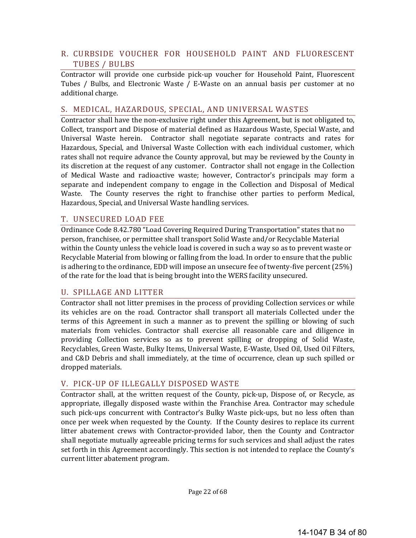# R. CURBSIDE VOUCHER FOR HOUSEHOLD PAINT AND FLUORESCENT TUBES / BULBS

Contractor will provide one curbside pick-up voucher for Household Paint, Fluorescent Tubes  $/$  Bulbs, and Electronic Waste  $/$  E-Waste on an annual basis per customer at no additional charge.

#### S. MEDICAL, HAZARDOUS, SPECIAL, AND UNIVERSAL WASTES

Contractor shall have the non-exclusive right under this Agreement, but is not obligated to, Collect, transport and Dispose of material defined as Hazardous Waste, Special Waste, and Universal Waste herein. Contractor shall negotiate separate contracts and rates for Hazardous, Special, and Universal Waste Collection with each individual customer, which rates shall not require advance the County approval, but may be reviewed by the County in its discretion at the request of any customer. Contractor shall not engage in the Collection of Medical Waste and radioactive waste; however, Contractor's principals may form a separate and independent company to engage in the Collection and Disposal of Medical Waste. The County reserves the right to franchise other parties to perform Medical, Hazardous, Special, and Universal Waste handling services.

#### T. UNSECURED LOAD FEE

Ordinance Code 8.42.780 "Load Covering Required During Transportation" states that no person, franchisee, or permittee shall transport Solid Waste and/or Recyclable Material within the County unless the vehicle load is covered in such a way so as to prevent waste or Recyclable Material from blowing or falling from the load. In order to ensure that the public is adhering to the ordinance, EDD will impose an unsecure fee of twenty-five percent  $(25%)$ of the rate for the load that is being brought into the WERS facility unsecured.

#### U. SPILLAGE AND LITTER

Contractor shall not litter premises in the process of providing Collection services or while its vehicles are on the road. Contractor shall transport all materials Collected under the terms of this Agreement in such a manner as to prevent the spilling or blowing of such materials from vehicles. Contractor shall exercise all reasonable care and diligence in providing Collection services so as to prevent spilling or dropping of Solid Waste, Recyclables, Green Waste, Bulky Items, Universal Waste, E-Waste, Used Oil, Used Oil Filters, and C&D Debris and shall immediately, at the time of occurrence, clean up such spilled or dropped materials.

# V. PICK‐UP OF ILLEGALLY DISPOSED WASTE

Contractor shall, at the written request of the County, pick-up, Dispose of, or Recycle, as appropriate, illegally disposed waste within the Franchise Area. Contractor may schedule such pick-ups concurrent with Contractor's Bulky Waste pick-ups, but no less often than once per week when requested by the County. If the County desires to replace its current litter abatement crews with Contractor-provided labor, then the County and Contractor shall negotiate mutually agreeable pricing terms for such services and shall adjust the rates set forth in this Agreement accordingly. This section is not intended to replace the County's current litter abatement program.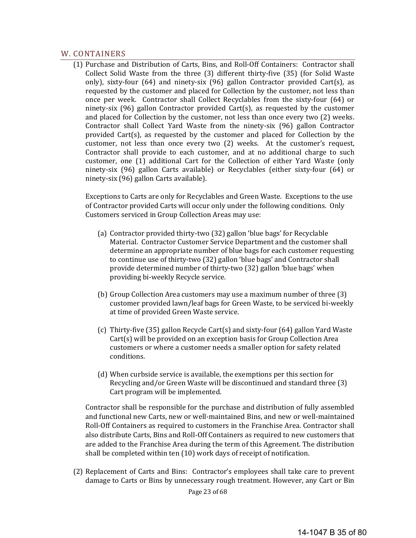#### W. CONTAINERS

(1) Purchase and Distribution of Carts, Bins, and Roll-Off Containers: Contractor shall Collect Solid Waste from the three  $(3)$  different thirty-five  $(35)$  (for Solid Waste only), sixty-four  $(64)$  and ninety-six  $(96)$  gallon Contractor provided Cart(s), as requested by the customer and placed for Collection by the customer, not less than once per week. Contractor shall Collect Recyclables from the sixty-four  $(64)$  or ninety-six  $(96)$  gallon Contractor provided Cart(s), as requested by the customer and placed for Collection by the customer, not less than once every two  $(2)$  weeks. Contractor shall Collect Yard Waste from the ninety-six (96) gallon Contractor provided  $Cart(s)$ , as requested by the customer and placed for Collection by the customer, not less than once every two  $(2)$  weeks. At the customer's request, Contractor shall provide to each customer, and at no additional charge to such customer, one (1) additional Cart for the Collection of either Yard Waste (only ninety-six (96) gallon Carts available) or Recyclables (either sixty-four (64) or ninety-six (96) gallon Carts available).

Exceptions to Carts are only for Recyclables and Green Waste. Exceptions to the use of Contractor provided Carts will occur only under the following conditions. Only Customers serviced in Group Collection Areas may use:

- (a) Contractor provided thirty-two (32) gallon 'blue bags' for Recyclable Material. Contractor Customer Service Department and the customer shall determine an appropriate number of blue bags for each customer requesting to continue use of thirty-two (32) gallon 'blue bags' and Contractor shall provide determined number of thirty-two (32) gallon 'blue bags' when providing bi-weekly Recycle service.
- (b) Group Collection Area customers may use a maximum number of three (3) customer provided lawn/leaf bags for Green Waste, to be serviced bi-weekly at time of provided Green Waste service.
- (c) Thirty-five  $(35)$  gallon Recycle Cart(s) and sixty-four  $(64)$  gallon Yard Waste  $Cart(s)$  will be provided on an exception basis for Group Collection Area customers or where a customer needs a smaller option for safety related conditions.
- (d) When curbside service is available, the exemptions per this section for Recycling and/or Green Waste will be discontinued and standard three (3) Cart program will be implemented.

Contractor shall be responsible for the purchase and distribution of fully assembled and functional new Carts, new or well-maintained Bins, and new or well-maintained Roll-Off Containers as required to customers in the Franchise Area. Contractor shall also distribute Carts, Bins and Roll-Off Containers as required to new customers that are added to the Franchise Area during the term of this Agreement. The distribution shall be completed within ten (10) work days of receipt of notification.

(2) Replacement of Carts and Bins: Contractor's employees shall take care to prevent damage to Carts or Bins by unnecessary rough treatment. However, any Cart or Bin

Page 23 of 68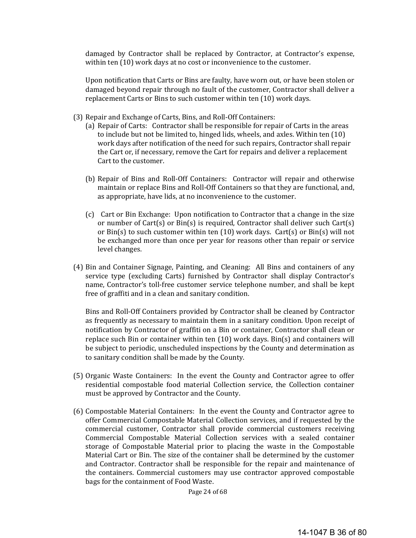damaged by Contractor shall be replaced by Contractor, at Contractor's expense, within ten  $(10)$  work days at no cost or inconvenience to the customer.

Upon notification that Carts or Bins are faulty, have worn out, or have been stolen or damaged beyond repair through no fault of the customer, Contractor shall deliver a replacement Carts or Bins to such customer within ten (10) work days.

- (3) Repair and Exchange of Carts, Bins, and Roll-Off Containers:
	- (a) Repair of Carts: Contractor shall be responsible for repair of Carts in the areas to include but not be limited to, hinged lids, wheels, and axles. Within ten (10) work days after notification of the need for such repairs, Contractor shall repair the Cart or, if necessary, remove the Cart for repairs and deliver a replacement Cart to the customer.
	- (b) Repair of Bins and Roll-Off Containers: Contractor will repair and otherwise maintain or replace Bins and Roll-Off Containers so that they are functional, and, as appropriate, have lids, at no inconvenience to the customer.
	- (c) Cart or Bin Exchange: Upon notification to Contractor that a change in the size or number of Cart(s) or  $Bin(s)$  is required, Contractor shall deliver such Cart(s) or  $Bin(s)$  to such customer within ten  $(10)$  work days. Cart(s) or  $Bin(s)$  will not be exchanged more than once per year for reasons other than repair or service level changes.
- (4) Bin and Container Signage, Painting, and Cleaning: All Bins and containers of any service type (excluding Carts) furnished by Contractor shall display Contractor's name, Contractor's toll-free customer service telephone number, and shall be kept free of graffiti and in a clean and sanitary condition.

Bins and Roll-Off Containers provided by Contractor shall be cleaned by Contractor as frequently as necessary to maintain them in a sanitary condition. Upon receipt of notification by Contractor of graffiti on a Bin or container, Contractor shall clean or replace such Bin or container within ten  $(10)$  work days. Bin(s) and containers will be subject to periodic, unscheduled inspections by the County and determination as to sanitary condition shall be made by the County.

- (5) Organic Waste Containers: In the event the County and Contractor agree to offer residential compostable food material Collection service, the Collection container must be approved by Contractor and the County.
- (6) Compostable Material Containers: In the event the County and Contractor agree to offer Commercial Compostable Material Collection services, and if requested by the commercial customer, Contractor shall provide commercial customers receiving Commercial Compostable Material Collection services with a sealed container storage of Compostable Material prior to placing the waste in the Compostable Material Cart or Bin. The size of the container shall be determined by the customer and Contractor. Contractor shall be responsible for the repair and maintenance of the containers. Commercial customers may use contractor approved compostable bags for the containment of Food Waste.

Page 24 of 68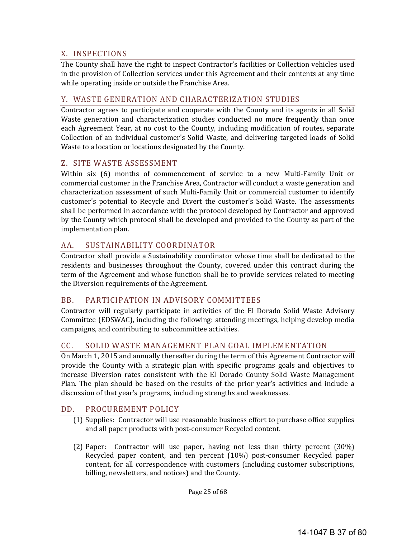## X. INSPECTIONS

The County shall have the right to inspect Contractor's facilities or Collection vehicles used in the provision of Collection services under this Agreement and their contents at any time while operating inside or outside the Franchise Area.

## Y. WASTE GENERATION AND CHARACTERIZATION STUDIES

Contractor agrees to participate and cooperate with the County and its agents in all Solid Waste generation and characterization studies conducted no more frequently than once each Agreement Year, at no cost to the County, including modification of routes, separate Collection of an individual customer's Solid Waste, and delivering targeted loads of Solid Waste to a location or locations designated by the County.

## Z. SITE WASTE ASSESSMENT

Within  $six$  (6) months of commencement of service to a new Multi-Family Unit or commercial customer in the Franchise Area, Contractor will conduct a waste generation and characterization assessment of such Multi-Family Unit or commercial customer to identify customer's potential to Recycle and Divert the customer's Solid Waste. The assessments shall be performed in accordance with the protocol developed by Contractor and approved by the County which protocol shall be developed and provided to the County as part of the implementation plan.

## AA. SUSTAINABILITY COORDINATOR

Contractor shall provide a Sustainability coordinator whose time shall be dedicated to the residents and businesses throughout the County, covered under this contract during the term of the Agreement and whose function shall be to provide services related to meeting the Diversion requirements of the Agreement.

#### BB. PARTICIPATION IN ADVISORY COMMITTEES

Contractor will regularly participate in activities of the El Dorado Solid Waste Advisory Committee (EDSWAC), including the following: attending meetings, helping develop media campaigns, and contributing to subcommittee activities.

## CC. SOLID WASTE MANAGEMENT PLAN GOAL IMPLEMENTATION

On March 1, 2015 and annually thereafter during the term of this Agreement Contractor will provide the County with a strategic plan with specific programs goals and objectives to increase Diversion rates consistent with the El Dorado County Solid Waste Management Plan. The plan should be based on the results of the prior year's activities and include a discussion of that year's programs, including strengths and weaknesses.

## DD. PROCUREMENT POLICY

- (1) Supplies: Contractor will use reasonable business effort to purchase office supplies and all paper products with post-consumer Recycled content.
- (2) Paper: Contractor will use paper, having not less than thirty percent (30%) Recycled paper content, and ten percent (10%) post-consumer Recycled paper content, for all correspondence with customers (including customer subscriptions, billing, newsletters, and notices) and the County.

Page 25 of 68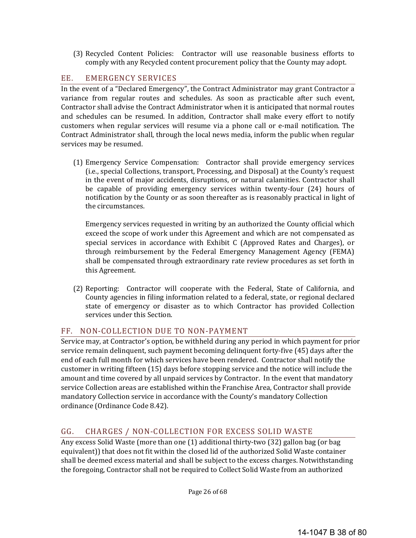(3) Recycled Content Policies: Contractor will use reasonable business efforts to comply with any Recycled content procurement policy that the County may adopt.

## EE. EMERGENCY SERVICES

In the event of a "Declared Emergency", the Contract Administrator may grant Contractor a variance from regular routes and schedules. As soon as practicable after such event, Contractor shall advise the Contract Administrator when it is anticipated that normal routes and schedules can be resumed. In addition, Contractor shall make every effort to notify customers when regular services will resume via a phone call or e-mail notification. The Contract Administrator shall, through the local news media, inform the public when regular services may be resumed.

(1) Emergency Service Compensation: Contractor shall provide emergency services (i.e., special Collections, transport, Processing, and Disposal) at the County's request in the event of major accidents, disruptions, or natural calamities. Contractor shall be capable of providing emergency services within twenty-four (24) hours of notification by the County or as soon thereafter as is reasonably practical in light of the circumstances.

Emergency services requested in writing by an authorized the County official which exceed the scope of work under this Agreement and which are not compensated as special services in accordance with Exhibit  $C$  (Approved Rates and Charges), or through reimbursement by the Federal Emergency Management Agency (FEMA) shall be compensated through extraordinary rate review procedures as set forth in this Agreement.

(2) Reporting: Contractor will cooperate with the Federal, State of California, and County agencies in filing information related to a federal, state, or regional declared state of emergency or disaster as to which Contractor has provided Collection services under this Section.

## FF. NON-COLLECTION DUE TO NON-PAYMENT

Service may, at Contractor's option, be withheld during any period in which payment for prior service remain delinquent, such payment becoming delinquent forty-five (45) days after the end of each full month for which services have been rendered. Contractor shall notify the customer in writing fifteen (15) days before stopping service and the notice will include the amount and time covered by all unpaid services by Contractor. In the event that mandatory service Collection areas are established within the Franchise Area, Contractor shall provide mandatory Collection service in accordance with the County's mandatory Collection ordinance (Ordinance Code 8.42).

## GG. CHARGES / NON-COLLECTION FOR EXCESS SOLID WASTE

Any excess Solid Waste (more than one  $(1)$  additional thirty-two  $(32)$  gallon bag (or bag equivalent)) that does not fit within the closed lid of the authorized Solid Waste container shall be deemed excess material and shall be subject to the excess charges. Notwithstanding the foregoing, Contractor shall not be required to Collect Solid Waste from an authorized

Page 26 of 68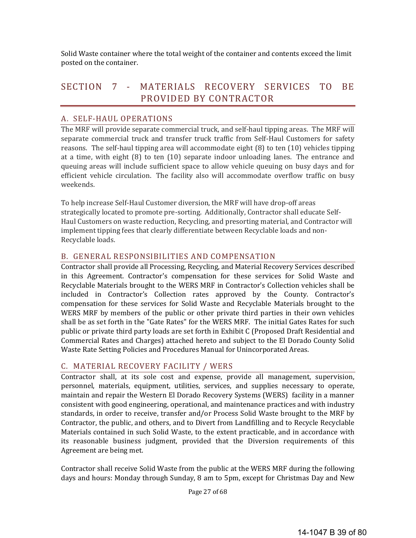Solid Waste container where the total weight of the container and contents exceed the limit posted on the container.

# SECTION 7 - MATERIALS RECOVERY SERVICES TO BE PROVIDED BY CONTRACTOR

## A. SELF‐HAUL OPERATIONS

The MRF will provide separate commercial truck, and self-haul tipping areas. The MRF will separate commercial truck and transfer truck traffic from Self-Haul Customers for safety reasons. The self-haul tipping area will accommodate eight  $(8)$  to ten  $(10)$  vehicles tipping at a time, with eight  $(8)$  to ten  $(10)$  separate indoor unloading lanes. The entrance and queuing areas will include sufficient space to allow vehicle queuing on busy days and for efficient vehicle circulation. The facility also will accommodate overflow traffic on busy weekends. 

To help increase Self-Haul Customer diversion, the MRF will have drop-off areas strategically located to promote pre-sorting. Additionally, Contractor shall educate Self-Haul Customers on waste reduction, Recycling, and presorting material, and Contractor will implement tipping fees that clearly differentiate between Recyclable loads and non-Recyclable loads.

## B. GENERAL RESPONSIBILITIES AND COMPENSATION

Contractor shall provide all Processing, Recycling, and Material Recovery Services described in this Agreement. Contractor's compensation for these services for Solid Waste and Recyclable Materials brought to the WERS MRF in Contractor's Collection vehicles shall be included in Contractor's Collection rates approved by the County. Contractor's compensation for these services for Solid Waste and Recyclable Materials brought to the WERS MRF by members of the public or other private third parties in their own vehicles shall be as set forth in the "Gate Rates" for the WERS MRF. The initial Gates Rates for such public or private third party loads are set forth in Exhibit C (Proposed Draft Residential and Commercial Rates and Charges) attached hereto and subject to the El Dorado County Solid Waste Rate Setting Policies and Procedures Manual for Unincorporated Areas.

## C. MATERIAL RECOVERY FACILITY / WERS

Contractor shall, at its sole cost and expense, provide all management, supervision, personnel, materials, equipment, utilities, services, and supplies necessary to operate, maintain and repair the Western El Dorado Recovery Systems (WERS) facility in a manner consistent with good engineering, operational, and maintenance practices and with industry standards, in order to receive, transfer and/or Process Solid Waste brought to the MRF by Contractor, the public, and others, and to Divert from Landfilling and to Recycle Recyclable Materials contained in such Solid Waste, to the extent practicable, and in accordance with its reasonable business judgment, provided that the Diversion requirements of this Agreement are being met.

Contractor shall receive Solid Waste from the public at the WERS MRF during the following days and hours: Monday through Sunday, 8 am to 5pm, except for Christmas Day and New

Page 27 of 68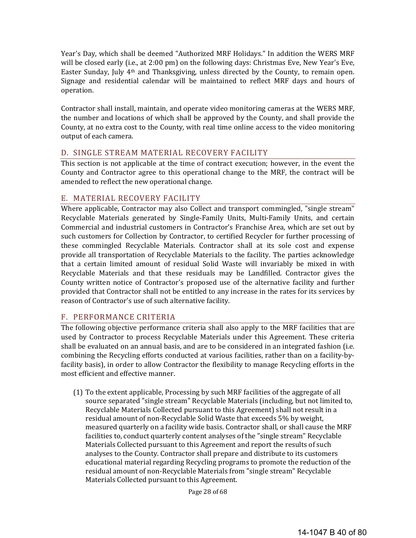Year's Day, which shall be deemed "Authorized MRF Holidays." In addition the WERS MRF will be closed early (i.e., at  $2:00 \text{ pm}$ ) on the following days: Christmas Eve, New Year's Eve, Easter Sunday, July  $4<sup>th</sup>$  and Thanksgiving, unless directed by the County, to remain open. Signage and residential calendar will be maintained to reflect MRF days and hours of operation. 

Contractor shall install, maintain, and operate video monitoring cameras at the WERS MRF, the number and locations of which shall be approved by the County, and shall provide the County, at no extra cost to the County, with real time online access to the video monitoring output of each camera.

## D. SINGLE STREAM MATERIAL RECOVERY FACILITY

This section is not applicable at the time of contract execution; however, in the event the County and Contractor agree to this operational change to the MRF, the contract will be amended to reflect the new operational change.

## E. MATERIAL RECOVERY FACILITY

Where applicable, Contractor may also Collect and transport commingled, "single stream" Recyclable Materials generated by Single-Family Units, Multi-Family Units, and certain Commercial and industrial customers in Contractor's Franchise Area, which are set out by such customers for Collection by Contractor, to certified Recycler for further processing of these commingled Recyclable Materials. Contractor shall at its sole cost and expense provide all transportation of Recyclable Materials to the facility. The parties acknowledge that a certain limited amount of residual Solid Waste will invariably be mixed in with Recyclable Materials and that these residuals may be Landfilled. Contractor gives the County written notice of Contractor's proposed use of the alternative facility and further provided that Contractor shall not be entitled to any increase in the rates for its services by reason of Contractor's use of such alternative facility.

## F. PERFORMANCE CRITERIA

The following objective performance criteria shall also apply to the MRF facilities that are used by Contractor to process Recyclable Materials under this Agreement. These criteria shall be evaluated on an annual basis, and are to be considered in an integrated fashion (i.e. combining the Recycling efforts conducted at various facilities, rather than on a facility-byfacility basis), in order to allow Contractor the flexibility to manage Recycling efforts in the most efficient and effective manner.

(1) To the extent applicable, Processing by such MRF facilities of the aggregate of all source separated "single stream" Recyclable Materials (including, but not limited to, Recyclable Materials Collected pursuant to this Agreement) shall not result in a residual amount of non-Recyclable Solid Waste that exceeds 5% by weight, measured quarterly on a facility wide basis. Contractor shall, or shall cause the MRF facilities to, conduct quarterly content analyses of the "single stream" Recyclable Materials Collected pursuant to this Agreement and report the results of such analyses to the County. Contractor shall prepare and distribute to its customers educational material regarding Recycling programs to promote the reduction of the residual amount of non-Recyclable Materials from "single stream" Recyclable Materials Collected pursuant to this Agreement.

Page 28 of 68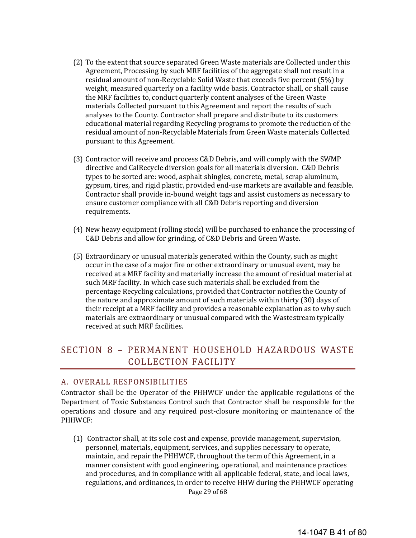- (2) To the extent that source separated Green Waste materials are Collected under this Agreement, Processing by such MRF facilities of the aggregate shall not result in a residual amount of non-Recyclable Solid Waste that exceeds five percent (5%) by weight, measured quarterly on a facility wide basis. Contractor shall, or shall cause the MRF facilities to, conduct quarterly content analyses of the Green Waste materials Collected pursuant to this Agreement and report the results of such analyses to the County. Contractor shall prepare and distribute to its customers educational material regarding Recycling programs to promote the reduction of the residual amount of non-Recyclable Materials from Green Waste materials Collected pursuant to this Agreement.
- (3) Contractor will receive and process C&D Debris, and will comply with the SWMP directive and CalRecycle diversion goals for all materials diversion. C&D Debris types to be sorted are: wood, asphalt shingles, concrete, metal, scrap aluminum, gypsum, tires, and rigid plastic, provided end-use markets are available and feasible. Contractor shall provide in-bound weight tags and assist customers as necessary to ensure customer compliance with all C&D Debris reporting and diversion requirements.
- (4) New heavy equipment (rolling stock) will be purchased to enhance the processing of C&D Debris and allow for grinding, of C&D Debris and Green Waste.
- (5) Extraordinary or unusual materials generated within the County, such as might occur in the case of a major fire or other extraordinary or unusual event, may be received at a MRF facility and materially increase the amount of residual material at such MRF facility. In which case such materials shall be excluded from the percentage Recycling calculations, provided that Contractor notifies the County of the nature and approximate amount of such materials within thirty (30) days of their receipt at a MRF facility and provides a reasonable explanation as to why such materials are extraordinary or unusual compared with the Wastestream typically received at such MRF facilities.

# SECTION 8 - PERMANENT HOUSEHOLD HAZARDOUS WASTE COLLECTION FACILITY

#### A. OVERALL RESPONSIBILITIES

Contractor shall be the Operator of the PHHWCF under the applicable regulations of the Department of Toxic Substances Control such that Contractor shall be responsible for the operations and closure and any required post-closure monitoring or maintenance of the PHHWCF: 

Page 29 of 68 (1) Contractor shall, at its sole cost and expense, provide management, supervision, personnel, materials, equipment, services, and supplies necessary to operate, maintain, and repair the PHHWCF, throughout the term of this Agreement, in a manner consistent with good engineering, operational, and maintenance practices and procedures, and in compliance with all applicable federal, state, and local laws, regulations, and ordinances, in order to receive HHW during the PHHWCF operating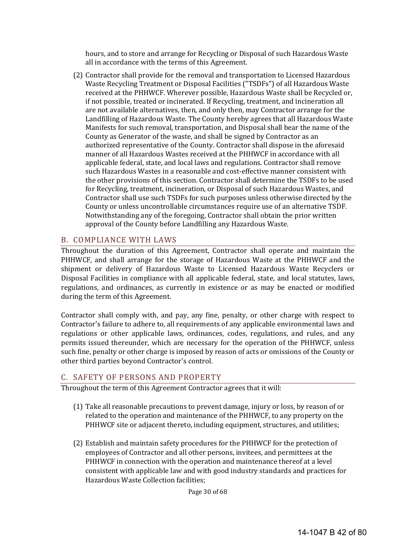hours, and to store and arrange for Recycling or Disposal of such Hazardous Waste all in accordance with the terms of this Agreement.

(2) Contractor shall provide for the removal and transportation to Licensed Hazardous Waste Recycling Treatment or Disposal Facilities ("TSDFs") of all Hazardous Waste received at the PHHWCF. Wherever possible, Hazardous Waste shall be Recycled or, if not possible, treated or incinerated. If Recycling, treatment, and incineration all are not available alternatives, then, and only then, may Contractor arrange for the Landfilling of Hazardous Waste. The County hereby agrees that all Hazardous Waste Manifests for such removal, transportation, and Disposal shall bear the name of the County as Generator of the waste, and shall be signed by Contractor as an authorized representative of the County. Contractor shall dispose in the aforesaid manner of all Hazardous Wastes received at the PHHWCF in accordance with all applicable federal, state, and local laws and regulations. Contractor shall remove such Hazardous Wastes in a reasonable and cost-effective manner consistent with the other provisions of this section. Contractor shall determine the TSDFs to be used for Recycling, treatment, incineration, or Disposal of such Hazardous Wastes, and Contractor shall use such TSDFs for such purposes unless otherwise directed by the County or unless uncontrollable circumstances require use of an alternative TSDF. Notwithstanding any of the foregoing, Contractor shall obtain the prior written approval of the County before Landfilling any Hazardous Waste.

#### B. COMPLIANCE WITH LAWS

Throughout the duration of this Agreement, Contractor shall operate and maintain the PHHWCF, and shall arrange for the storage of Hazardous Waste at the PHHWCF and the shipment or delivery of Hazardous Waste to Licensed Hazardous Waste Recyclers or Disposal Facilities in compliance with all applicable federal, state, and local statutes, laws, regulations, and ordinances, as currently in existence or as may be enacted or modified during the term of this Agreement.

Contractor shall comply with, and pay, any fine, penalty, or other charge with respect to Contractor's failure to adhere to, all requirements of any applicable environmental laws and regulations or other applicable laws, ordinances, codes, regulations, and rules, and any permits issued thereunder, which are necessary for the operation of the PHHWCF, unless such fine, penalty or other charge is imposed by reason of acts or omissions of the County or other third parties beyond Contractor's control.

#### C. SAFETY OF PERSONS AND PROPERTY

Throughout the term of this Agreement Contractor agrees that it will:

- (1) Take all reasonable precautions to prevent damage, injury or loss, by reason of or related to the operation and maintenance of the PHHWCF, to any property on the PHHWCF site or adjacent thereto, including equipment, structures, and utilities;
- (2) Establish and maintain safety procedures for the PHHWCF for the protection of employees of Contractor and all other persons, invitees, and permittees at the PHHWCF in connection with the operation and maintenance thereof at a level consistent with applicable law and with good industry standards and practices for Hazardous Waste Collection facilities;

Page 30 of 68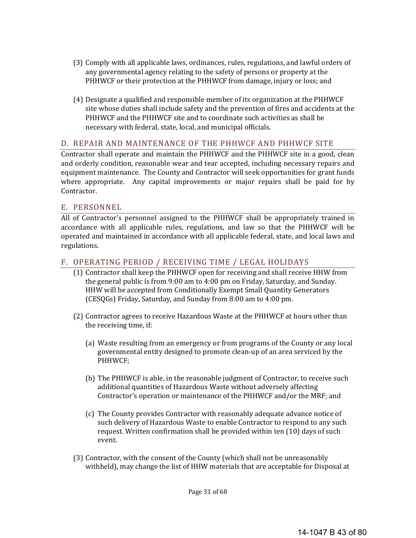- (3) Comply with all applicable laws, ordinances, rules, regulations, and lawful orders of any governmental agency relating to the safety of persons or property at the PHHWCF or their protection at the PHHWCF from damage, injury or loss; and
- (4) Designate a qualified and responsible member of its organization at the PHHWCF site whose duties shall include safety and the prevention of fires and accidents at the PHHWCF and the PHHWCF site and to coordinate such activities as shall be necessary with federal, state, local, and municipal officials.

#### D. REPAIR AND MAINTENANCE OF THE PHHWCF AND PHHWCF SITE

Contractor shall operate and maintain the PHHWCF and the PHHWCF site in a good, clean and orderly condition, reasonable wear and tear accepted, including necessary repairs and equipment maintenance. The County and Contractor will seek opportunities for grant funds where appropriate. Any capital improvements or major repairs shall be paid for by Contractor. 

#### E. PERSONNEL

All of Contractor's personnel assigned to the PHHWCF shall be appropriately trained in accordance with all applicable rules, regulations, and law so that the PHHWCF will be operated and maintained in accordance with all applicable federal, state, and local laws and regulations. 

## F. OPERATING PERIOD / RECEIVING TIME / LEGAL HOLIDAYS

- (1) Contractor shall keep the PHHWCF open for receiving and shall receive HHW from the general public is from  $9:00$  am to  $4:00$  pm on Friday, Saturday, and Sunday. HHW will be accepted from Conditionally Exempt Small Quantity Generators (CESQGs) Friday, Saturday, and Sunday from 8:00 am to 4:00 pm.
- (2) Contractor agrees to receive Hazardous Waste at the PHHWCF at hours other than the receiving time, if:
	- (a) Waste resulting from an emergency or from programs of the County or any local governmental entity designed to promote clean-up of an area serviced by the PHHWCF;
	- (b) The PHHWCF is able, in the reasonable judgment of Contractor, to receive such additional quantities of Hazardous Waste without adversely affecting Contractor's operation or maintenance of the PHHWCF and/or the MRF; and
	- (c) The County provides Contractor with reasonably adequate advance notice of such delivery of Hazardous Waste to enable Contractor to respond to any such request. Written confirmation shall be provided within ten (10) days of such event.
- (3) Contractor, with the consent of the County (which shall not be unreasonably withheld), may change the list of HHW materials that are acceptable for Disposal at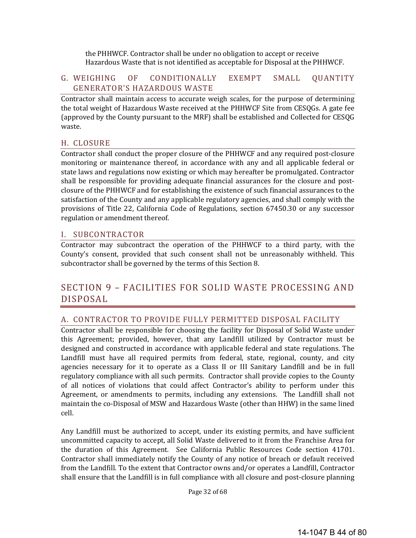the PHHWCF. Contractor shall be under no obligation to accept or receive Hazardous Waste that is not identified as acceptable for Disposal at the PHHWCF.

#### G. WEIGHING OF CONDITIONALLY EXEMPT SMALL QUANTITY GENERATOR'S HAZARDOUS WASTE

Contractor shall maintain access to accurate weigh scales, for the purpose of determining the total weight of Hazardous Waste received at the PHHWCF Site from CESQGs. A gate fee (approved by the County pursuant to the MRF) shall be established and Collected for CESQG waste. 

#### H. CLOSURE

Contractor shall conduct the proper closure of the PHHWCF and any required post-closure monitoring or maintenance thereof, in accordance with any and all applicable federal or state laws and regulations now existing or which may hereafter be promulgated. Contractor shall be responsible for providing adequate financial assurances for the closure and postclosure of the PHHWCF and for establishing the existence of such financial assurances to the satisfaction of the County and any applicable regulatory agencies, and shall comply with the provisions of Title 22, California Code of Regulations, section 67450.30 or any successor regulation or amendment thereof.

#### I. SUBCONTRACTOR

Contractor may subcontract the operation of the PHHWCF to a third party, with the County's consent, provided that such consent shall not be unreasonably withheld. This subcontractor shall be governed by the terms of this Section 8.

# SECTION 9 - FACILITIES FOR SOLID WASTE PROCESSING AND DISPOSAL

#### A. CONTRACTOR TO PROVIDE FULLY PERMITTED DISPOSAL FACILITY

Contractor shall be responsible for choosing the facility for Disposal of Solid Waste under this Agreement; provided, however, that any Landfill utilized by Contractor must be designed and constructed in accordance with applicable federal and state regulations. The Landfill must have all required permits from federal, state, regional, county, and city agencies necessary for it to operate as a Class II or III Sanitary Landfill and be in full regulatory compliance with all such permits. Contractor shall provide copies to the County of all notices of violations that could affect Contractor's ability to perform under this Agreement, or amendments to permits, including any extensions. The Landfill shall not maintain the co-Disposal of MSW and Hazardous Waste (other than HHW) in the same lined cell. 

Any Landfill must be authorized to accept, under its existing permits, and have sufficient uncommitted capacity to accept, all Solid Waste delivered to it from the Franchise Area for the duration of this Agreement. See California Public Resources Code section 41701. Contractor shall immediately notify the County of any notice of breach or default received from the Landfill. To the extent that Contractor owns and/or operates a Landfill, Contractor shall ensure that the Landfill is in full compliance with all closure and post-closure planning

Page 32 of 68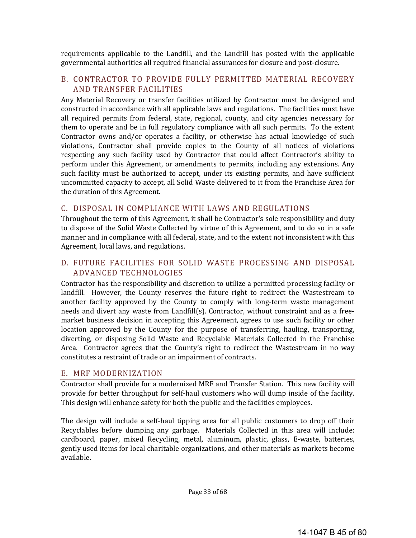requirements applicable to the Landfill, and the Landfill has posted with the applicable governmental authorities all required financial assurances for closure and post-closure.

#### B. CONTRACTOR TO PROVIDE FULLY PERMITTED MATERIAL RECOVERY AND TRANSFER FACILITIES

Any Material Recovery or transfer facilities utilized by Contractor must be designed and constructed in accordance with all applicable laws and regulations. The facilities must have all required permits from federal, state, regional, county, and city agencies necessary for them to operate and be in full regulatory compliance with all such permits. To the extent Contractor owns and/or operates a facility, or otherwise has actual knowledge of such violations, Contractor shall provide copies to the County of all notices of violations respecting any such facility used by Contractor that could affect Contractor's ability to perform under this Agreement, or amendments to permits, including any extensions. Any such facility must be authorized to accept, under its existing permits, and have sufficient uncommitted capacity to accept, all Solid Waste delivered to it from the Franchise Area for the duration of this Agreement.

#### C. DISPOSAL IN COMPLIANCE WITH LAWS AND REGULATIONS

Throughout the term of this Agreement, it shall be Contractor's sole responsibility and duty to dispose of the Solid Waste Collected by virtue of this Agreement, and to do so in a safe manner and in compliance with all federal, state, and to the extent not inconsistent with this Agreement, local laws, and regulations.

## D. FUTURE FACILITIES FOR SOLID WASTE PROCESSING AND DISPOSAL ADVANCED TECHNOLOGIES

Contractor has the responsibility and discretion to utilize a permitted processing facility or landfill. However, the County reserves the future right to redirect the Wastestream to another facility approved by the County to comply with long-term waste management needs and divert any waste from Landfill(s). Contractor, without constraint and as a freemarket business decision in accepting this Agreement, agrees to use such facility or other location approved by the County for the purpose of transferring, hauling, transporting, diverting, or disposing Solid Waste and Recyclable Materials Collected in the Franchise Area. Contractor agrees that the County's right to redirect the Wastestream in no way constitutes a restraint of trade or an impairment of contracts.

#### E. MRF MODERNIZATION

Contractor shall provide for a modernized MRF and Transfer Station. This new facility will provide for better throughput for self-haul customers who will dump inside of the facility. This design will enhance safety for both the public and the facilities employees.

The design will include a self-haul tipping area for all public customers to drop off their Recyclables before dumping any garbage. Materials Collected in this area will include: cardboard, paper, mixed Recycling, metal, aluminum, plastic, glass, E-waste, batteries, gently used items for local charitable organizations, and other materials as markets become available.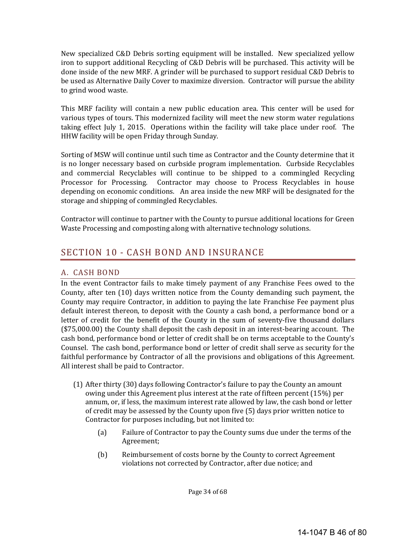New specialized C&D Debris sorting equipment will be installed. New specialized yellow iron to support additional Recycling of C&D Debris will be purchased. This activity will be done inside of the new MRF. A grinder will be purchased to support residual C&D Debris to be used as Alternative Daily Cover to maximize diversion. Contractor will pursue the ability to grind wood waste.

This MRF facility will contain a new public education area. This center will be used for various types of tours. This modernized facility will meet the new storm water regulations taking effect July 1, 2015. Operations within the facility will take place under roof. The HHW facility will be open Friday through Sunday.

Sorting of MSW will continue until such time as Contractor and the County determine that it is no longer necessary based on curbside program implementation. Curbside Recyclables and commercial Recyclables will continue to be shipped to a commingled Recycling Processor for Processing. Contractor may choose to Process Recyclables in house depending on economic conditions. An area inside the new MRF will be designated for the storage and shipping of commingled Recyclables.

Contractor will continue to partner with the County to pursue additional locations for Green Waste Processing and composting along with alternative technology solutions.

# SECTION 10 - CASH BOND AND INSURANCE

## A. CASH BOND

In the event Contractor fails to make timely payment of any Franchise Fees owed to the County, after ten (10) days written notice from the County demanding such payment, the County may require Contractor, in addition to paying the late Franchise Fee payment plus default interest thereon, to deposit with the County a cash bond, a performance bond or a letter of credit for the benefit of the County in the sum of seventy-five thousand dollars  $($75,000.00)$  the County shall deposit the cash deposit in an interest-bearing account. The cash bond, performance bond or letter of credit shall be on terms acceptable to the County's Counsel. The cash bond, performance bond or letter of credit shall serve as security for the faithful performance by Contractor of all the provisions and obligations of this Agreement. All interest shall be paid to Contractor.

- $(1)$  After thirty  $(30)$  days following Contractor's failure to pay the County an amount owing under this Agreement plus interest at the rate of fifteen percent (15%) per annum, or, if less, the maximum interest rate allowed by law, the cash bond or letter of credit may be assessed by the County upon five (5) days prior written notice to Contractor for purposes including, but not limited to:
	- (a) Failure of Contractor to pay the County sums due under the terms of the Agreement;
	- (b) Reimbursement of costs borne by the County to correct Agreement violations not corrected by Contractor, after due notice; and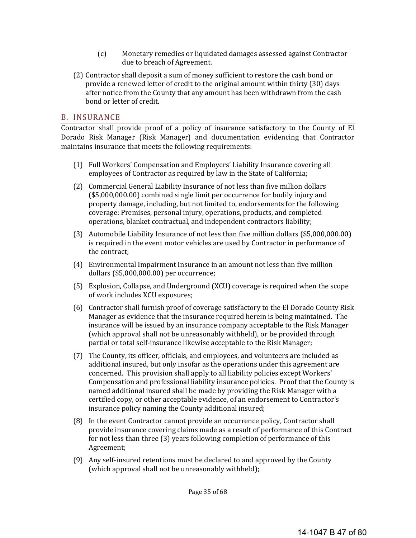- (c) Monetary remedies or liquidated damages assessed against Contractor due to breach of Agreement.
- (2) Contractor shall deposit a sum of money sufficient to restore the cash bond or provide a renewed letter of credit to the original amount within thirty (30) days after notice from the County that any amount has been withdrawn from the cash bond or letter of credit.

#### B. INSURANCE

Contractor shall provide proof of a policy of insurance satisfactory to the County of El Dorado Risk Manager (Risk Manager) and documentation evidencing that Contractor maintains insurance that meets the following requirements:

- (1) Full Workers' Compensation and Employers' Liability Insurance covering all employees of Contractor as required by law in the State of California;
- (2) Commercial General Liability Insurance of not less than five million dollars  $($5,000,000.00)$  combined single limit per occurrence for bodily injury and property damage, including, but not limited to, endorsements for the following coverage: Premises, personal injury, operations, products, and completed operations, blanket contractual, and independent contractors liability;
- (3) Automobile Liability Insurance of not less than five million dollars (\$5,000,000.00) is required in the event motor vehicles are used by Contractor in performance of the contract:
- (4) Environmental Impairment Insurance in an amount not less than five million dollars (\$5,000,000.00) per occurrence;
- (5) Explosion, Collapse, and Underground (XCU) coverage is required when the scope of work includes XCU exposures;
- (6) Contractor shall furnish proof of coverage satisfactory to the El Dorado County Risk Manager as evidence that the insurance required herein is being maintained. The insurance will be issued by an insurance company acceptable to the Risk Manager (which approval shall not be unreasonably withheld), or be provided through partial or total self-insurance likewise acceptable to the Risk Manager;
- (7) The County, its officer, officials, and employees, and volunteers are included as additional insured, but only insofar as the operations under this agreement are concerned. This provision shall apply to all liability policies except Workers' Compensation and professional liability insurance policies. Proof that the County is named additional insured shall be made by providing the Risk Manager with a certified copy, or other acceptable evidence, of an endorsement to Contractor's insurance policy naming the County additional insured;
- (8) In the event Contractor cannot provide an occurrence policy, Contractor shall provide insurance covering claims made as a result of performance of this Contract for not less than three (3) years following completion of performance of this Agreement;
- (9) Any self-insured retentions must be declared to and approved by the County (which approval shall not be unreasonably withheld);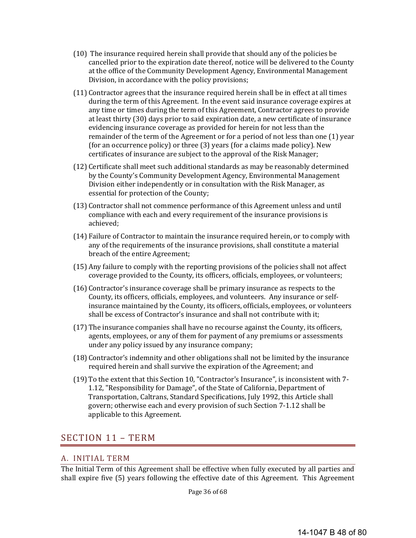- (10) The insurance required herein shall provide that should any of the policies be cancelled prior to the expiration date thereof, notice will be delivered to the County at the office of the Community Development Agency, Environmental Management Division, in accordance with the policy provisions;
- (11) Contractor agrees that the insurance required herein shall be in effect at all times during the term of this Agreement. In the event said insurance coverage expires at any time or times during the term of this Agreement, Contractor agrees to provide at least thirty (30) days prior to said expiration date, a new certificate of insurance evidencing insurance coverage as provided for herein for not less than the remainder of the term of the Agreement or for a period of not less than one (1) year (for an occurrence policy) or three  $(3)$  years (for a claims made policy). New certificates of insurance are subject to the approval of the Risk Manager;
- $(12)$  Certificate shall meet such additional standards as may be reasonably determined by the County's Community Development Agency, Environmental Management Division either independently or in consultation with the Risk Manager, as essential for protection of the County;
- (13) Contractor shall not commence performance of this Agreement unless and until compliance with each and every requirement of the insurance provisions is achieved;
- (14) Failure of Contractor to maintain the insurance required herein, or to comply with any of the requirements of the insurance provisions, shall constitute a material breach of the entire Agreement;
- (15) Any failure to comply with the reporting provisions of the policies shall not affect coverage provided to the County, its officers, officials, employees, or volunteers;
- $(16)$  Contractor's insurance coverage shall be primary insurance as respects to the County, its officers, officials, employees, and volunteers. Any insurance or selfinsurance maintained by the County, its officers, officials, employees, or volunteers shall be excess of Contractor's insurance and shall not contribute with it;
- $(17)$  The insurance companies shall have no recourse against the County, its officers, agents, employees, or any of them for payment of any premiums or assessments under any policy issued by any insurance company;
- (18) Contractor's indemnity and other obligations shall not be limited by the insurance required herein and shall survive the expiration of the Agreement; and
- (19) To the extent that this Section 10, "Contractor's Insurance", is inconsistent with  $7$ -1.12, "Responsibility for Damage", of the State of California, Department of Transportation, Caltrans, Standard Specifications, July 1992, this Article shall govern; otherwise each and every provision of such Section 7-1.12 shall be applicable to this Agreement.

# SECTION 11 - TERM

## A. INITIAL TERM

The Initial Term of this Agreement shall be effective when fully executed by all parties and shall expire five (5) years following the effective date of this Agreement. This Agreement

Page 36 of 68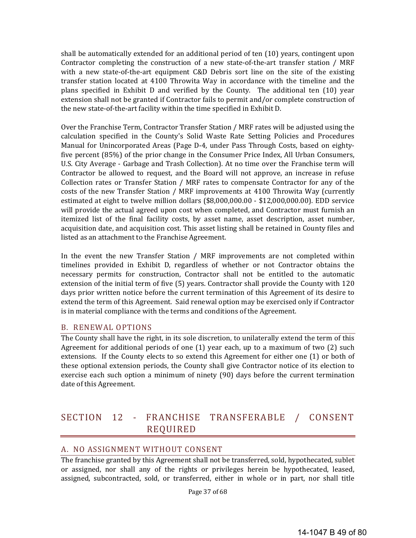shall be automatically extended for an additional period of ten  $(10)$  years, contingent upon Contractor completing the construction of a new state-of-the-art transfer station / MRF with a new state-of-the-art equipment  $C&D$  Debris sort line on the site of the existing transfer station located at 4100 Throwita Way in accordance with the timeline and the plans specified in Exhibit D and verified by the County. The additional ten (10) year extension shall not be granted if Contractor fails to permit and/or complete construction of the new state-of-the-art facility within the time specified in Exhibit D.

Over the Franchise Term, Contractor Transfer Station / MRF rates will be adjusted using the calculation specified in the County's Solid Waste Rate Setting Policies and Procedures Manual for Unincorporated Areas (Page D-4, under Pass Through Costs, based on eightyfive percent  $(85%)$  of the prior change in the Consumer Price Index, All Urban Consumers, U.S. City Average - Garbage and Trash Collection). At no time over the Franchise term will Contractor be allowed to request, and the Board will not approve, an increase in refuse Collection rates or Transfer Station / MRF rates to compensate Contractor for any of the costs of the new Transfer Station / MRF improvements at 4100 Throwita Way (currently estimated at eight to twelve million dollars  $($8,000,000.00 - $12,000,000.00)$ . EDD service will provide the actual agreed upon cost when completed, and Contractor must furnish an itemized list of the final facility costs, by asset name, asset description, asset number, acquisition date, and acquisition cost. This asset listing shall be retained in County files and listed as an attachment to the Franchise Agreement.

In the event the new Transfer Station / MRF improvements are not completed within timelines provided in Exhibit D, regardless of whether or not Contractor obtains the necessary permits for construction, Contractor shall not be entitled to the automatic extension of the initial term of five (5) years. Contractor shall provide the County with 120 days prior written notice before the current termination of this Agreement of its desire to extend the term of this Agreement. Said renewal option may be exercised only if Contractor is in material compliance with the terms and conditions of the Agreement.

#### B. RENEWAL OPTIONS

The County shall have the right, in its sole discretion, to unilaterally extend the term of this Agreement for additional periods of one  $(1)$  year each, up to a maximum of two  $(2)$  such extensions. If the County elects to so extend this Agreement for either one  $(1)$  or both of these optional extension periods, the County shall give Contractor notice of its election to exercise each such option a minimum of ninety (90) days before the current termination date of this Agreement.

# SECTION 12 - FRANCHISE TRANSFERABLE / CONSENT REQUIRED

#### A. NO ASSIGNMENT WITHOUT CONSENT

The franchise granted by this Agreement shall not be transferred, sold, hypothecated, sublet or assigned, nor shall any of the rights or privileges herein be hypothecated, leased, assigned, subcontracted, sold, or transferred, either in whole or in part, nor shall title

Page 37 of 68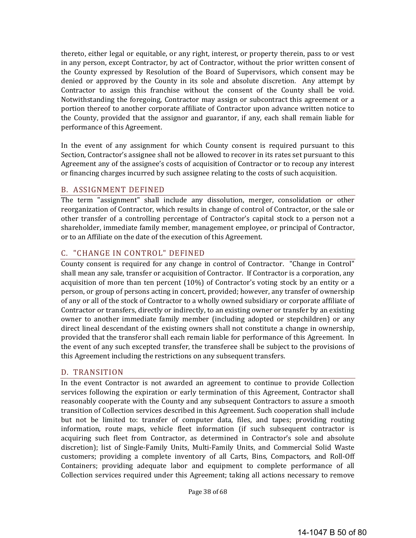thereto, either legal or equitable, or any right, interest, or property therein, pass to or vest in any person, except Contractor, by act of Contractor, without the prior written consent of the County expressed by Resolution of the Board of Supervisors, which consent may be denied or approved by the County in its sole and absolute discretion. Any attempt by Contractor to assign this franchise without the consent of the County shall be void. Notwithstanding the foregoing, Contractor may assign or subcontract this agreement or a portion thereof to another corporate affiliate of Contractor upon advance written notice to the County, provided that the assignor and guarantor, if any, each shall remain liable for performance of this Agreement.

In the event of any assignment for which County consent is required pursuant to this Section, Contractor's assignee shall not be allowed to recover in its rates set pursuant to this Agreement any of the assignee's costs of acquisition of Contractor or to recoup any interest or financing charges incurred by such assignee relating to the costs of such acquisition.

#### B. ASSIGNMENT DEFINED

The term "assignment" shall include any dissolution, merger, consolidation or other reorganization of Contractor, which results in change of control of Contractor, or the sale or other transfer of a controlling percentage of Contractor's capital stock to a person not a shareholder, immediate family member, management employee, or principal of Contractor, or to an Affiliate on the date of the execution of this Agreement.

## C. "CHANGE IN CONTROL" DEFINED

County consent is required for any change in control of Contractor. "Change in Control" shall mean any sale, transfer or acquisition of Contractor. If Contractor is a corporation, any acquisition of more than ten percent  $(10%)$  of Contractor's voting stock by an entity or a person, or group of persons acting in concert, provided; however, any transfer of ownership of any or all of the stock of Contractor to a wholly owned subsidiary or corporate affiliate of Contractor or transfers, directly or indirectly, to an existing owner or transfer by an existing owner to another immediate family member (including adopted or stepchildren) or any direct lineal descendant of the existing owners shall not constitute a change in ownership, provided that the transferor shall each remain liable for performance of this Agreement. In the event of any such excepted transfer, the transferee shall be subject to the provisions of this Agreement including the restrictions on any subsequent transfers.

#### D. TRANSITION

In the event Contractor is not awarded an agreement to continue to provide Collection services following the expiration or early termination of this Agreement, Contractor shall reasonably cooperate with the County and any subsequent Contractors to assure a smooth transition of Collection services described in this Agreement. Such cooperation shall include but not be limited to: transfer of computer data, files, and tapes; providing routing information, route maps, vehicle fleet information (if such subsequent contractor is acquiring such fleet from Contractor, as determined in Contractor's sole and absolute discretion); list of Single-Family Units, Multi-Family Units, and Commercial Solid Waste customers; providing a complete inventory of all Carts, Bins, Compactors, and Roll-Off Containers; providing adequate labor and equipment to complete performance of all Collection services required under this Agreement; taking all actions necessary to remove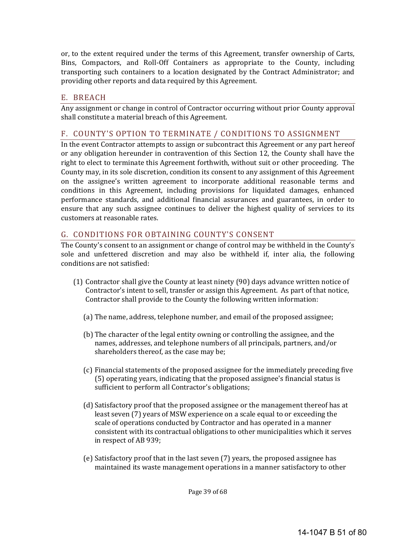or, to the extent required under the terms of this Agreement, transfer ownership of Carts, Bins, Compactors, and Roll-Off Containers as appropriate to the County, including transporting such containers to a location designated by the Contract Administrator; and providing other reports and data required by this Agreement.

## E. BREACH

Any assignment or change in control of Contractor occurring without prior County approval shall constitute a material breach of this Agreement.

## F. COUNTY'S OPTION TO TERMINATE / CONDITIONS TO ASSIGNMENT

In the event Contractor attempts to assign or subcontract this Agreement or any part hereof or any obligation hereunder in contravention of this Section 12, the County shall have the right to elect to terminate this Agreement forthwith, without suit or other proceeding. The County may, in its sole discretion, condition its consent to any assignment of this Agreement on the assignee's written agreement to incorporate additional reasonable terms and conditions in this Agreement, including provisions for liquidated damages, enhanced performance standards, and additional financial assurances and guarantees, in order to ensure that any such assignee continues to deliver the highest quality of services to its customers at reasonable rates.

## G. CONDITIONS FOR OBTAINING COUNTY'S CONSENT

The County's consent to an assignment or change of control may be withheld in the County's sole and unfettered discretion and may also be withheld if, inter alia, the following conditions are not satisfied:

- $(1)$  Contractor shall give the County at least ninety  $(90)$  days advance written notice of Contractor's intent to sell, transfer or assign this Agreement. As part of that notice, Contractor shall provide to the County the following written information:
	- (a) The name, address, telephone number, and email of the proposed assignee;
	- (b) The character of the legal entity owning or controlling the assignee, and the names, addresses, and telephone numbers of all principals, partners, and/or shareholders thereof, as the case may be;
	- (c) Financial statements of the proposed assignee for the immediately preceding five (5) operating years, indicating that the proposed assignee's financial status is sufficient to perform all Contractor's obligations;
	- (d) Satisfactory proof that the proposed assignee or the management thereof has at least seven (7) years of MSW experience on a scale equal to or exceeding the scale of operations conducted by Contractor and has operated in a manner consistent with its contractual obligations to other municipalities which it serves in respect of AB 939;
	- (e) Satisfactory proof that in the last seven (7) years, the proposed assignee has maintained its waste management operations in a manner satisfactory to other

Page 39 of 68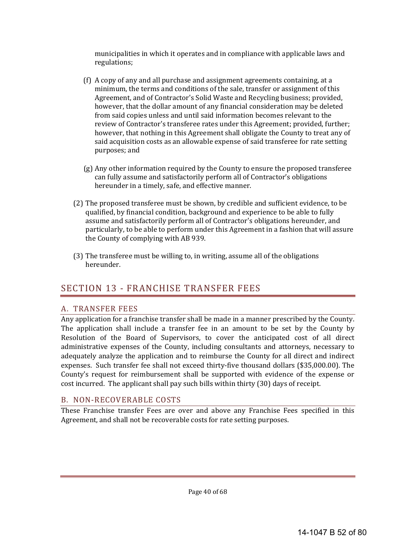municipalities in which it operates and in compliance with applicable laws and regulations; 

- (f) A copy of any and all purchase and assignment agreements containing, at a minimum, the terms and conditions of the sale, transfer or assignment of this Agreement, and of Contractor's Solid Waste and Recycling business; provided, however, that the dollar amount of any financial consideration may be deleted from said copies unless and until said information becomes relevant to the review of Contractor's transferee rates under this Agreement; provided, further; however, that nothing in this Agreement shall obligate the County to treat any of said acquisition costs as an allowable expense of said transferee for rate setting purposes; and
- $(g)$  Any other information required by the County to ensure the proposed transferee can fully assume and satisfactorily perform all of Contractor's obligations hereunder in a timely, safe, and effective manner.
- (2) The proposed transferee must be shown, by credible and sufficient evidence, to be qualified, by financial condition, background and experience to be able to fully assume and satisfactorily perform all of Contractor's obligations hereunder, and particularly, to be able to perform under this Agreement in a fashion that will assure the County of complying with AB 939.
- (3) The transferee must be willing to, in writing, assume all of the obligations hereunder.

# **SECTION 13 - FRANCHISE TRANSFER FEES**

## A. TRANSFER FEES

Any application for a franchise transfer shall be made in a manner prescribed by the County. The application shall include a transfer fee in an amount to be set by the County by Resolution of the Board of Supervisors, to cover the anticipated cost of all direct administrative expenses of the County, including consultants and attorneys, necessary to adequately analyze the application and to reimburse the County for all direct and indirect expenses. Such transfer fee shall not exceed thirty-five thousand dollars (\$35,000.00). The County's request for reimbursement shall be supported with evidence of the expense or  $\cot$  incurred. The applicant shall pay such bills within thirty  $(30)$  days of receipt.

## B. NON-RECOVERABLE COSTS

These Franchise transfer Fees are over and above any Franchise Fees specified in this Agreement, and shall not be recoverable costs for rate setting purposes.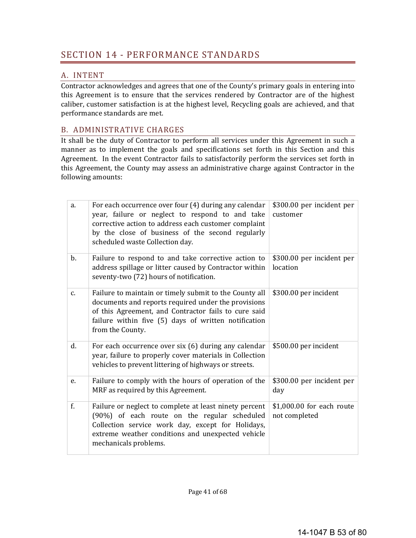## A. INTENT

Contractor acknowledges and agrees that one of the County's primary goals in entering into this Agreement is to ensure that the services rendered by Contractor are of the highest caliber, customer satisfaction is at the highest level, Recycling goals are achieved, and that performance standards are met.

## B. ADMINISTRATIVE CHARGES

It shall be the duty of Contractor to perform all services under this Agreement in such a manner as to implement the goals and specifications set forth in this Section and this Agreement. In the event Contractor fails to satisfactorily perform the services set forth in this Agreement, the County may assess an administrative charge against Contractor in the following amounts:

| a.            | For each occurrence over four (4) during any calendar<br>year, failure or neglect to respond to and take<br>corrective action to address each customer complaint<br>by the close of business of the second regularly<br>scheduled waste Collection day. | \$300.00 per incident per<br>customer      |
|---------------|---------------------------------------------------------------------------------------------------------------------------------------------------------------------------------------------------------------------------------------------------------|--------------------------------------------|
| $\mathbf b$ . | Failure to respond to and take corrective action to<br>address spillage or litter caused by Contractor within<br>seventy-two (72) hours of notification.                                                                                                | \$300.00 per incident per<br>location      |
| c.            | Failure to maintain or timely submit to the County all<br>documents and reports required under the provisions<br>of this Agreement, and Contractor fails to cure said<br>failure within five (5) days of written notification<br>from the County.       | \$300.00 per incident                      |
| d.            | For each occurrence over six (6) during any calendar<br>year, failure to properly cover materials in Collection<br>vehicles to prevent littering of highways or streets.                                                                                | \$500.00 per incident                      |
| e.            | Failure to comply with the hours of operation of the<br>MRF as required by this Agreement.                                                                                                                                                              | \$300.00 per incident per<br>day           |
| f.            | Failure or neglect to complete at least ninety percent<br>(90%) of each route on the regular scheduled<br>Collection service work day, except for Holidays,<br>extreme weather conditions and unexpected vehicle<br>mechanicals problems.               | \$1,000.00 for each route<br>not completed |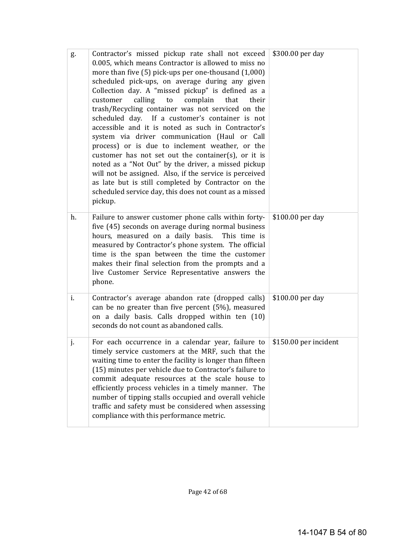| g. | Contractor's missed pickup rate shall not exceed<br>0.005, which means Contractor is allowed to miss no<br>more than five (5) pick-ups per one-thousand (1,000)<br>scheduled pick-ups, on average during any given<br>Collection day. A "missed pickup" is defined as a<br>calling<br>complain<br>customer<br>$\mathsf{to}$<br>that<br>their<br>trash/Recycling container was not serviced on the<br>scheduled day. If a customer's container is not<br>accessible and it is noted as such in Contractor's<br>system via driver communication (Haul or Call<br>process) or is due to inclement weather, or the<br>customer has not set out the container(s), or it is<br>noted as a "Not Out" by the driver, a missed pickup<br>will not be assigned. Also, if the service is perceived<br>as late but is still completed by Contractor on the<br>scheduled service day, this does not count as a missed<br>pickup. | \$300.00 per day      |
|----|---------------------------------------------------------------------------------------------------------------------------------------------------------------------------------------------------------------------------------------------------------------------------------------------------------------------------------------------------------------------------------------------------------------------------------------------------------------------------------------------------------------------------------------------------------------------------------------------------------------------------------------------------------------------------------------------------------------------------------------------------------------------------------------------------------------------------------------------------------------------------------------------------------------------|-----------------------|
| h. | Failure to answer customer phone calls within forty-<br>five (45) seconds on average during normal business<br>hours, measured on a daily basis.<br>This time is<br>measured by Contractor's phone system. The official<br>time is the span between the time the customer<br>makes their final selection from the prompts and a<br>live Customer Service Representative answers the<br>phone.                                                                                                                                                                                                                                                                                                                                                                                                                                                                                                                       | \$100.00 per day      |
| i. | Contractor's average abandon rate (dropped calls)<br>can be no greater than five percent (5%), measured<br>on a daily basis. Calls dropped within ten (10)<br>seconds do not count as abandoned calls.                                                                                                                                                                                                                                                                                                                                                                                                                                                                                                                                                                                                                                                                                                              | \$100.00 per day      |
| j. | For each occurrence in a calendar year, failure to<br>timely service customers at the MRF, such that the<br>waiting time to enter the facility is longer than fifteen<br>(15) minutes per vehicle due to Contractor's failure to<br>commit adequate resources at the scale house to<br>efficiently process vehicles in a timely manner. The<br>number of tipping stalls occupied and overall vehicle<br>traffic and safety must be considered when assessing<br>compliance with this performance metric.                                                                                                                                                                                                                                                                                                                                                                                                            | \$150.00 per incident |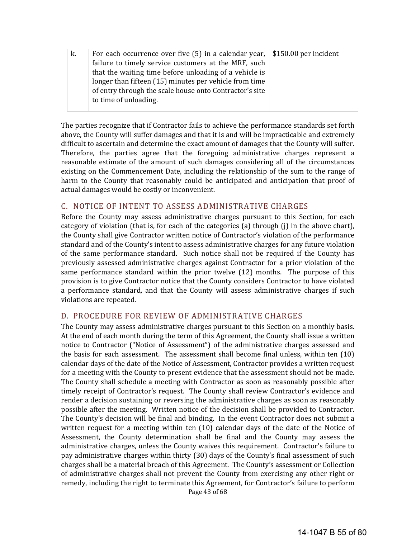| k. | For each occurrence over five (5) in a calendar year, $\vert$ \$150.00 per incident |  |
|----|-------------------------------------------------------------------------------------|--|
|    | failure to timely service customers at the MRF, such                                |  |
|    | that the waiting time before unloading of a vehicle is                              |  |
|    | longer than fifteen (15) minutes per vehicle from time                              |  |
|    | of entry through the scale house onto Contractor's site                             |  |
|    | to time of unloading.                                                               |  |
|    |                                                                                     |  |

The parties recognize that if Contractor fails to achieve the performance standards set forth above, the County will suffer damages and that it is and will be impracticable and extremely difficult to ascertain and determine the exact amount of damages that the County will suffer. Therefore, the parties agree that the foregoing administrative charges represent a reasonable estimate of the amount of such damages considering all of the circumstances existing on the Commencement Date, including the relationship of the sum to the range of harm to the County that reasonably could be anticipated and anticipation that proof of actual damages would be costly or inconvenient.

#### C. NOTICE OF INTENT TO ASSESS ADMINISTRATIVE CHARGES

Before the County may assess administrative charges pursuant to this Section, for each category of violation (that is, for each of the categories (a) through (j) in the above chart), the County shall give Contractor written notice of Contractor's violation of the performance standard and of the County's intent to assess administrative charges for any future violation of the same performance standard. Such notice shall not be required if the County has previously assessed administrative charges against Contractor for a prior violation of the same performance standard within the prior twelve (12) months. The purpose of this provision is to give Contractor notice that the County considers Contractor to have violated a performance standard, and that the County will assess administrative charges if such violations are repeated.

## D. PROCEDURE FOR REVIEW OF ADMINISTRATIVE CHARGES

Page 43 of 68 The County may assess administrative charges pursuant to this Section on a monthly basis. At the end of each month during the term of this Agreement, the County shall issue a written notice to Contractor ("Notice of Assessment") of the administrative charges assessed and the basis for each assessment. The assessment shall become final unless, within ten  $(10)$ calendar days of the date of the Notice of Assessment, Contractor provides a written request for a meeting with the County to present evidence that the assessment should not be made. The County shall schedule a meeting with Contractor as soon as reasonably possible after timely receipt of Contractor's request. The County shall review Contractor's evidence and render a decision sustaining or reversing the administrative charges as soon as reasonably possible after the meeting. Written notice of the decision shall be provided to Contractor. The County's decision will be final and binding. In the event Contractor does not submit a written request for a meeting within ten  $(10)$  calendar days of the date of the Notice of Assessment, the County determination shall be final and the County may assess the administrative charges, unless the County waives this requirement. Contractor's failure to pay administrative charges within thirty (30) days of the County's final assessment of such charges shall be a material breach of this Agreement. The County's assessment or Collection of administrative charges shall not prevent the County from exercising any other right or remedy, including the right to terminate this Agreement, for Contractor's failure to perform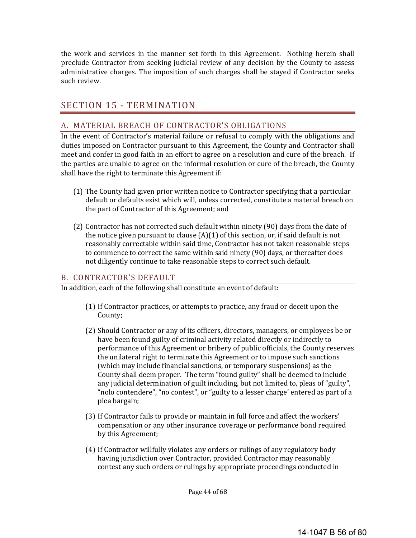the work and services in the manner set forth in this Agreement. Nothing herein shall preclude Contractor from seeking judicial review of any decision by the County to assess administrative charges. The imposition of such charges shall be stayed if Contractor seeks such review.

# SECTION 15 - TERMINATION

#### A. MATERIAL BREACH OF CONTRACTOR'S OBLIGATIONS

In the event of Contractor's material failure or refusal to comply with the obligations and duties imposed on Contractor pursuant to this Agreement, the County and Contractor shall meet and confer in good faith in an effort to agree on a resolution and cure of the breach. If the parties are unable to agree on the informal resolution or cure of the breach, the County shall have the right to terminate this Agreement if:

- (1) The County had given prior written notice to Contractor specifying that a particular default or defaults exist which will, unless corrected, constitute a material breach on the part of Contractor of this Agreement; and
- (2) Contractor has not corrected such default within ninety (90) days from the date of the notice given pursuant to clause  $(A)(1)$  of this section, or, if said default is not reasonably correctable within said time, Contractor has not taken reasonable steps to commence to correct the same within said ninety (90) days, or thereafter does not diligently continue to take reasonable steps to correct such default.

#### B. CONTRACTOR'S DEFAULT

In addition, each of the following shall constitute an event of default:

- (1) If Contractor practices, or attempts to practice, any fraud or deceit upon the County;
- (2) Should Contractor or any of its officers, directors, managers, or employees be or have been found guilty of criminal activity related directly or indirectly to performance of this Agreement or bribery of public officials, the County reserves the unilateral right to terminate this Agreement or to impose such sanctions (which may include financial sanctions, or temporary suspensions) as the County shall deem proper. The term "found guilty" shall be deemed to include any judicial determination of guilt including, but not limited to, pleas of "guilty", "nolo contendere", "no contest", or "guilty to a lesser charge' entered as part of a plea bargain;
- (3) If Contractor fails to provide or maintain in full force and affect the workers' compensation or any other insurance coverage or performance bond required by this Agreement;
- (4) If Contractor willfully violates any orders or rulings of any regulatory body having jurisdiction over Contractor, provided Contractor may reasonably contest any such orders or rulings by appropriate proceedings conducted in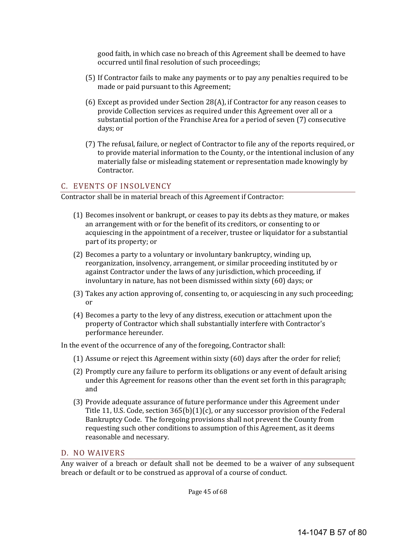good faith, in which case no breach of this Agreement shall be deemed to have occurred until final resolution of such proceedings;

- (5) If Contractor fails to make any payments or to pay any penalties required to be made or paid pursuant to this Agreement;
- $(6)$  Except as provided under Section 28(A), if Contractor for any reason ceases to provide Collection services as required under this Agreement over all or a substantial portion of the Franchise Area for a period of seven (7) consecutive days; or
- (7) The refusal, failure, or neglect of Contractor to file any of the reports required, or to provide material information to the County, or the intentional inclusion of any materially false or misleading statement or representation made knowingly by Contractor.

#### C. EVENTS OF INSOLVENCY

Contractor shall be in material breach of this Agreement if Contractor:

- $(1)$  Becomes insolvent or bankrupt, or ceases to pay its debts as they mature, or makes an arrangement with or for the benefit of its creditors, or consenting to or acquiescing in the appointment of a receiver, trustee or liquidator for a substantial part of its property; or
- (2) Becomes a party to a voluntary or involuntary bankruptcy, winding up, reorganization, insolvency, arrangement, or similar proceeding instituted by or against Contractor under the laws of any jurisdiction, which proceeding, if involuntary in nature, has not been dismissed within sixty (60) days; or
- (3) Takes any action approving of, consenting to, or acquiescing in any such proceeding; or
- (4) Becomes a party to the levy of any distress, execution or attachment upon the property of Contractor which shall substantially interfere with Contractor's performance hereunder.

In the event of the occurrence of any of the foregoing, Contractor shall:

- (1) Assume or reject this Agreement within sixty  $(60)$  days after the order for relief;
- (2) Promptly cure any failure to perform its obligations or any event of default arising under this Agreement for reasons other than the event set forth in this paragraph; and
- (3) Provide adequate assurance of future performance under this Agreement under Title 11, U.S. Code, section  $365(b)(1)(c)$ , or any successor provision of the Federal Bankruptcy Code. The foregoing provisions shall not prevent the County from requesting such other conditions to assumption of this Agreement, as it deems reasonable and necessary.

#### D. NO WAIVERS

Any waiver of a breach or default shall not be deemed to be a waiver of any subsequent breach or default or to be construed as approval of a course of conduct.

Page 45 of 68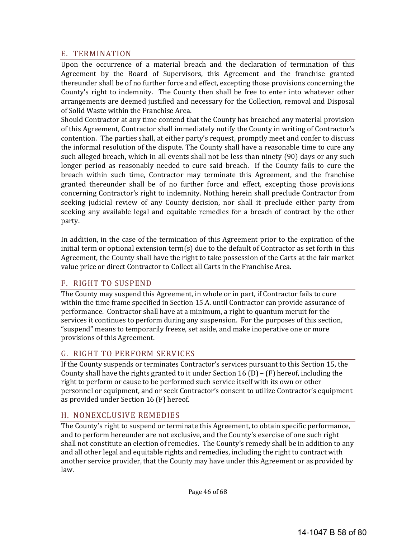#### E. TERMINATION

Upon the occurrence of a material breach and the declaration of termination of this Agreement by the Board of Supervisors, this Agreement and the franchise granted thereunder shall be of no further force and effect, excepting those provisions concerning the County's right to indemnity. The County then shall be free to enter into whatever other arrangements are deemed justified and necessary for the Collection, removal and Disposal of Solid Waste within the Franchise Area.

Should Contractor at any time contend that the County has breached any material provision of this Agreement, Contractor shall immediately notify the County in writing of Contractor's contention. The parties shall, at either party's request, promptly meet and confer to discuss the informal resolution of the dispute. The County shall have a reasonable time to cure any such alleged breach, which in all events shall not be less than ninety (90) days or any such longer period as reasonably needed to cure said breach. If the County fails to cure the breach within such time, Contractor may terminate this Agreement, and the franchise granted thereunder shall be of no further force and effect, excepting those provisions concerning Contractor's right to indemnity. Nothing herein shall preclude Contractor from seeking judicial review of any County decision, nor shall it preclude either party from seeking any available legal and equitable remedies for a breach of contract by the other party. 

In addition, in the case of the termination of this Agreement prior to the expiration of the initial term or optional extension term(s) due to the default of Contractor as set forth in this Agreement, the County shall have the right to take possession of the Carts at the fair market value price or direct Contractor to Collect all Carts in the Franchise Area.

#### F. RIGHT TO SUSPEND

The County may suspend this Agreement, in whole or in part, if Contractor fails to cure within the time frame specified in Section 15.A. until Contractor can provide assurance of performance. Contractor shall have at a minimum, a right to quantum meruit for the services it continues to perform during any suspension. For the purposes of this section, "suspend" means to temporarily freeze, set aside, and make inoperative one or more provisions of this Agreement.

## G. RIGHT TO PERFORM SERVICES

If the County suspends or terminates Contractor's services pursuant to this Section 15, the County shall have the rights granted to it under Section 16 (D) –  $(F)$  hereof, including the right to perform or cause to be performed such service itself with its own or other personnel or equipment, and or seek Contractor's consent to utilize Contractor's equipment as provided under Section  $16$  (F) hereof.

#### H. NONEXCLUSIVE REMEDIES

The County's right to suspend or terminate this Agreement, to obtain specific performance, and to perform hereunder are not exclusive, and the County's exercise of one such right shall not constitute an election of remedies. The County's remedy shall be in addition to any and all other legal and equitable rights and remedies, including the right to contract with another service provider, that the County may have under this Agreement or as provided by law. 

Page 46 of 68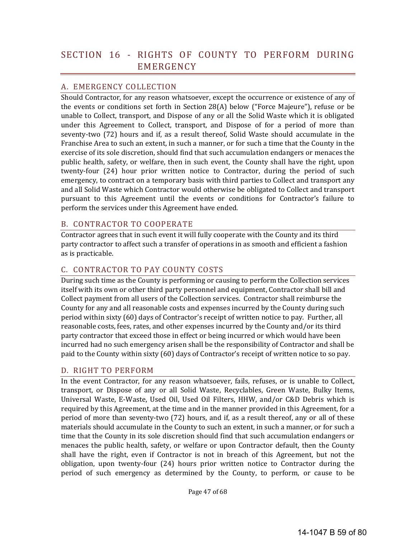# SECTION 16 - RIGHTS OF COUNTY TO PERFORM DURING EMERGENCY

## A. EMERGENCY COLLECTION

Should Contractor, for any reason whatsoever, except the occurrence or existence of any of the events or conditions set forth in Section  $28(A)$  below ("Force Majeure"), refuse or be unable to Collect, transport, and Dispose of any or all the Solid Waste which it is obligated under this Agreement to Collect, transport, and Dispose of for a period of more than seventy-two (72) hours and if, as a result thereof, Solid Waste should accumulate in the Franchise Area to such an extent, in such a manner, or for such a time that the County in the exercise of its sole discretion, should find that such accumulation endangers or menaces the public health, safety, or welfare, then in such event, the County shall have the right, upon twenty-four (24) hour prior written notice to Contractor, during the period of such emergency, to contract on a temporary basis with third parties to Collect and transport any and all Solid Waste which Contractor would otherwise be obligated to Collect and transport pursuant to this Agreement until the events or conditions for Contractor's failure to perform the services under this Agreement have ended.

## B. CONTRACTOR TO COOPERATE

Contractor agrees that in such event it will fully cooperate with the County and its third party contractor to affect such a transfer of operations in as smooth and efficient a fashion as is practicable.

## C. CONTRACTOR TO PAY COUNTY COSTS

During such time as the County is performing or causing to perform the Collection services itself with its own or other third party personnel and equipment, Contractor shall bill and Collect payment from all users of the Collection services. Contractor shall reimburse the County for any and all reasonable costs and expenses incurred by the County during such period within sixty (60) days of Contractor's receipt of written notice to pay. Further, all reasonable costs, fees, rates, and other expenses incurred by the County and/or its third party contractor that exceed those in effect or being incurred or which would have been incurred had no such emergency arisen shall be the responsibility of Contractor and shall be paid to the County within sixty (60) days of Contractor's receipt of written notice to so pay.

## D. RIGHT TO PERFORM

In the event Contractor, for any reason whatsoever, fails, refuses, or is unable to Collect, transport, or Dispose of any or all Solid Waste, Recyclables, Green Waste, Bulky Items, Universal Waste, E-Waste, Used Oil, Used Oil Filters, HHW, and/or C&D Debris which is required by this Agreement, at the time and in the manner provided in this Agreement, for a period of more than seventy-two (72) hours, and if, as a result thereof, any or all of these materials should accumulate in the County to such an extent, in such a manner, or for such a time that the County in its sole discretion should find that such accumulation endangers or menaces the public health, safety, or welfare or upon Contractor default, then the County shall have the right, even if Contractor is not in breach of this Agreement, but not the obligation, upon twenty-four  $(24)$  hours prior written notice to Contractor during the period of such emergency as determined by the County, to perform, or cause to be

Page 47 of 68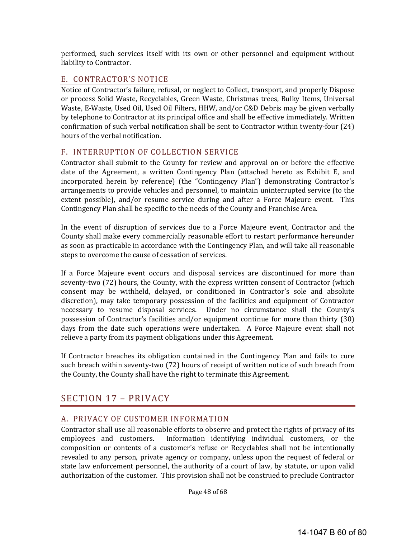performed, such services itself with its own or other personnel and equipment without liability to Contractor.

#### E. CONTRACTOR'S NOTICE

Notice of Contractor's failure, refusal, or neglect to Collect, transport, and properly Dispose or process Solid Waste, Recyclables, Green Waste, Christmas trees, Bulky Items, Universal Waste, E-Waste, Used Oil, Used Oil Filters, HHW, and/or C&D Debris may be given verbally by telephone to Contractor at its principal office and shall be effective immediately. Written confirmation of such verbal notification shall be sent to Contractor within twenty-four (24) hours of the verbal notification.

## F. INTERRUPTION OF COLLECTION SERVICE

Contractor shall submit to the County for review and approval on or before the effective date of the Agreement, a written Contingency Plan (attached hereto as Exhibit E, and incorporated herein by reference) (the "Contingency Plan") demonstrating Contractor's arrangements to provide vehicles and personnel, to maintain uninterrupted service (to the extent possible), and/or resume service during and after a Force Majeure event. This Contingency Plan shall be specific to the needs of the County and Franchise Area.

In the event of disruption of services due to a Force Majeure event, Contractor and the County shall make every commercially reasonable effort to restart performance hereunder as soon as practicable in accordance with the Contingency Plan, and will take all reasonable steps to overcome the cause of cessation of services.

If a Force Majeure event occurs and disposal services are discontinued for more than seventy-two (72) hours, the County, with the express written consent of Contractor (which consent may be withheld, delayed, or conditioned in Contractor's sole and absolute discretion), may take temporary possession of the facilities and equipment of Contractor necessary to resume disposal services. Under no circumstance shall the County's possession of Contractor's facilities and/or equipment continue for more than thirty (30) days from the date such operations were undertaken. A Force Majeure event shall not relieve a party from its payment obligations under this Agreement.

If Contractor breaches its obligation contained in the Contingency Plan and fails to cure such breach within seventy-two (72) hours of receipt of written notice of such breach from the County, the County shall have the right to terminate this Agreement.

## SECTION 17 - PRIVACY

## A. PRIVACY OF CUSTOMER INFORMATION

Contractor shall use all reasonable efforts to observe and protect the rights of privacy of its employees and customers. Information identifying individual customers, or the composition or contents of a customer's refuse or Recyclables shall not be intentionally revealed to any person, private agency or company, unless upon the request of federal or state law enforcement personnel, the authority of a court of law, by statute, or upon valid authorization of the customer. This provision shall not be construed to preclude Contractor

Page 48 of 68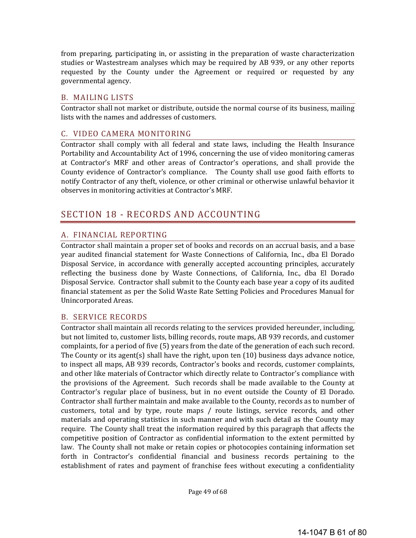from preparing, participating in, or assisting in the preparation of waste characterization studies or Wastestream analyses which may be required by AB 939, or any other reports requested by the County under the Agreement or required or requested by any governmental agency. 

## B. MAILING LISTS

Contractor shall not market or distribute, outside the normal course of its business, mailing lists with the names and addresses of customers.

#### C. VIDEO CAMERA MONITORING

Contractor shall comply with all federal and state laws, including the Health Insurance Portability and Accountability Act of 1996, concerning the use of video monitoring cameras at Contractor's MRF and other areas of Contractor's operations, and shall provide the County evidence of Contractor's compliance. The County shall use good faith efforts to notify Contractor of any theft, violence, or other criminal or otherwise unlawful behavior it observes in monitoring activities at Contractor's MRF.

# SECTION 18 - RECORDS AND ACCOUNTING

## A. FINANCIAL REPORTING

Contractor shall maintain a proper set of books and records on an accrual basis, and a base year audited financial statement for Waste Connections of California, Inc., dba El Dorado Disposal Service, in accordance with generally accepted accounting principles, accurately reflecting the business done by Waste Connections, of California, Inc., dba El Dorado Disposal Service. Contractor shall submit to the County each base year a copy of its audited financial statement as per the Solid Waste Rate Setting Policies and Procedures Manual for Unincorporated Areas. 

#### B. SERVICE RECORDS

Contractor shall maintain all records relating to the services provided hereunder, including, but not limited to, customer lists, billing records, route maps, AB 939 records, and customer complaints, for a period of five (5) years from the date of the generation of each such record. The County or its agent(s) shall have the right, upon ten  $(10)$  business days advance notice, to inspect all maps, AB 939 records, Contractor's books and records, customer complaints, and other like materials of Contractor which directly relate to Contractor's compliance with the provisions of the Agreement. Such records shall be made available to the County at Contractor's regular place of business, but in no event outside the County of El Dorado. Contractor shall further maintain and make available to the County, records as to number of customers, total and by type, route maps / route listings, service records, and other materials and operating statistics in such manner and with such detail as the County may require. The County shall treat the information required by this paragraph that affects the competitive position of Contractor as confidential information to the extent permitted by law. The County shall not make or retain copies or photocopies containing information set forth in Contractor's confidential financial and business records pertaining to the establishment of rates and payment of franchise fees without executing a confidentiality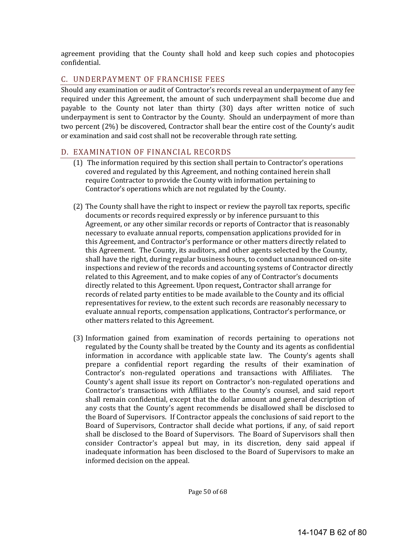agreement providing that the County shall hold and keep such copies and photocopies confidential. 

## C. UNDERPAYMENT OF FRANCHISE FEES

Should any examination or audit of Contractor's records reveal an underpayment of any fee required under this Agreement, the amount of such underpayment shall become due and payable to the County not later than thirty (30) days after written notice of such underpayment is sent to Contractor by the County. Should an underpayment of more than two percent (2%) be discovered, Contractor shall bear the entire cost of the County's audit or examination and said cost shall not be recoverable through rate setting.

## D. EXAMINATION OF FINANCIAL RECORDS

- $(1)$  The information required by this section shall pertain to Contractor's operations covered and regulated by this Agreement, and nothing contained herein shall require Contractor to provide the County with information pertaining to Contractor's operations which are not regulated by the County.
- (2) The County shall have the right to inspect or review the payroll tax reports, specific documents or records required expressly or by inference pursuant to this Agreement, or any other similar records or reports of Contractor that is reasonably necessary to evaluate annual reports, compensation applications provided for in this Agreement, and Contractor's performance or other matters directly related to this Agreement. The County, its auditors, and other agents selected by the County, shall have the right, during regular business hours, to conduct unannounced on-site inspections and review of the records and accounting systems of Contractor directly related to this Agreement, and to make copies of any of Contractor's documents directly related to this Agreement. Upon request, Contractor shall arrange for records of related party entities to be made available to the County and its official representatives for review, to the extent such records are reasonably necessary to evaluate annual reports, compensation applications, Contractor's performance, or other matters related to this Agreement.
- (3) Information gained from examination of records pertaining to operations not regulated by the County shall be treated by the County and its agents as confidential information in accordance with applicable state law. The County's agents shall prepare a confidential report regarding the results of their examination of Contractor's non-regulated operations and transactions with Affiliates. The County's agent shall issue its report on Contractor's non-regulated operations and Contractor's transactions with Affiliates to the County's counsel, and said report shall remain confidential, except that the dollar amount and general description of any costs that the County's agent recommends be disallowed shall be disclosed to the Board of Supervisors. If Contractor appeals the conclusions of said report to the Board of Supervisors, Contractor shall decide what portions, if any, of said report shall be disclosed to the Board of Supervisors. The Board of Supervisors shall then consider Contractor's appeal but may, in its discretion, deny said appeal if inadequate information has been disclosed to the Board of Supervisors to make an informed decision on the appeal.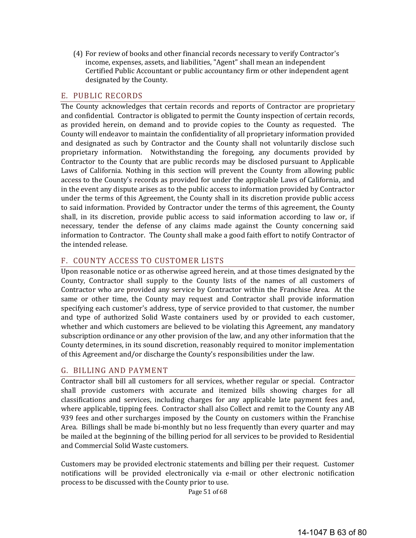(4) For review of books and other financial records necessary to verify Contractor's income, expenses, assets, and liabilities, "Agent" shall mean an independent Certified Public Accountant or public accountancy firm or other independent agent designated by the County.

## E. PUBLIC RECORDS

The County acknowledges that certain records and reports of Contractor are proprietary and confidential. Contractor is obligated to permit the County inspection of certain records, as provided herein, on demand and to provide copies to the County as requested. The County will endeavor to maintain the confidentiality of all proprietary information provided and designated as such by Contractor and the County shall not voluntarily disclose such proprietary information. Notwithstanding the foregoing, any documents provided by Contractor to the County that are public records may be disclosed pursuant to Applicable Laws of California. Nothing in this section will prevent the County from allowing public access to the County's records as provided for under the applicable Laws of California, and in the event any dispute arises as to the public access to information provided by Contractor under the terms of this Agreement, the County shall in its discretion provide public access to said information. Provided by Contractor under the terms of this agreement, the County shall, in its discretion, provide public access to said information according to law or, if necessary, tender the defense of any claims made against the County concerning said information to Contractor. The County shall make a good faith effort to notify Contractor of the intended release.

#### F. COUNTY ACCESS TO CUSTOMER LISTS

Upon reasonable notice or as otherwise agreed herein, and at those times designated by the County, Contractor shall supply to the County lists of the names of all customers of Contractor who are provided any service by Contractor within the Franchise Area. At the same or other time, the County may request and Contractor shall provide information specifying each customer's address, type of service provided to that customer, the number and type of authorized Solid Waste containers used by or provided to each customer, whether and which customers are believed to be violating this Agreement, any mandatory subscription ordinance or any other provision of the law, and any other information that the County determines, in its sound discretion, reasonably required to monitor implementation of this Agreement and/or discharge the County's responsibilities under the law.

## G. BILLING AND PAYMENT

Contractor shall bill all customers for all services, whether regular or special. Contractor shall provide customers with accurate and itemized bills showing charges for all classifications and services, including charges for any applicable late payment fees and, where applicable, tipping fees. Contractor shall also Collect and remit to the County any AB 939 fees and other surcharges imposed by the County on customers within the Franchise Area. Billings shall be made bi-monthly but no less frequently than every quarter and may be mailed at the beginning of the billing period for all services to be provided to Residential and Commercial Solid Waste customers.

Customers may be provided electronic statements and billing per their request. Customer notifications will be provided electronically via e-mail or other electronic notification process to be discussed with the County prior to use.

Page 51 of 68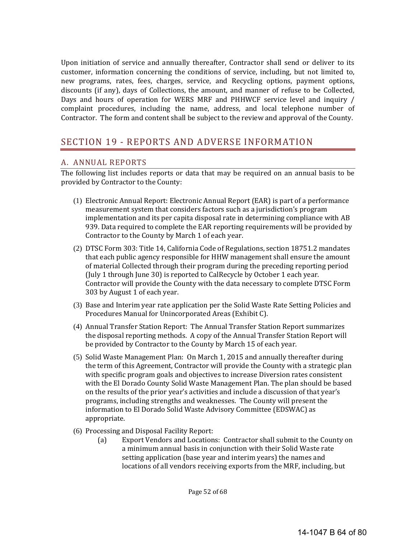Upon initiation of service and annually thereafter, Contractor shall send or deliver to its customer, information concerning the conditions of service, including, but not limited to, new programs, rates, fees, charges, service, and Recycling options, payment options, discounts (if any), days of Collections, the amount, and manner of refuse to be Collected, Days and hours of operation for WERS MRF and PHHWCF service level and inquiry / complaint procedures, including the name, address, and local telephone number of Contractor. The form and content shall be subject to the review and approval of the County.

# SECTION 19 - REPORTS AND ADVERSE INFORMATION

## A. ANNUAL REPORTS

The following list includes reports or data that may be required on an annual basis to be provided by Contractor to the County:

- (1) Electronic Annual Report: Electronic Annual Report (EAR) is part of a performance measurement system that considers factors such as a jurisdiction's program implementation and its per capita disposal rate in determining compliance with AB 939. Data required to complete the EAR reporting requirements will be provided by Contractor to the County by March 1 of each year.
- (2) DTSC Form 303: Title 14, California Code of Regulations, section 18751.2 mandates that each public agency responsible for HHW management shall ensure the amount of material Collected through their program during the preceding reporting period (July 1 through June 30) is reported to CalRecycle by October 1 each year. Contractor will provide the County with the data necessary to complete DTSC Form 303 by August 1 of each year.
- (3) Base and Interim year rate application per the Solid Waste Rate Setting Policies and Procedures Manual for Unincorporated Areas (Exhibit C).
- (4) Annual Transfer Station Report: The Annual Transfer Station Report summarizes the disposal reporting methods. A copy of the Annual Transfer Station Report will be provided by Contractor to the County by March 15 of each year.
- (5) Solid Waste Management Plan: On March 1, 2015 and annually thereafter during the term of this Agreement, Contractor will provide the County with a strategic plan with specific program goals and objectives to increase Diversion rates consistent with the El Dorado County Solid Waste Management Plan. The plan should be based on the results of the prior year's activities and include a discussion of that year's programs, including strengths and weaknesses. The County will present the information to El Dorado Solid Waste Advisory Committee (EDSWAC) as appropriate.
- (6) Processing and Disposal Facility Report:
	- (a) Export Vendors and Locations: Contractor shall submit to the County on a minimum annual basis in conjunction with their Solid Waste rate setting application (base year and interim years) the names and locations of all vendors receiving exports from the MRF, including, but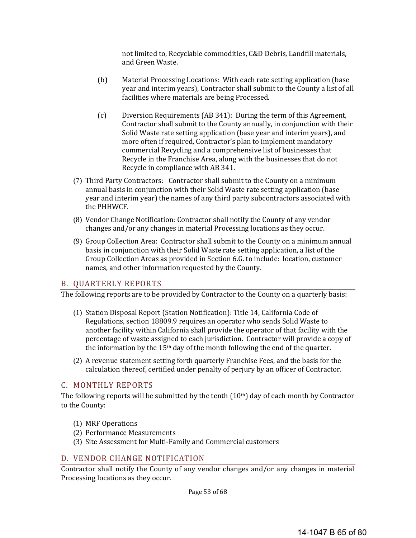not limited to, Recyclable commodities, C&D Debris, Landfill materials, and Green Waste. 

- (b) Material Processing Locations: With each rate setting application (base year and interim years), Contractor shall submit to the County a list of all facilities where materials are being Processed.
- (c) Diversion Requirements (AB 341): During the term of this Agreement, Contractor shall submit to the County annually, in conjunction with their Solid Waste rate setting application (base year and interim years), and more often if required, Contractor's plan to implement mandatory commercial Recycling and a comprehensive list of businesses that Recycle in the Franchise Area, along with the businesses that do not Recycle in compliance with AB 341.
- (7) Third Party Contractors: Contractor shall submit to the County on a minimum annual basis in conjunction with their Solid Waste rate setting application (base year and interim year) the names of any third party subcontractors associated with the PHHWCF.
- (8) Vendor Change Notification: Contractor shall notify the County of any vendor changes and/or any changes in material Processing locations as they occur.
- (9) Group Collection Area: Contractor shall submit to the County on a minimum annual basis in conjunction with their Solid Waste rate setting application, a list of the Group Collection Areas as provided in Section 6.G. to include: location, customer names, and other information requested by the County.

#### B. QUARTERLY REPORTS

The following reports are to be provided by Contractor to the County on a quarterly basis:

- (1) Station Disposal Report (Station Notification): Title 14, California Code of Regulations, section 18809.9 requires an operator who sends Solid Waste to another facility within California shall provide the operator of that facility with the percentage of waste assigned to each jurisdiction. Contractor will provide a copy of the information by the  $15<sup>th</sup>$  day of the month following the end of the quarter.
- (2) A revenue statement setting forth quarterly Franchise Fees, and the basis for the calculation thereof, certified under penalty of perjury by an officer of Contractor.

#### C. MONTHLY REPORTS

The following reports will be submitted by the tenth  $(10<sup>th</sup>)$  day of each month by Contractor to the County:

- (1) MRF Operations
- (2) Performance Measurements
- (3) Site Assessment for Multi-Family and Commercial customers

#### D. VENDOR CHANGE NOTIFICATION

Contractor shall notify the County of any vendor changes and/or any changes in material Processing locations as they occur.

Page 53 of 68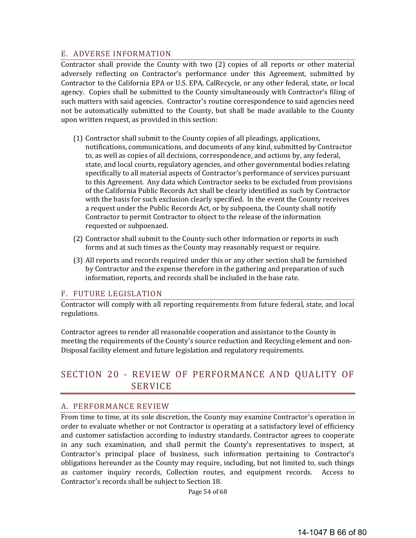#### E. ADVERSE INFORMATION

Contractor shall provide the County with two (2) copies of all reports or other material adversely reflecting on Contractor's performance under this Agreement, submitted by Contractor to the California EPA or U.S. EPA, CalRecycle, or any other federal, state, or local agency. Copies shall be submitted to the County simultaneously with Contractor's filing of such matters with said agencies. Contractor's routine correspondence to said agencies need not be automatically submitted to the County, but shall be made available to the County upon written request, as provided in this section:

- (1) Contractor shall submit to the County copies of all pleadings, applications, notifications, communications, and documents of any kind, submitted by Contractor to, as well as copies of all decisions, correspondence, and actions by, any federal, state, and local courts, regulatory agencies, and other governmental bodies relating specifically to all material aspects of Contractor's performance of services pursuant to this Agreement. Any data which Contractor seeks to be excluded from provisions of the California Public Records Act shall be clearly identified as such by Contractor with the basis for such exclusion clearly specified. In the event the County receives a request under the Public Records Act, or by subpoena, the County shall notify Contractor to permit Contractor to object to the release of the information requested or subpoenaed.
- (2) Contractor shall submit to the County such other information or reports in such forms and at such times as the County may reasonably request or require.
- (3) All reports and records required under this or any other section shall be furnished by Contractor and the expense therefore in the gathering and preparation of such information, reports, and records shall be included in the base rate.

#### F. FUTURE LEGISLATION

Contractor will comply with all reporting requirements from future federal, state, and local regulations. 

Contractor agrees to render all reasonable cooperation and assistance to the County in meeting the requirements of the County's source reduction and Recycling element and non-Disposal facility element and future legislation and regulatory requirements.

# SECTION 20 - REVIEW OF PERFORMANCE AND QUALITY OF **SERVICE**

#### A. PERFORMANCE REVIEW

From time to time, at its sole discretion, the County may examine Contractor's operation in order to evaluate whether or not Contractor is operating at a satisfactory level of efficiency and customer satisfaction according to industry standards. Contractor agrees to cooperate in any such examination, and shall permit the County's representatives to inspect, at Contractor's principal place of business, such information pertaining to Contractor's obligations hereunder as the County may require, including, but not limited to, such things as customer inquiry records, Collection routes, and equipment records. Access to Contractor's records shall be subject to Section 18.

Page 54 of 68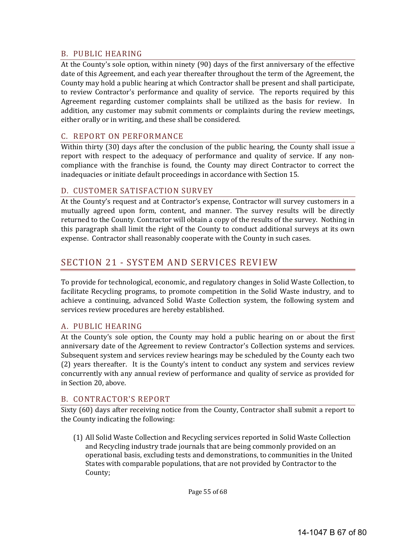#### B. PUBLIC HEARING

At the County's sole option, within ninety (90) days of the first anniversary of the effective date of this Agreement, and each year thereafter throughout the term of the Agreement, the County may hold a public hearing at which Contractor shall be present and shall participate, to review Contractor's performance and quality of service. The reports required by this Agreement regarding customer complaints shall be utilized as the basis for review. In addition, any customer may submit comments or complaints during the review meetings, either orally or in writing, and these shall be considered.

## C. REPORT ON PERFORMANCE

Within thirty  $(30)$  days after the conclusion of the public hearing, the County shall issue a report with respect to the adequacy of performance and quality of service. If any noncompliance with the franchise is found, the County may direct Contractor to correct the inadequacies or initiate default proceedings in accordance with Section 15.

## D. CUSTOMER SATISFACTION SURVEY

At the County's request and at Contractor's expense, Contractor will survey customers in a mutually agreed upon form, content, and manner. The survey results will be directly returned to the County. Contractor will obtain a copy of the results of the survey. Nothing in this paragraph shall limit the right of the County to conduct additional surveys at its own expense. Contractor shall reasonably cooperate with the County in such cases.

# SECTION 21 - SYSTEM AND SERVICES REVIEW

To provide for technological, economic, and regulatory changes in Solid Waste Collection, to facilitate Recycling programs, to promote competition in the Solid Waste industry, and to achieve a continuing, advanced Solid Waste Collection system, the following system and services review procedures are hereby established.

## A. PUBLIC HEARING

At the County's sole option, the County may hold a public hearing on or about the first anniversary date of the Agreement to review Contractor's Collection systems and services. Subsequent system and services review hearings may be scheduled by the County each two (2) years thereafter. It is the County's intent to conduct any system and services review concurrently with any annual review of performance and quality of service as provided for in Section 20, above.

## B. CONTRACTOR'S REPORT

Sixty (60) days after receiving notice from the County, Contractor shall submit a report to the County indicating the following:

(1) All Solid Waste Collection and Recycling services reported in Solid Waste Collection and Recycling industry trade journals that are being commonly provided on an operational basis, excluding tests and demonstrations, to communities in the United States with comparable populations, that are not provided by Contractor to the County;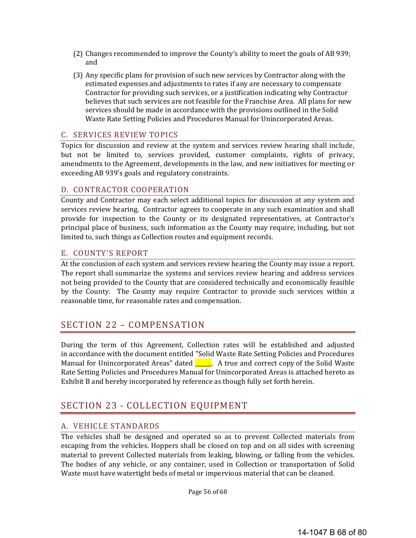- (2) Changes recommended to improve the County's ability to meet the goals of AB 939; and
- (3) Any specific plans for provision of such new services by Contractor along with the estimated expenses and adjustments to rates if any are necessary to compensate Contractor for providing such services, or a justification indicating why Contractor believes that such services are not feasible for the Franchise Area. All plans for new services should be made in accordance with the provisions outlined in the Solid Waste Rate Setting Policies and Procedures Manual for Unincorporated Areas.

#### C. SERVICES REVIEW TOPICS

Topics for discussion and review at the system and services review hearing shall include, but not be limited to, services provided, customer complaints, rights of privacy, amendments to the Agreement, developments in the law, and new initiatives for meeting or exceeding AB 939's goals and regulatory constraints.

#### D. CONTRACTOR COOPERATION

County and Contractor may each select additional topics for discussion at any system and services review hearing. Contractor agrees to cooperate in any such examination and shall provide for inspection to the County or its designated representatives, at Contractor's principal place of business, such information as the County may require, including, but not limited to, such things as Collection routes and equipment records.

#### E. COUNTY'S REPORT

At the conclusion of each system and services review hearing the County may issue a report. The report shall summarize the systems and services review hearing and address services not being provided to the County that are considered technically and economically feasible by the County. The County may require Contractor to provide such services within a reasonable time, for reasonable rates and compensation.

## SECTION 22 - COMPENSATION

During the term of this Agreement, Collection rates will be established and adjusted in accordance with the document entitled "Solid Waste Rate Setting Policies and Procedures Manual for Unincorporated Areas" dated  $\Box$  A true and correct copy of the Solid Waste Rate Setting Policies and Procedures Manual for Unincorporated Areas is attached hereto as Exhibit B and hereby incorporated by reference as though fully set forth herein.

## SECTION 23 - COLLECTION EQUIPMENT

#### A. VEHICLE STANDARDS

The vehicles shall be designed and operated so as to prevent Collected materials from escaping from the vehicles. Hoppers shall be closed on top and on all sides with screening material to prevent Collected materials from leaking, blowing, or falling from the vehicles. The bodies of any vehicle, or any container, used in Collection or transportation of Solid Waste must have watertight beds of metal or impervious material that can be cleaned.

Page 56 of 68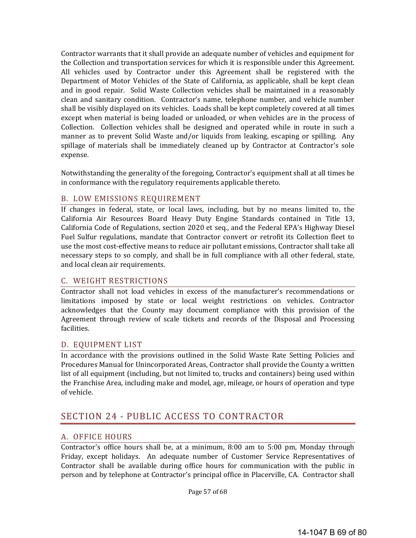Contractor warrants that it shall provide an adequate number of vehicles and equipment for the Collection and transportation services for which it is responsible under this Agreement. All vehicles used by Contractor under this Agreement shall be registered with the Department of Motor Vehicles of the State of California, as applicable, shall be kept clean and in good repair. Solid Waste Collection vehicles shall be maintained in a reasonably clean and sanitary condition. Contractor's name, telephone number, and vehicle number shall be visibly displayed on its vehicles. Loads shall be kept completely covered at all times except when material is being loaded or unloaded, or when vehicles are in the process of Collection. Collection vehicles shall be designed and operated while in route in such a manner as to prevent Solid Waste and/or liquids from leaking, escaping or spilling. Any spillage of materials shall be immediately cleaned up by Contractor at Contractor's sole expense. 

Notwithstanding the generality of the foregoing, Contractor's equipment shall at all times be in conformance with the regulatory requirements applicable thereto.

## B. LOW EMISSIONS REQUIREMENT

If changes in federal, state, or local laws, including, but by no means limited to, the California Air Resources Board Heavy Duty Engine Standards contained in Title 13, California Code of Regulations, section 2020 et seq., and the Federal EPA's Highway Diesel Fuel Sulfur regulations, mandate that Contractor convert or retrofit its Collection fleet to use the most cost-effective means to reduce air pollutant emissions, Contractor shall take all necessary steps to so comply, and shall be in full compliance with all other federal, state, and local clean air requirements.

#### C. WEIGHT RESTRICTIONS

Contractor shall not load vehicles in excess of the manufacturer's recommendations or limitations imposed by state or local weight restrictions on vehicles. Contractor acknowledges that the County may document compliance with this provision of the Agreement through review of scale tickets and records of the Disposal and Processing facilities. 

#### D. EQUIPMENT LIST

In accordance with the provisions outlined in the Solid Waste Rate Setting Policies and Procedures Manual for Unincorporated Areas, Contractor shall provide the County a written list of all equipment (including, but not limited to, trucks and containers) being used within the Franchise Area, including make and model, age, mileage, or hours of operation and type of vehicle.

# SECTION 24 - PUBLIC ACCESS TO CONTRACTOR

#### A. OFFICE HOURS

Contractor's office hours shall be, at a minimum,  $8:00$  am to  $5:00$  pm, Monday through Friday, except holidays. An adequate number of Customer Service Representatives of Contractor shall be available during office hours for communication with the public in person and by telephone at Contractor's principal office in Placerville, CA. Contractor shall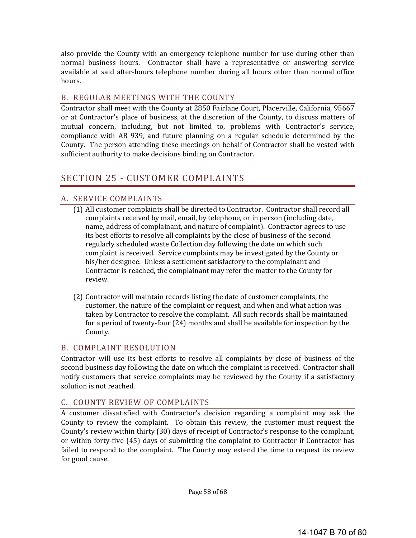also provide the County with an emergency telephone number for use during other than normal business hours. Contractor shall have a representative or answering service available at said after-hours telephone number during all hours other than normal office hours. 

## B. REGULAR MEETINGS WITH THE COUNTY

Contractor shall meet with the County at 2850 Fairlane Court, Placerville, California, 95667 or at Contractor's place of business, at the discretion of the County, to discuss matters of mutual concern, including, but not limited to, problems with Contractor's service, compliance with AB 939, and future planning on a regular schedule determined by the County. The person attending these meetings on behalf of Contractor shall be vested with sufficient authority to make decisions binding on Contractor.

# SECTION 25 - CUSTOMER COMPLAINTS

#### A. SERVICE COMPLAINTS

- (1) All customer complaints shall be directed to Contractor. Contractor shall record all complaints received by mail, email, by telephone, or in person (including date, name, address of complainant, and nature of complaint). Contractor agrees to use its best efforts to resolve all complaints by the close of business of the second regularly scheduled waste Collection day following the date on which such complaint is received. Service complaints may be investigated by the County or his/her designee. Unless a settlement satisfactory to the complainant and Contractor is reached, the complainant may refer the matter to the County for review.
- (2) Contractor will maintain records listing the date of customer complaints, the customer, the nature of the complaint or request, and when and what action was taken by Contractor to resolve the complaint. All such records shall be maintained for a period of twenty-four  $(24)$  months and shall be available for inspection by the County.

#### B. COMPLAINT RESOLUTION

Contractor will use its best efforts to resolve all complaints by close of business of the second business day following the date on which the complaint is received. Contractor shall notify customers that service complaints may be reviewed by the County if a satisfactory solution is not reached.

#### C. COUNTY REVIEW OF COMPLAINTS

A customer dissatisfied with Contractor's decision regarding a complaint may ask the County to review the complaint. To obtain this review, the customer must request the County's review within thirty (30) days of receipt of Contractor's response to the complaint, or within forty-five (45) days of submitting the complaint to Contractor if Contractor has failed to respond to the complaint. The County may extend the time to request its review for good cause.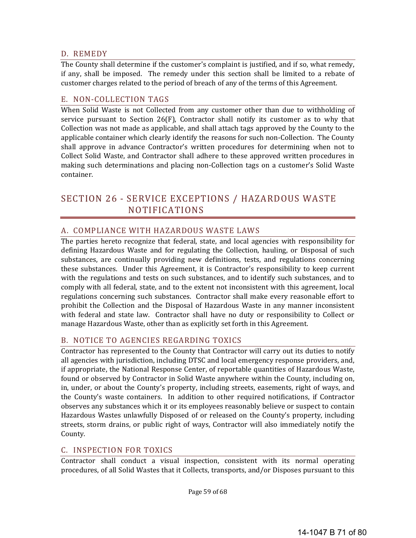#### D. REMEDY

The County shall determine if the customer's complaint is justified, and if so, what remedy, if any, shall be imposed. The remedy under this section shall be limited to a rebate of customer charges related to the period of breach of any of the terms of this Agreement.

#### E. NON-COLLECTION TAGS

When Solid Waste is not Collected from any customer other than due to withholding of service pursuant to Section  $26(F)$ , Contractor shall notify its customer as to why that Collection was not made as applicable, and shall attach tags approved by the County to the applicable container which clearly identify the reasons for such non-Collection. The County shall approve in advance Contractor's written procedures for determining when not to Collect Solid Waste, and Contractor shall adhere to these approved written procedures in making such determinations and placing non-Collection tags on a customer's Solid Waste container. 

# SECTION 26 - SERVICE EXCEPTIONS / HAZARDOUS WASTE NOTIFICATIONS

## A. COMPLIANCE WITH HAZARDOUS WASTE LAWS

The parties hereto recognize that federal, state, and local agencies with responsibility for defining Hazardous Waste and for regulating the Collection, hauling, or Disposal of such substances, are continually providing new definitions, tests, and regulations concerning these substances. Under this Agreement, it is Contractor's responsibility to keep current with the regulations and tests on such substances, and to identify such substances, and to comply with all federal, state, and to the extent not inconsistent with this agreement, local regulations concerning such substances. Contractor shall make every reasonable effort to prohibit the Collection and the Disposal of Hazardous Waste in any manner inconsistent with federal and state law. Contractor shall have no duty or responsibility to Collect or manage Hazardous Waste, other than as explicitly set forth in this Agreement.

## B. NOTICE TO AGENCIES REGARDING TOXICS

Contractor has represented to the County that Contractor will carry out its duties to notify all agencies with jurisdiction, including DTSC and local emergency response providers, and, if appropriate, the National Response Center, of reportable quantities of Hazardous Waste, found or observed by Contractor in Solid Waste anywhere within the County, including on, in, under, or about the County's property, including streets, easements, right of ways, and the County's waste containers. In addition to other required notifications, if Contractor observes any substances which it or its employees reasonably believe or suspect to contain Hazardous Wastes unlawfully Disposed of or released on the County's property, including streets, storm drains, or public right of ways, Contractor will also immediately notify the County. 

## C. INSPECTION FOR TOXICS

Contractor shall conduct a visual inspection, consistent with its normal operating procedures, of all Solid Wastes that it Collects, transports, and/or Disposes pursuant to this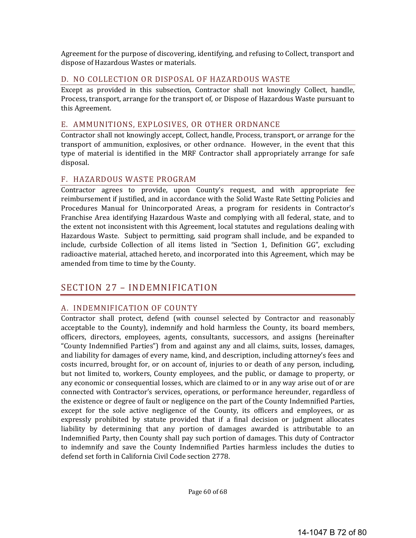Agreement for the purpose of discovering, identifying, and refusing to Collect, transport and dispose of Hazardous Wastes or materials.

#### D. NO COLLECTION OR DISPOSAL OF HAZARDOUS WASTE

Except as provided in this subsection, Contractor shall not knowingly Collect, handle, Process, transport, arrange for the transport of, or Dispose of Hazardous Waste pursuant to this Agreement.

#### E. AMMUNITIONS, EXPLOSIVES, OR OTHER ORDNANCE

Contractor shall not knowingly accept, Collect, handle, Process, transport, or arrange for the transport of ammunition, explosives, or other ordnance. However, in the event that this type of material is identified in the MRF Contractor shall appropriately arrange for safe disposal. 

#### F. HAZARDOUS WASTE PROGRAM

Contractor agrees to provide, upon County's request, and with appropriate fee reimbursement if justified, and in accordance with the Solid Waste Rate Setting Policies and Procedures Manual for Unincorporated Areas, a program for residents in Contractor's Franchise Area identifying Hazardous Waste and complying with all federal, state, and to the extent not inconsistent with this Agreement, local statutes and regulations dealing with Hazardous Waste. Subject to permitting, said program shall include, and be expanded to include, curbside Collection of all items listed in "Section 1, Definition GG", excluding radioactive material, attached hereto, and incorporated into this Agreement, which may be amended from time to time by the County.

# SECTION 27 - INDEMNIFICATION

## A. INDEMNIFICATION OF COUNTY

Contractor shall protect, defend (with counsel selected by Contractor and reasonably acceptable to the County), indemnify and hold harmless the County, its board members, officers, directors, employees, agents, consultants, successors, and assigns (hereinafter "County Indemnified Parties") from and against any and all claims, suits, losses, damages, and liability for damages of every name, kind, and description, including attorney's fees and costs incurred, brought for, or on account of, injuries to or death of any person, including, but not limited to, workers, County employees, and the public, or damage to property, or any economic or consequential losses, which are claimed to or in any way arise out of or are connected with Contractor's services, operations, or performance hereunder, regardless of the existence or degree of fault or negligence on the part of the County Indemnified Parties, except for the sole active negligence of the County, its officers and employees, or as expressly prohibited by statute provided that if a final decision or judgment allocates liability by determining that any portion of damages awarded is attributable to an Indemnified Party, then County shall pay such portion of damages. This duty of Contractor to indemnify and save the County Indemnified Parties harmless includes the duties to defend set forth in California Civil Code section 2778.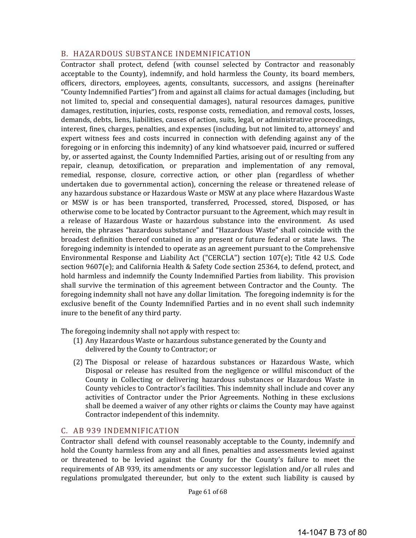#### B. HAZARDOUS SUBSTANCE INDEMNIFICATION

Contractor shall protect, defend (with counsel selected by Contractor and reasonably acceptable to the County), indemnify, and hold harmless the County, its board members, officers, directors, employees, agents, consultants, successors, and assigns (hereinafter "County Indemnified Parties") from and against all claims for actual damages (including, but not limited to, special and consequential damages), natural resources damages, punitive damages, restitution, injuries, costs, response costs, remediation, and removal costs, losses, demands, debts, liens, liabilities, causes of action, suits, legal, or administrative proceedings, interest, fines, charges, penalties, and expenses (including, but not limited to, attorneys' and expert witness fees and costs incurred in connection with defending against any of the foregoing or in enforcing this indemnity) of any kind whatsoever paid, incurred or suffered by, or asserted against, the County Indemnified Parties, arising out of or resulting from any repair, cleanup, detoxification, or preparation and implementation of any removal, remedial, response, closure, corrective action, or other plan (regardless of whether undertaken due to governmental action), concerning the release or threatened release of any hazardous substance or Hazardous Waste or MSW at any place where Hazardous Waste or MSW is or has been transported, transferred, Processed, stored, Disposed, or has otherwise come to be located by Contractor pursuant to the Agreement, which may result in a release of Hazardous Waste or hazardous substance into the environment. As used herein, the phrases "hazardous substance" and "Hazardous Waste" shall coincide with the broadest definition thereof contained in any present or future federal or state laws. The foregoing indemnity is intended to operate as an agreement pursuant to the Comprehensive Environmental Response and Liability Act ("CERCLA") section  $107(e)$ ; Title 42 U.S. Code section  $9607(e)$ ; and California Health & Safety Code section 25364, to defend, protect, and hold harmless and indemnify the County Indemnified Parties from liability. This provision shall survive the termination of this agreement between Contractor and the County. The foregoing indemnity shall not have any dollar limitation. The foregoing indemnity is for the exclusive benefit of the County Indemnified Parties and in no event shall such indemnity inure to the benefit of any third party.

The foregoing indemnity shall not apply with respect to:

- (1) Any Hazardous Waste or hazardous substance generated by the County and delivered by the County to Contractor; or
- (2) The Disposal or release of hazardous substances or Hazardous Waste, which Disposal or release has resulted from the negligence or willful misconduct of the County in Collecting or delivering hazardous substances or Hazardous Waste in County vehicles to Contractor's facilities. This indemnity shall include and cover any activities of Contractor under the Prior Agreements. Nothing in these exclusions shall be deemed a waiver of any other rights or claims the County may have against Contractor independent of this indemnity.

## C. AB 939 INDEMNIFICATION

Contractor shall defend with counsel reasonably acceptable to the County, indemnify and hold the County harmless from any and all fines, penalties and assessments levied against or threatened to be levied against the County for the County's failure to meet the requirements of AB 939, its amendments or any successor legislation and/or all rules and regulations promulgated thereunder, but only to the extent such liability is caused by

Page 61 of 68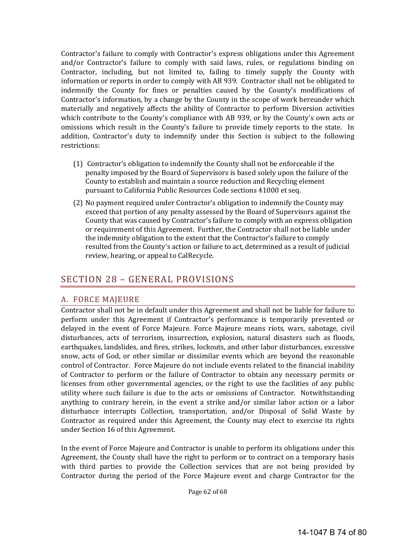Contractor's failure to comply with Contractor's express obligations under this Agreement and/or Contractor's failure to comply with said laws, rules, or regulations binding on Contractor, including, but not limited to, failing to timely supply the County with information or reports in order to comply with AB 939. Contractor shall not be obligated to indemnify the County for fines or penalties caused by the County's modifications of Contractor's information, by a change by the County in the scope of work hereunder which materially and negatively affects the ability of Contractor to perform Diversion activities which contribute to the County's compliance with AB 939, or by the County's own acts or omissions which result in the County's failure to provide timely reports to the state. In addition, Contractor's duty to indemnify under this Section is subject to the following restrictions: 

- (1) Contractor's obligation to indemnify the County shall not be enforceable if the penalty imposed by the Board of Supervisors is based solely upon the failure of the County to establish and maintain a source reduction and Recycling element pursuant to California Public Resources Code sections 41000 et seq.
- (2) No payment required under Contractor's obligation to indemnify the County may exceed that portion of any penalty assessed by the Board of Supervisors against the County that was caused by Contractor's failure to comply with an express obligation or requirement of this Agreement. Further, the Contractor shall not be liable under the indemnity obligation to the extent that the Contractor's failure to comply resulted from the County's action or failure to act, determined as a result of judicial review, hearing, or appeal to CalRecycle.

# SECTION 28 - GENERAL PROVISIONS

## A. FORCE MAJEURE

Contractor shall not be in default under this Agreement and shall not be liable for failure to perform under this Agreement if Contractor's performance is temporarily prevented or delayed in the event of Force Majeure. Force Majeure means riots, wars, sabotage, civil disturbances, acts of terrorism, insurrection, explosion, natural disasters such as floods, earthquakes, landslides, and fires, strikes, lockouts, and other labor disturbances, excessive snow, acts of God, or other similar or dissimilar events which are beyond the reasonable control of Contractor. Force Majeure do not include events related to the financial inability of Contractor to perform or the failure of Contractor to obtain any necessary permits or licenses from other governmental agencies, or the right to use the facilities of any public utility where such failure is due to the acts or omissions of Contractor. Notwithstanding anything to contrary herein, in the event a strike and/or similar labor action or a labor disturbance interrupts Collection, transportation, and/or Disposal of Solid Waste by Contractor as required under this Agreement, the County may elect to exercise its rights under Section 16 of this Agreement.

In the event of Force Majeure and Contractor is unable to perform its obligations under this Agreement, the County shall have the right to perform or to contract on a temporary basis with third parties to provide the Collection services that are not being provided by Contractor during the period of the Force Majeure event and charge Contractor for the

Page 62 of 68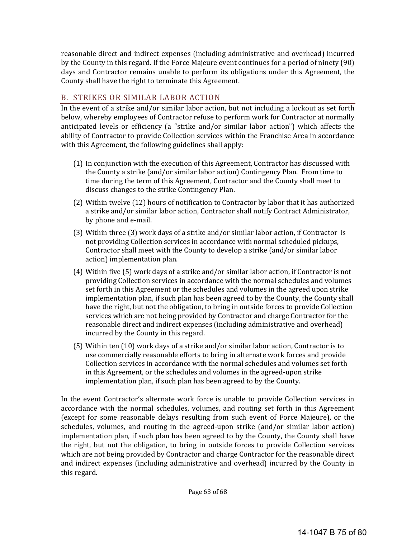reasonable direct and indirect expenses (including administrative and overhead) incurred by the County in this regard. If the Force Majeure event continues for a period of ninety (90) days and Contractor remains unable to perform its obligations under this Agreement, the County shall have the right to terminate this Agreement.

# B. STRIKES OR SIMILAR LABOR ACTION

In the event of a strike and/or similar labor action, but not including a lockout as set forth below, whereby employees of Contractor refuse to perform work for Contractor at normally anticipated levels or efficiency (a "strike and/or similar labor action") which affects the ability of Contractor to provide Collection services within the Franchise Area in accordance with this Agreement, the following guidelines shall apply:

- (1) In conjunction with the execution of this Agreement, Contractor has discussed with the County a strike (and/or similar labor action) Contingency Plan. From time to time during the term of this Agreement, Contractor and the County shall meet to discuss changes to the strike Contingency Plan.
- (2) Within twelve (12) hours of notification to Contractor by labor that it has authorized a strike and/or similar labor action, Contractor shall notify Contract Administrator, by phone and e-mail.
- (3) Within three (3) work days of a strike and/or similar labor action, if Contractor is not providing Collection services in accordance with normal scheduled pickups, Contractor shall meet with the County to develop a strike (and/or similar labor action) implementation plan.
- (4) Within five (5) work days of a strike and/or similar labor action, if Contractor is not providing Collection services in accordance with the normal schedules and volumes set forth in this Agreement or the schedules and volumes in the agreed upon strike implementation plan, if such plan has been agreed to by the County, the County shall have the right, but not the obligation, to bring in outside forces to provide Collection services which are not being provided by Contractor and charge Contractor for the reasonable direct and indirect expenses (including administrative and overhead) incurred by the County in this regard.
- $(5)$  Within ten  $(10)$  work days of a strike and/or similar labor action, Contractor is to use commercially reasonable efforts to bring in alternate work forces and provide Collection services in accordance with the normal schedules and volumes set forth in this Agreement, or the schedules and volumes in the agreed-upon strike implementation plan, if such plan has been agreed to by the County.

In the event Contractor's alternate work force is unable to provide Collection services in accordance with the normal schedules, volumes, and routing set forth in this Agreement (except for some reasonable delays resulting from such event of Force Majeure), or the schedules, volumes, and routing in the agreed-upon strike (and/or similar labor action) implementation plan, if such plan has been agreed to by the County, the County shall have the right, but not the obligation, to bring in outside forces to provide Collection services which are not being provided by Contractor and charge Contractor for the reasonable direct and indirect expenses (including administrative and overhead) incurred by the County in this regard.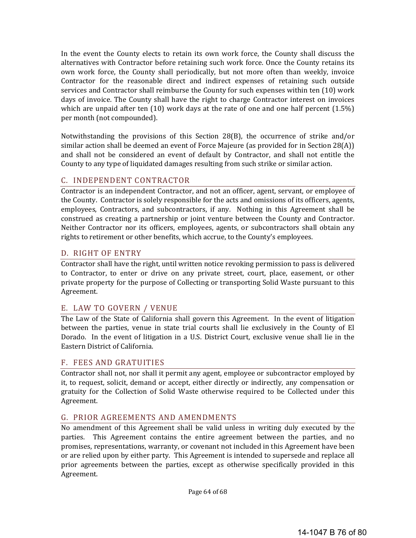In the event the County elects to retain its own work force, the County shall discuss the alternatives with Contractor before retaining such work force. Once the County retains its own work force, the County shall periodically, but not more often than weekly, invoice Contractor for the reasonable direct and indirect expenses of retaining such outside services and Contractor shall reimburse the County for such expenses within ten (10) work days of invoice. The County shall have the right to charge Contractor interest on invoices which are unpaid after ten  $(10)$  work days at the rate of one and one half percent  $(1.5\%)$ per month (not compounded).

Notwithstanding the provisions of this Section 28(B), the occurrence of strike and/or similar action shall be deemed an event of Force Majeure (as provided for in Section  $28(A)$ ) and shall not be considered an event of default by Contractor, and shall not entitle the County to any type of liquidated damages resulting from such strike or similar action.

## C. INDEPENDENT CONTRACTOR

Contractor is an independent Contractor, and not an officer, agent, servant, or employee of the County. Contractor is solely responsible for the acts and omissions of its officers, agents, employees, Contractors, and subcontractors, if any. Nothing in this Agreement shall be construed as creating a partnership or joint venture between the County and Contractor. Neither Contractor nor its officers, employees, agents, or subcontractors shall obtain any rights to retirement or other benefits, which accrue, to the County's employees.

#### D. RIGHT OF ENTRY

Contractor shall have the right, until written notice revoking permission to pass is delivered to Contractor, to enter or drive on any private street, court, place, easement, or other private property for the purpose of Collecting or transporting Solid Waste pursuant to this Agreement. 

## E. LAW TO GOVERN / VENUE

The Law of the State of California shall govern this Agreement. In the event of litigation between the parties, venue in state trial courts shall lie exclusively in the County of El Dorado. In the event of litigation in a U.S. District Court, exclusive venue shall lie in the Eastern District of California.

#### F. FEES AND GRATUITIES

Contractor shall not, nor shall it permit any agent, employee or subcontractor employed by it, to request, solicit, demand or accept, either directly or indirectly, any compensation or gratuity for the Collection of Solid Waste otherwise required to be Collected under this Agreement. 

## G. PRIOR AGREEMENTS AND AMENDMENTS

No amendment of this Agreement shall be valid unless in writing duly executed by the parties. This Agreement contains the entire agreement between the parties, and no promises, representations, warranty, or covenant not included in this Agreement have been or are relied upon by either party. This Agreement is intended to supersede and replace all prior agreements between the parties, except as otherwise specifically provided in this Agreement. 

Page 64 of 68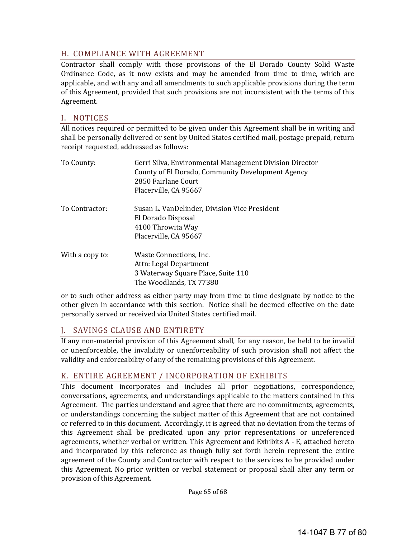## H. COMPLIANCE WITH AGREEMENT

Contractor shall comply with those provisions of the El Dorado County Solid Waste Ordinance Code, as it now exists and may be amended from time to time, which are applicable, and with any and all amendments to such applicable provisions during the term of this Agreement, provided that such provisions are not inconsistent with the terms of this Agreement. 

#### I. NOTICES

All notices required or permitted to be given under this Agreement shall be in writing and shall be personally delivered or sent by United States certified mail, postage prepaid, return receipt requested, addressed as follows:

| To County:      | Gerri Silva, Environmental Management Division Director<br>County of El Dorado, Community Development Agency<br>2850 Fairlane Court<br>Placerville, CA 95667 |
|-----------------|--------------------------------------------------------------------------------------------------------------------------------------------------------------|
| To Contractor:  | Susan L. VanDelinder, Division Vice President<br>El Dorado Disposal<br>4100 Throwita Way<br>Placerville, CA 95667                                            |
| With a copy to: | Waste Connections, Inc.<br>Attn: Legal Department<br>3 Waterway Square Place, Suite 110<br>The Woodlands, TX 77380                                           |

or to such other address as either party may from time to time designate by notice to the other given in accordance with this section. Notice shall be deemed effective on the date personally served or received via United States certified mail.

# J. SAVINGS CLAUSE AND ENTIRETY

If any non-material provision of this Agreement shall, for any reason, be held to be invalid or unenforceable, the invalidity or unenforceability of such provision shall not affect the validity and enforceability of any of the remaining provisions of this Agreement.

## K. ENTIRE AGREEMENT / INCORPORATION OF EXHIBITS

This document incorporates and includes all prior negotiations, correspondence, conversations, agreements, and understandings applicable to the matters contained in this Agreement. The parties understand and agree that there are no commitments, agreements, or understandings concerning the subject matter of this Agreement that are not contained or referred to in this document. Accordingly, it is agreed that no deviation from the terms of this Agreement shall be predicated upon any prior representations or unreferenced agreements, whether verbal or written. This Agreement and Exhibits  $A - E$ , attached hereto and incorporated by this reference as though fully set forth herein represent the entire agreement of the County and Contractor with respect to the services to be provided under this Agreement. No prior written or verbal statement or proposal shall alter any term or provision of this Agreement.

Page 65 of 68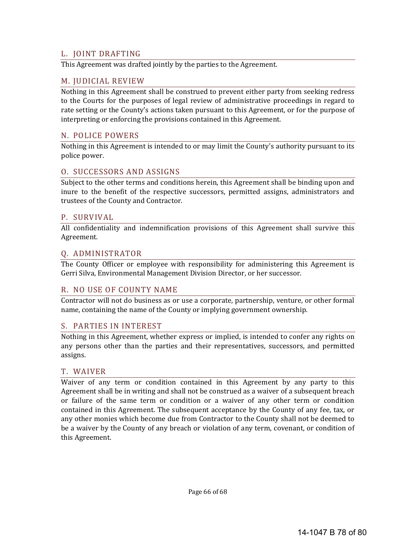#### L. JOINT DRAFTING

This Agreement was drafted jointly by the parties to the Agreement.

#### M. JUDICIAL REVIEW

Nothing in this Agreement shall be construed to prevent either party from seeking redress to the Courts for the purposes of legal review of administrative proceedings in regard to rate setting or the County's actions taken pursuant to this Agreement, or for the purpose of interpreting or enforcing the provisions contained in this Agreement.

#### N. POLICE POWERS

Nothing in this Agreement is intended to or may limit the County's authority pursuant to its police power.

#### O. SUCCESSORS AND ASSIGNS

Subject to the other terms and conditions herein, this Agreement shall be binding upon and inure to the benefit of the respective successors, permitted assigns, administrators and trustees of the County and Contractor.

#### P. SURVIVAL

All confidentiality and indemnification provisions of this Agreement shall survive this Agreement. 

#### Q. ADMINISTRATOR

The County Officer or employee with responsibility for administering this Agreement is Gerri Silva, Environmental Management Division Director, or her successor.

#### R. NO USE OF COUNTY NAME

Contractor will not do business as or use a corporate, partnership, venture, or other formal name, containing the name of the County or implying government ownership.

#### S. PARTIES IN INTEREST

Nothing in this Agreement, whether express or implied, is intended to confer any rights on any persons other than the parties and their representatives, successors, and permitted assigns. 

#### T. WAIVER

Waiver of any term or condition contained in this Agreement by any party to this Agreement shall be in writing and shall not be construed as a waiver of a subsequent breach or failure of the same term or condition or a waiver of any other term or condition contained in this Agreement. The subsequent acceptance by the County of any fee, tax, or any other monies which become due from Contractor to the County shall not be deemed to be a waiver by the County of any breach or violation of any term, covenant, or condition of this Agreement.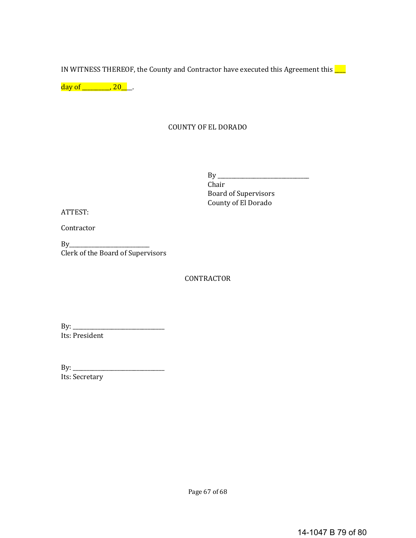IN WITNESS THEREOF, the County and Contractor have executed this Agreement this  $\Box$ 

 $day of$  \_\_\_\_\_\_\_\_\_, 20\_\_\_.

## COUNTY OF EL DORADO

 $By \_\_$  Chair Board of Supervisors County of El Dorado

ATTEST: 

**Contractor** 

 $By$ Clerk of the Board of Supervisors

**CONTRACTOR** 

By: \_\_\_\_\_\_\_\_\_\_\_\_\_\_\_\_\_\_\_\_\_\_\_\_\_\_\_\_\_\_\_\_\_ Its: President

By: \_\_\_\_\_\_\_\_\_\_\_\_\_\_\_\_\_\_\_\_\_\_\_\_\_\_\_\_\_\_\_\_\_ Its: Secretary

Page 67 of 68